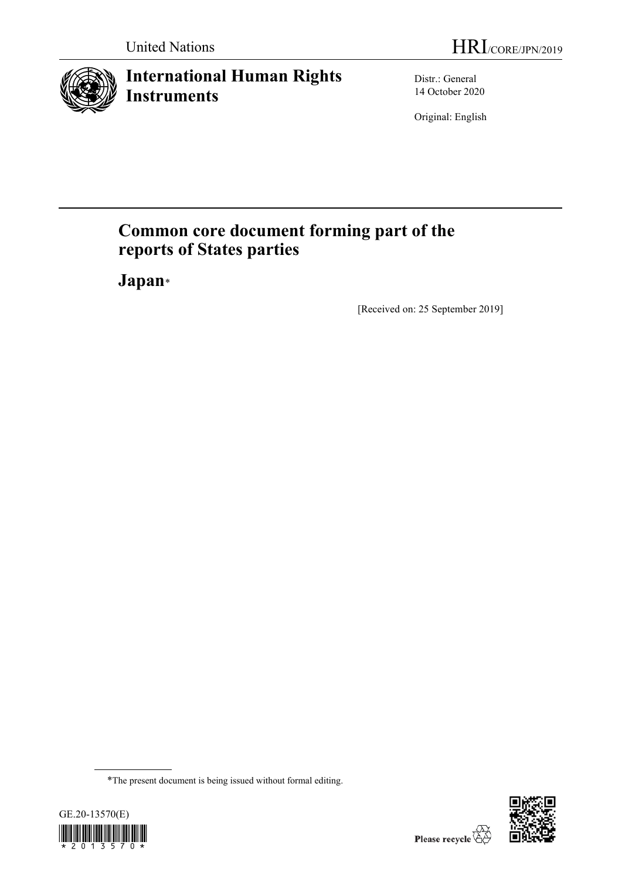

# **International Human Rights Instruments**

Distr.: General 14 October 2020

Original: English

# **Common core document forming part of the reports of States parties**

**Japan**[\\*](#page-0-0)

[Received on: 25 September 2019]

<span id="page-0-0"></span><sup>\*</sup>The present document is being issued without formal editing.



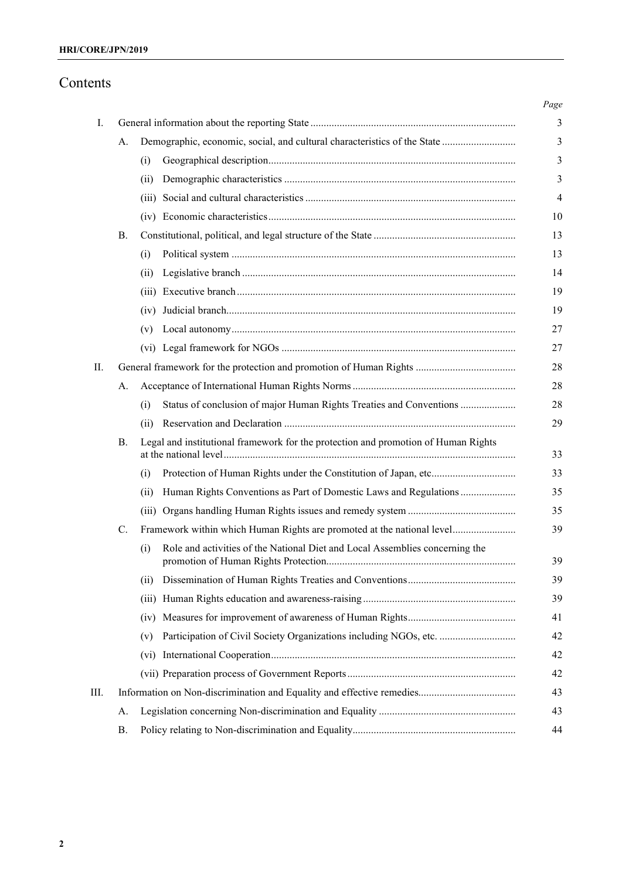# Contents

|    |           |                   |                                                                                    | Page           |
|----|-----------|-------------------|------------------------------------------------------------------------------------|----------------|
| Ι. |           |                   |                                                                                    | 3              |
|    | А.        |                   | Demographic, economic, social, and cultural characteristics of the State           | 3              |
|    |           | (i)               |                                                                                    | 3              |
|    |           | (11)              |                                                                                    | 3              |
|    |           |                   |                                                                                    | $\overline{4}$ |
|    |           |                   |                                                                                    | 10             |
|    | В.        |                   |                                                                                    | 13             |
|    |           | (i)               |                                                                                    | 13             |
|    |           | (11)              |                                                                                    | 14             |
|    |           | (111)             |                                                                                    | 19             |
|    |           | (1V)              |                                                                                    | 19             |
|    |           | (v)               |                                                                                    | 27             |
|    |           |                   |                                                                                    | 27             |
| П. |           |                   |                                                                                    | 28             |
|    | А.        |                   |                                                                                    | 28             |
|    |           | (i)               | Status of conclusion of major Human Rights Treaties and Conventions                | 28             |
|    |           | (ii)              |                                                                                    | 29             |
|    | В.        |                   | Legal and institutional framework for the protection and promotion of Human Rights | 33             |
|    |           | (i)               |                                                                                    | 33             |
|    |           | (ii)              | Human Rights Conventions as Part of Domestic Laws and Regulations                  | 35             |
|    |           |                   |                                                                                    | 35             |
|    | C.        |                   | Framework within which Human Rights are promoted at the national level             | 39             |
|    |           | (i)               | Role and activities of the National Diet and Local Assemblies concerning the       | 39             |
|    |           | (i)               |                                                                                    | 39             |
|    |           | (iii)             |                                                                                    | 39             |
|    |           | (1V)              |                                                                                    | 41             |
|    |           | (v)               | Participation of Civil Society Organizations including NGOs, etc.                  | 42             |
|    |           | (v <sub>i</sub> ) |                                                                                    | 42             |
|    |           |                   |                                                                                    | 42             |
| Ш. |           |                   |                                                                                    | 43             |
|    | А.        |                   |                                                                                    | 43             |
|    | <b>B.</b> |                   |                                                                                    | 44             |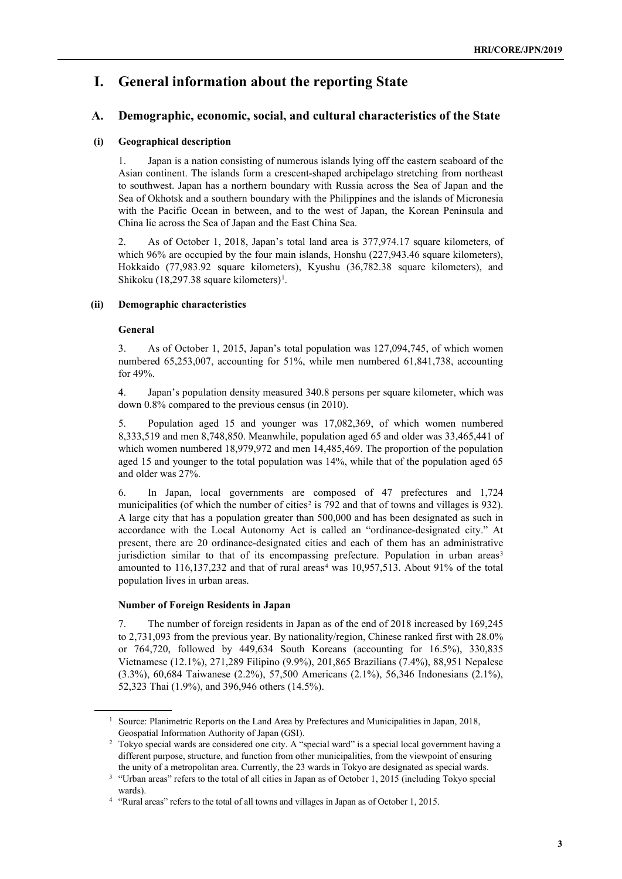# **I. General information about the reporting State**

## **A. Demographic, economic, social, and cultural characteristics of the State**

## **(i) Geographical description**

1. Japan is a nation consisting of numerous islands lying off the eastern seaboard of the Asian continent. The islands form a crescent-shaped archipelago stretching from northeast to southwest. Japan has a northern boundary with Russia across the Sea of Japan and the Sea of Okhotsk and a southern boundary with the Philippines and the islands of Micronesia with the Pacific Ocean in between, and to the west of Japan, the Korean Peninsula and China lie across the Sea of Japan and the East China Sea.

2. As of October 1, 2018, Japan's total land area is 377,974.17 square kilometers, of which 96% are occupied by the four main islands, Honshu (227,943.46 square kilometers), Hokkaido (77,983.92 square kilometers), Kyushu (36,782.38 square kilometers), and Shikoku (18,297.38 square kilometers)<sup>1</sup>.

## **(ii) Demographic characteristics**

### **General**

3. As of October 1, 2015, Japan's total population was 127,094,745, of which women numbered 65,253,007, accounting for 51%, while men numbered 61,841,738, accounting for 49%.

4. Japan's population density measured 340.8 persons per square kilometer, which was down 0.8% compared to the previous census (in 2010).

5. Population aged 15 and younger was 17,082,369, of which women numbered 8,333,519 and men 8,748,850. Meanwhile, population aged 65 and older was 33,465,441 of which women numbered 18,979,972 and men 14,485,469. The proportion of the population aged 15 and younger to the total population was 14%, while that of the population aged 65 and older was 27%.

6. In Japan, local governments are composed of 47 prefectures and 1,724 municipalities (of which the number of cities<sup>[2](#page-2-1)</sup> is 792 and that of towns and villages is 932). A large city that has a population greater than 500,000 and has been designated as such in accordance with the Local Autonomy Act is called an "ordinance-designated city." At present, there are 20 ordinance-designated cities and each of them has an administrative jurisdiction similar to that of its encompassing prefecture. Population in urban areas<sup>[3](#page-2-2)</sup> amounted to  $116,137,232$  and that of rural areas<sup>[4](#page-2-3)</sup> was  $10,957,513$ . About 91% of the total population lives in urban areas.

### **Number of Foreign Residents in Japan**

7. The number of foreign residents in Japan as of the end of 2018 increased by 169,245 to 2,731,093 from the previous year. By nationality/region, Chinese ranked first with 28.0% or 764,720, followed by 449,634 South Koreans (accounting for 16.5%), 330,835 Vietnamese (12.1%), 271,289 Filipino (9.9%), 201,865 Brazilians (7.4%), 88,951 Nepalese (3.3%), 60,684 Taiwanese (2.2%), 57,500 Americans (2.1%), 56,346 Indonesians (2.1%), 52,323 Thai (1.9%), and 396,946 others (14.5%).

<span id="page-2-0"></span><sup>&</sup>lt;sup>1</sup> Source: Planimetric Reports on the Land Area by Prefectures and Municipalities in Japan, 2018, Geospatial Information Authority of Japan (GSI).

<span id="page-2-1"></span><sup>2</sup> Tokyo special wards are considered one city. A "special ward" is a special local government having a different purpose, structure, and function from other municipalities, from the viewpoint of ensuring the unity of a metropolitan area. Currently, the 23 wards in Tokyo are designated as special wards.

<span id="page-2-2"></span><sup>&</sup>lt;sup>3</sup> "Urban areas" refers to the total of all cities in Japan as of October 1, 2015 (including Tokyo special wards).

<span id="page-2-3"></span><sup>4</sup> "Rural areas" refers to the total of all towns and villages in Japan as of October 1, 2015.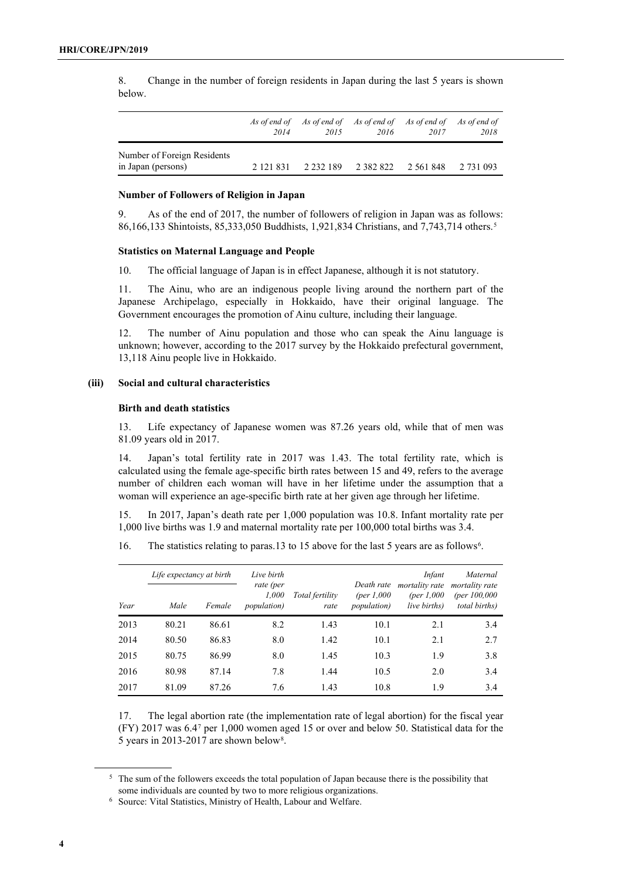8. Change in the number of foreign residents in Japan during the last 5 years is shown below.

|                                                   | As of end of<br>2014 | 2015          | As of end of As of end of As of end of As of end of<br>2016 | 2017          | 2018      |
|---------------------------------------------------|----------------------|---------------|-------------------------------------------------------------|---------------|-----------|
| Number of Foreign Residents<br>in Japan (persons) | 2 121 831            | 2 2 3 2 1 8 9 | 2 3 8 2 8 2 2                                               | 2 5 6 1 8 4 8 | 2 731 093 |

#### **Number of Followers of Religion in Japan**

9. As of the end of 2017, the number of followers of religion in Japan was as follows: 86,166,133 Shintoists, 85,333,050 Buddhists, 1,921,834 Christians, and 7,743,714 others.[5](#page-3-0)

#### **Statistics on Maternal Language and People**

10. The official language of Japan is in effect Japanese, although it is not statutory.

11. The Ainu, who are an indigenous people living around the northern part of the Japanese Archipelago, especially in Hokkaido, have their original language. The Government encourages the promotion of Ainu culture, including their language.

12. The number of Ainu population and those who can speak the Ainu language is unknown; however, according to the 2017 survey by the Hokkaido prefectural government, 13,118 Ainu people live in Hokkaido.

## **(iii) Social and cultural characteristics**

## **Birth and death statistics**

13. Life expectancy of Japanese women was 87.26 years old, while that of men was 81.09 years old in 2017.

14. Japan's total fertility rate in 2017 was 1.43. The total fertility rate, which is calculated using the female age-specific birth rates between 15 and 49, refers to the average number of children each woman will have in her lifetime under the assumption that a woman will experience an age-specific birth rate at her given age through her lifetime.

15. In 2017, Japan's death rate per 1,000 population was 10.8. Infant mortality rate per 1,000 live births was 1.9 and maternal mortality rate per 100,000 total births was 3.4.

1[6.](#page-3-1) The statistics relating to paras.13 to 15 above for the last 5 years are as follows<sup>6</sup>.

|      | Life expectancy at birth |        | Live birth                                |                         |                                                   | Infant                                         | Maternal                                                           |
|------|--------------------------|--------|-------------------------------------------|-------------------------|---------------------------------------------------|------------------------------------------------|--------------------------------------------------------------------|
| Year | Male                     | Female | rate (per<br>1,000<br><i>population</i> ) | Total fertility<br>rate | Death rate<br>(per $1,000$<br><i>population</i> ) | mortality rate<br>(per $1,000$<br>live births) | <i>mortality rate</i><br>(per $100,000$ )<br><i>total births</i> ) |
| 2013 | 80.21                    | 86.61  | 8.2                                       | 1.43                    | 10.1                                              | 2.1                                            | 3.4                                                                |
| 2014 | 80.50                    | 86.83  | 8.0                                       | 1.42                    | 10.1                                              | 2.1                                            | 2.7                                                                |
| 2015 | 80.75                    | 86.99  | 8.0                                       | 1.45                    | 10.3                                              | 1.9                                            | 3.8                                                                |
| 2016 | 80.98                    | 87.14  | 7.8                                       | 1.44                    | 10.5                                              | 2.0                                            | 3.4                                                                |
| 2017 | 81.09                    | 87.26  | 7.6                                       | 1.43                    | 10.8                                              | 1.9                                            | 3.4                                                                |

<span id="page-3-2"></span>17. The legal abortion rate (the implementation rate of legal abortion) for the fiscal year (FY) 2017 was 6.[47](#page-3-2) per 1,000 women aged 15 or over and below 50. Statistical data for the 5 years in 2013-2017 are shown below[8.](#page-3-3)

<span id="page-3-3"></span><span id="page-3-0"></span><sup>&</sup>lt;sup>5</sup> The sum of the followers exceeds the total population of Japan because there is the possibility that some individuals are counted by two to more religious organizations.

<span id="page-3-1"></span><sup>6</sup> Source: Vital Statistics, Ministry of Health, Labour and Welfare.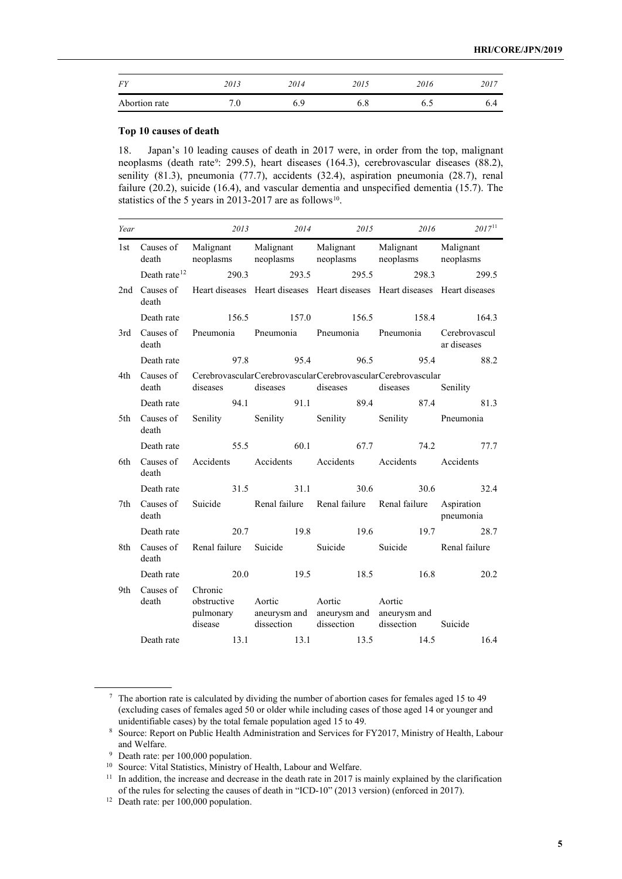| <b>FY</b>     | 2013 | 2014 | 2015 | 2016 | 2017 |
|---------------|------|------|------|------|------|
| Abortion rate | 7.0  | 6.9  | 6.8  | 6.0  | o.4  |

## **Top 10 causes of death**

18. Japan's 10 leading causes of death in 2017 were, in order from the top, malignant neoplasms (death rate<sup>9</sup>: 299.5), heart diseases (164.3), cerebrovascular diseases (88.2), senility (81.3), pneumonia (77.7), accidents (32.4), aspiration pneumonia (28.7), renal failure (20.2), suicide (16.4), and vascular dementia and unspecified dementia (15.7). The statistics of the 5 years in 2013-2017 are as follows<sup>[10](#page-4-1)</sup>.

| Year |                    | 2013                                                        | 2014         | 2015                                    | 2016                                                                                                   | $2017^{11}$ |
|------|--------------------|-------------------------------------------------------------|--------------|-----------------------------------------|--------------------------------------------------------------------------------------------------------|-------------|
| 1st  | death              | Causes of Malignant Malignant Malignant Malignant Malignant |              | neoplasms neoplasms neoplasms neoplasms |                                                                                                        | neoplasms   |
|      | Death rate $12$    | 290.3                                                       | 293.5        |                                         | 295.5<br>298.3                                                                                         | 299.5       |
| 2nd  | Causes of<br>death |                                                             |              |                                         | Heart diseases Heart diseases Heart diseases Heart diseases Heart diseases                             |             |
|      | Death rate         | 156.5                                                       |              | 157.0 156.5                             |                                                                                                        | 158.4 164.3 |
| 3rd  | Causes of<br>death | Pneumonia Pneumonia Pneumonia Pneumonia Cerebrovascul       |              |                                         |                                                                                                        | ar diseases |
|      | Death rate         |                                                             | 95.4<br>97.8 |                                         | 96.5 95.4                                                                                              | 88.2        |
| 4th  | Causes of<br>death | diseases                                                    | diseases     | diseases                                | CerebrovascularCerebrovascularCerebrovascularCerebrovascular<br>diseases                               | Senility    |
|      | Death rate         |                                                             |              |                                         | 94.1 91.1 89.4 87.4                                                                                    | 81.3        |
| 5th  | Causes of<br>death |                                                             |              |                                         | Senility Senility Senility Senility Pneumonia                                                          |             |
|      | Death rate         |                                                             |              |                                         | 55.5 60.1 67.7 74.2 77.7                                                                               |             |
| 6th  | Causes of<br>death | Accidents Accidents Accidents Accidents Accidents           |              |                                         |                                                                                                        |             |
|      | Death rate         |                                                             | 31.5         | 31.1 30.6                               |                                                                                                        | 30.6 32.4   |
| 7th  | Causes of<br>death |                                                             |              |                                         | Suicide Renal failure Renal failure Renal failure Aspiration                                           | pneumonia   |
|      | Death rate         | 20.7                                                        |              | 19.8 19.6                               |                                                                                                        | 19.7 28.7   |
| 8th  | Causes of<br>death | Renal failure Suicide                                       |              |                                         | Suicide Suicide Renal failure                                                                          |             |
|      | Death rate         | 20.0                                                        |              |                                         | 19.5 18.5 16.8                                                                                         | 20.2        |
| 9th  | Causes of<br>death | Chronic<br>obstructive                                      | Aortic       | Aortic                                  | Aortic<br>pulmonary aneurysm and aneurysm and aneurysm and<br>disease dissection dissection dissection | Suicide     |
|      | Death rate         |                                                             | 13.1 13.1    | 13.5                                    | 14.5                                                                                                   | 16.4        |

<sup>7</sup> The abortion rate is calculated by dividing the number of abortion cases for females aged 15 to 49 (excluding cases of females aged 50 or older while including cases of those aged 14 or younger and unidentifiable cases) by the total female population aged 15 to 49.

<sup>8</sup> Source: Report on Public Health Administration and Services for FY2017, Ministry of Health, Labour and Welfare.

<sup>9</sup> Death rate: per 100,000 population.

<span id="page-4-1"></span><span id="page-4-0"></span><sup>&</sup>lt;sup>10</sup> Source: Vital Statistics, Ministry of Health, Labour and Welfare.

<span id="page-4-2"></span><sup>&</sup>lt;sup>11</sup> In addition, the increase and decrease in the death rate in 2017 is mainly explained by the clarification of the rules for selecting the causes of death in "ICD-10" (2013 version) (enforced in 2017).

<span id="page-4-3"></span> $12$  Death rate: per 100,000 population.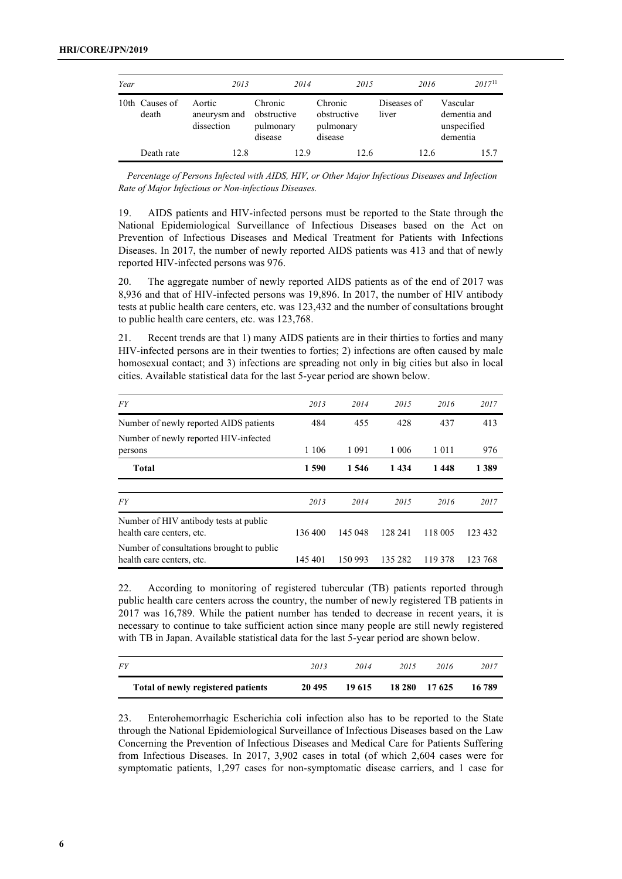| Year |                         | 2013                                 | 2014                                           | 2015                                           | 2016                 | $2017^{11}$                                         |
|------|-------------------------|--------------------------------------|------------------------------------------------|------------------------------------------------|----------------------|-----------------------------------------------------|
|      | 10th Causes of<br>death | Aortic<br>aneurysm and<br>dissection | Chronic<br>obstructive<br>pulmonary<br>disease | Chronic<br>obstructive<br>pulmonary<br>disease | Diseases of<br>liver | Vascular<br>dementia and<br>unspecified<br>dementia |
|      | Death rate              | 12.8                                 | 12.9                                           | 12.6                                           | 12.6                 | 15.7                                                |

*Percentage of Persons Infected with AIDS, HIV, or Other Major Infectious Diseases and Infection Rate of Major Infectious or Non-infectious Diseases.*

19. AIDS patients and HIV-infected persons must be reported to the State through the National Epidemiological Surveillance of Infectious Diseases based on the Act on Prevention of Infectious Diseases and Medical Treatment for Patients with Infections Diseases. In 2017, the number of newly reported AIDS patients was 413 and that of newly reported HIV-infected persons was 976.

20. The aggregate number of newly reported AIDS patients as of the end of 2017 was 8,936 and that of HIV-infected persons was 19,896. In 2017, the number of HIV antibody tests at public health care centers, etc. was 123,432 and the number of consultations brought to public health care centers, etc. was 123,768.

21. Recent trends are that 1) many AIDS patients are in their thirties to forties and many HIV-infected persons are in their twenties to forties; 2) infections are often caused by male homosexual contact; and 3) infections are spreading not only in big cities but also in local cities. Available statistical data for the last 5-year period are shown below.

| <b>FY</b>                                                              | 2013    | 2014    | 2015    | 2016    | 2017    |
|------------------------------------------------------------------------|---------|---------|---------|---------|---------|
| Number of newly reported AIDS patients                                 | 484     | 455     | 428     | 437     | 413     |
| Number of newly reported HIV-infected<br>persons                       | 1 1 0 6 | 1 0 9 1 | 1 0 0 6 | 1 0 1 1 | 976     |
| <b>Total</b>                                                           | 1590    | 1 546   | 1434    | 1448    | 1 3 8 9 |
|                                                                        |         |         |         |         |         |
| FY                                                                     | 2013    | 2014    | 2015    | 2016    | 2017    |
| Number of HIV antibody tests at public<br>health care centers, etc.    | 136 400 | 145 048 | 128 241 | 118 005 | 123 432 |
| Number of consultations brought to public<br>health care centers, etc. | 145 401 | 150 993 | 135 282 | 119 378 | 123 768 |

22. According to monitoring of registered tubercular (TB) patients reported through public health care centers across the country, the number of newly registered TB patients in 2017 was 16,789. While the patient number has tended to decrease in recent years, it is necessary to continue to take sufficient action since many people are still newly registered with TB in Japan. Available statistical data for the last 5-year period are shown below.

| <i>FY</i>                          | 2013   | 2014   | 2015 | 2016          | 2017   |
|------------------------------------|--------|--------|------|---------------|--------|
| Total of newly registered patients | 20 495 | 19 615 |      | 18 280 17 625 | 16 789 |

23. Enterohemorrhagic Escherichia coli infection also has to be reported to the State through the National Epidemiological Surveillance of Infectious Diseases based on the Law Concerning the Prevention of Infectious Diseases and Medical Care for Patients Suffering from Infectious Diseases. In 2017, 3,902 cases in total (of which 2,604 cases were for symptomatic patients, 1,297 cases for non-symptomatic disease carriers, and 1 case for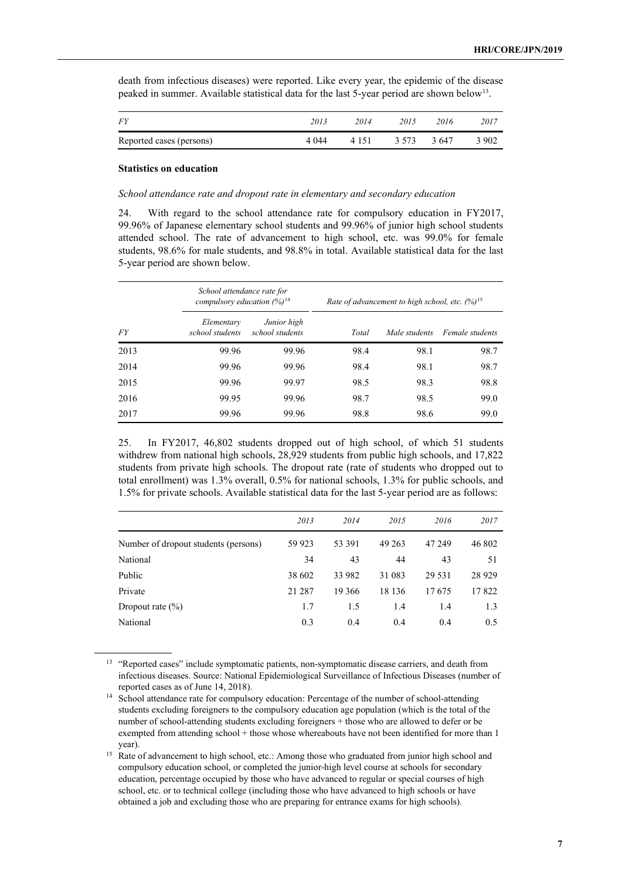| death from infectious diseases) were reported. Like every year, the epidemic of the disease             |  |  |
|---------------------------------------------------------------------------------------------------------|--|--|
| peaked in summer. Available statistical data for the last 5-year period are shown below <sup>13</sup> . |  |  |

| <i>FY</i>                | 2013    | 2014    | 2015  | 2016  | 2017  |
|--------------------------|---------|---------|-------|-------|-------|
| Reported cases (persons) | 4 0 4 4 | 4 1 5 1 | 3.573 | 3.647 | 3 902 |

#### **Statistics on education**

#### *School attendance rate and dropout rate in elementary and secondary education*

24. With regard to the school attendance rate for compulsory education in FY2017, 99.96% of Japanese elementary school students and 99.96% of junior high school students attended school. The rate of advancement to high school, etc. was 99.0% for female students, 98.6% for male students, and 98.8% in total. Available statistical data for the last 5-year period are shown below.

|           | School attendance rate for<br>compulsory education $(%)$ <sup>14</sup> |                                | Rate of advancement to high school, etc. $(%)^{15}$ |               |                 |  |  |
|-----------|------------------------------------------------------------------------|--------------------------------|-----------------------------------------------------|---------------|-----------------|--|--|
| <i>FY</i> | Elementary<br>school students                                          | Junior high<br>school students | Total                                               | Male students | Female students |  |  |
| 2013      | 99.96                                                                  | 99.96                          | 98.4                                                | 98.1          | 98.7            |  |  |
| 2014      | 99.96                                                                  | 99.96                          | 98.4                                                | 98.1          | 98.7            |  |  |
| 2015      | 99.96                                                                  | 99.97                          | 98.5                                                | 98.3          | 98.8            |  |  |
| 2016      | 99.95                                                                  | 99.96                          | 98.7                                                | 98.5          | 99.0            |  |  |
| 2017      | 99.96                                                                  | 99.96                          | 98.8                                                | 98.6          | 99.0            |  |  |

25. In FY2017, 46,802 students dropped out of high school, of which 51 students withdrew from national high schools, 28,929 students from public high schools, and 17,822 students from private high schools. The dropout rate (rate of students who dropped out to total enrollment) was 1.3% overall, 0.5% for national schools, 1.3% for public schools, and 1.5% for private schools. Available statistical data for the last 5-year period are as follows:

|                                      | 2013    | 2014   | 2015    | 2016    | 2017    |
|--------------------------------------|---------|--------|---------|---------|---------|
| Number of dropout students (persons) | 59 9 23 | 53 391 | 49 263  | 47 249  | 46 802  |
| National                             | 34      | 43     | 44      | 43      | 51      |
| Public                               | 38 602  | 33 982 | 31 083  | 29 5 31 | 28 9 29 |
| Private                              | 21 287  | 19 366 | 18 13 6 | 17675   | 17822   |
| Dropout rate $(\% )$                 | 1.7     | 1.5    | 1.4     | 1.4     | 1.3     |
| National                             | 0.3     | 0.4    | 0.4     | 0.4     | 0.5     |

<span id="page-6-0"></span><sup>&</sup>lt;sup>13</sup> "Reported cases" include symptomatic patients, non-symptomatic disease carriers, and death from infectious diseases. Source: National Epidemiological Surveillance of Infectious Diseases (number of reported cases as of June 14, 2018).

<span id="page-6-1"></span><sup>&</sup>lt;sup>14</sup> School attendance rate for compulsory education: Percentage of the number of school-attending students excluding foreigners to the compulsory education age population (which is the total of the number of school-attending students excluding foreigners + those who are allowed to defer or be exempted from attending school + those whose whereabouts have not been identified for more than 1 year).

<span id="page-6-2"></span><sup>&</sup>lt;sup>15</sup> Rate of advancement to high school, etc.: Among those who graduated from junior high school and compulsory education school, or completed the junior-high level course at schools for secondary education, percentage occupied by those who have advanced to regular or special courses of high school, etc. or to technical college (including those who have advanced to high schools or have obtained a job and excluding those who are preparing for entrance exams for high schools).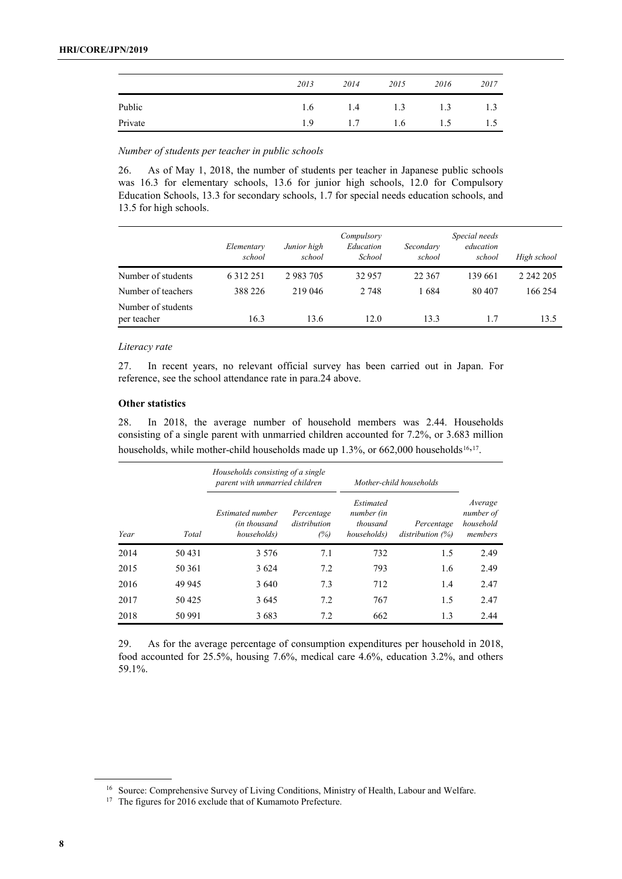|         | 2013 | 2014 | 2015 | 2016 | 2017 |
|---------|------|------|------|------|------|
| Public  | 1.6  | 1.4  | 1.3  | 1.3  | 1.3  |
| Private | 1.9  | 1.7  | 1.6  | 1.5  | ر. 1 |

*Number of students per teacher in public schools*

26. As of May 1, 2018, the number of students per teacher in Japanese public schools was 16.3 for elementary schools, 13.6 for junior high schools, 12.0 for Compulsory Education Schools, 13.3 for secondary schools, 1.7 for special needs education schools, and 13.5 for high schools.

|                                   | Elementary<br>school | Junior high<br>school | Compulsory<br>Education<br>School | Secondary<br>school | Special needs<br>education<br>school | High school |
|-----------------------------------|----------------------|-----------------------|-----------------------------------|---------------------|--------------------------------------|-------------|
| Number of students                | 6 3 1 2 2 5 1        | 2 983 705             | 32 957                            | 22 367              | 139 661                              | 2 242 205   |
| Number of teachers                | 388 226              | 219 046               | 2 748                             | 1684                | 80 407                               | 166 254     |
| Number of students<br>per teacher | 16.3                 | 13.6                  | 12.0                              | 13.3                |                                      | 13.5        |

## *Literacy rate*

27. In recent years, no relevant official survey has been carried out in Japan. For reference, see the school attendance rate in para.24 above.

## **Other statistics**

28. In 2018, the average number of household members was 2.44. Households consisting of a single parent with unmarried children accounted for 7.2%, or 3.683 million households, while mother-child households made up 1.3%, or 662,000 households<sup>[16,](#page-7-0)17</sup>.

|      |        | Households consisting of a single<br>parent with unmarried children |                                   | Mother-child households                            |                                   |                                              |
|------|--------|---------------------------------------------------------------------|-----------------------------------|----------------------------------------------------|-----------------------------------|----------------------------------------------|
| Year | Total  | Estimated number<br>(in thousand<br>households)                     | Percentage<br>distribution<br>(%) | Estimated<br>number (in<br>thousand<br>households) | Percentage<br>distribution $(\%)$ | Average<br>number of<br>household<br>members |
| 2014 | 50 431 | 3 5 7 6                                                             | 7.1                               | 732                                                | 1.5                               | 2.49                                         |
| 2015 | 50 361 | 3624                                                                | 7.2                               | 793                                                | 1.6                               | 2.49                                         |
| 2016 | 49 945 | 3 640                                                               | 7.3                               | 712                                                | 1.4                               | 2.47                                         |
| 2017 | 50425  | 3645                                                                | 7.2                               | 767                                                | 1.5                               | 2.47                                         |
| 2018 | 50 991 | 3683                                                                | 7.2                               | 662                                                | 1.3                               | 2.44                                         |

29. As for the average percentage of consumption expenditures per household in 2018, food accounted for 25.5%, housing 7.6%, medical care 4.6%, education 3.2%, and others 59.1%.

<span id="page-7-0"></span><sup>&</sup>lt;sup>16</sup> Source: Comprehensive Survey of Living Conditions, Ministry of Health, Labour and Welfare.

<span id="page-7-1"></span><sup>&</sup>lt;sup>17</sup> The figures for 2016 exclude that of Kumamoto Prefecture.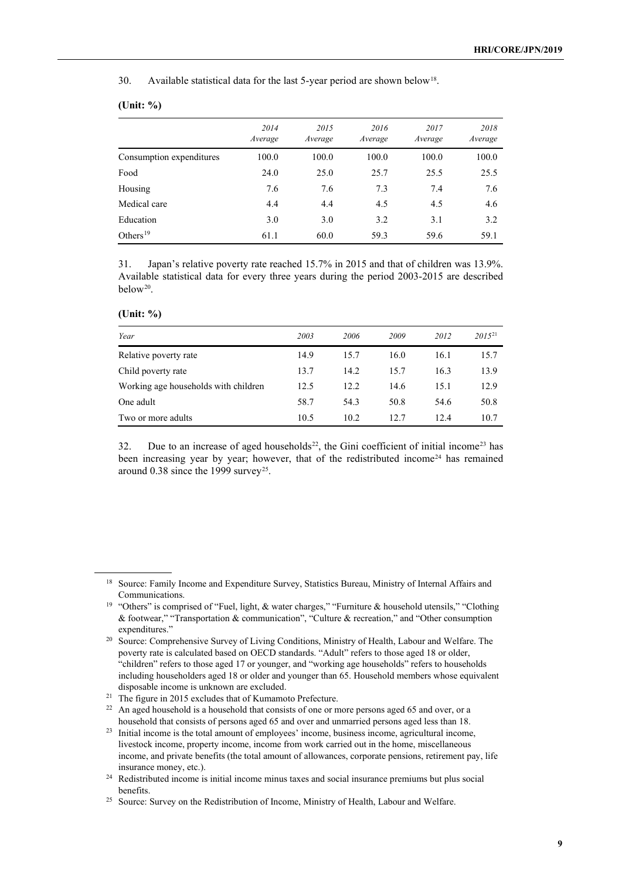30. Available statistical data for the last 5-year period are shown below<sup>[18](#page-8-0)</sup>.

## **(Unit: %)**

|                          | 2014<br>Average | 2015<br>Average | 2016<br>Average | 2017<br>Average | 2018<br>Average |
|--------------------------|-----------------|-----------------|-----------------|-----------------|-----------------|
| Consumption expenditures | 100.0           | 100.0           | 100.0           | 100.0           | 100.0           |
| Food                     | 24.0            | 25.0            | 25.7            | 25.5            | 25.5            |
| Housing                  | 7.6             | 7.6             | 7.3             | 7.4             | 7.6             |
| Medical care             | 4.4             | 4.4             | 4.5             | 4.5             | 4.6             |
| Education                | 3.0             | 3.0             | 3.2             | 3.1             | 3.2             |
| Others <sup>19</sup>     | 61.1            | 60.0            | 59.3            | 59.6            | 59.1            |

31. Japan's relative poverty rate reached 15.7% in 2015 and that of children was 13.9%. Available statistical data for every three years during the period 2003-2015 are described below<sup>[20](#page-8-2)</sup>.

| (Unit: %) |  |
|-----------|--|
|-----------|--|

| Year                                 | 2003 | 2006 | 2009 | 2012 | $2015^{21}$ |
|--------------------------------------|------|------|------|------|-------------|
| Relative poverty rate                | 14.9 | 15.7 | 16.0 | 16.1 | 15.7        |
| Child poverty rate                   | 13.7 | 14.2 | 15.7 | 16.3 | 13.9        |
| Working age households with children | 12.5 | 12.2 | 14.6 | 15.1 | 12.9        |
| One adult                            | 58.7 | 54.3 | 50.8 | 54.6 | 50.8        |
| Two or more adults                   | 10.5 | 10.2 | 12.7 | 12.4 | 10.7        |

32. Due to an increase of aged households<sup>22</sup>, the Gini coefficient of initial income<sup>[23](#page-8-5)</sup> has been increasing year by year; however, that of the redistributed income<sup>[24](#page-8-6)</sup> has remained around 0.38 since the 1999 survey<sup>[25](#page-8-7)</sup>.

<span id="page-8-0"></span><sup>&</sup>lt;sup>18</sup> Source: Family Income and Expenditure Survey, Statistics Bureau, Ministry of Internal Affairs and Communications.

<span id="page-8-1"></span><sup>19</sup> "Others" is comprised of "Fuel, light, & water charges," "Furniture & household utensils," "Clothing & footwear," "Transportation & communication", "Culture & recreation," and "Other consumption expenditures."

<span id="page-8-2"></span><sup>&</sup>lt;sup>20</sup> Source: Comprehensive Survey of Living Conditions, Ministry of Health, Labour and Welfare. The poverty rate is calculated based on OECD standards. "Adult" refers to those aged 18 or older, "children" refers to those aged 17 or younger, and "working age households" refers to households including householders aged 18 or older and younger than 65. Household members whose equivalent disposable income is unknown are excluded.

<span id="page-8-4"></span><span id="page-8-3"></span><sup>&</sup>lt;sup>21</sup> The figure in 2015 excludes that of Kumamoto Prefecture.<br><sup>22</sup> An aged household is a household that consists of one or m

An aged household is a household that consists of one or more persons aged 65 and over, or a household that consists of persons aged 65 and over and unmarried persons aged less than 18.

<span id="page-8-5"></span><sup>&</sup>lt;sup>23</sup> Initial income is the total amount of employees' income, business income, agricultural income, livestock income, property income, income from work carried out in the home, miscellaneous income, and private benefits (the total amount of allowances, corporate pensions, retirement pay, life insurance money, etc.).

<span id="page-8-6"></span><sup>&</sup>lt;sup>24</sup> Redistributed income is initial income minus taxes and social insurance premiums but plus social benefits.

<span id="page-8-7"></span><sup>&</sup>lt;sup>25</sup> Source: Survey on the Redistribution of Income, Ministry of Health, Labour and Welfare.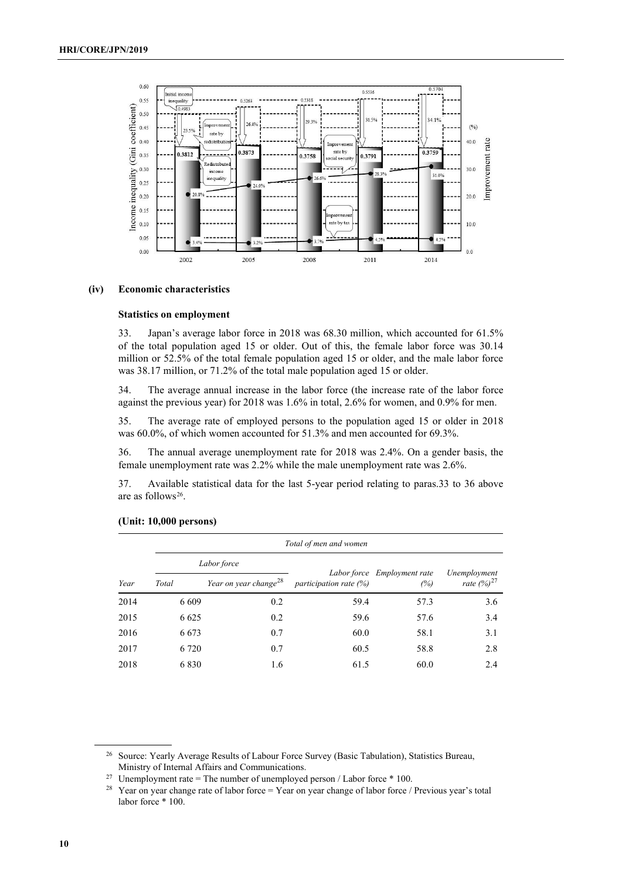

#### **(iv) Economic characteristics**

## **Statistics on employment**

33. Japan's average labor force in 2018 was 68.30 million, which accounted for 61.5% of the total population aged 15 or older. Out of this, the female labor force was 30.14 million or 52.5% of the total female population aged 15 or older, and the male labor force was 38.17 million, or 71.2% of the total male population aged 15 or older.

34. The average annual increase in the labor force (the increase rate of the labor force against the previous year) for 2018 was 1.6% in total, 2.6% for women, and 0.9% for men.

35. The average rate of employed persons to the population aged 15 or older in 2018 was 60.0%, of which women accounted for 51.3% and men accounted for 69.3%.

36. The annual average unemployment rate for 2018 was 2.4%. On a gender basis, the female unemployment rate was 2.2% while the male unemployment rate was 2.6%.

37. Available statistical data for the last 5-year period relating to paras.33 to 36 above are as follows<sup>[26](#page-9-0)</sup>.

|      | Total of men and women |                                   |                          |                             |                 |  |  |  |  |  |
|------|------------------------|-----------------------------------|--------------------------|-----------------------------|-----------------|--|--|--|--|--|
|      |                        | Labor force                       |                          | Labor force Employment rate | Unemployment    |  |  |  |  |  |
| Year | Total                  | Year on year change <sup>28</sup> | participation rate $(%)$ | (%)                         | rate $(%)^{27}$ |  |  |  |  |  |
| 2014 | 6 6 0 9                | 0.2                               | 59.4                     | 57.3                        | 3.6             |  |  |  |  |  |
| 2015 | 6 6 2 5                | 0.2                               | 59.6                     | 57.6                        | 3.4             |  |  |  |  |  |
| 2016 | 6 6 7 3                | 0.7                               | 60.0                     | 58.1                        | 3.1             |  |  |  |  |  |
| 2017 | 6 7 2 0                | 0.7                               | 60.5                     | 58.8                        | 2.8             |  |  |  |  |  |
| 2018 | 6830                   | 1.6                               | 61.5                     | 60.0                        | 2.4             |  |  |  |  |  |

#### **(Unit: 10,000 persons)**

<span id="page-9-0"></span><sup>&</sup>lt;sup>26</sup> Source: Yearly Average Results of Labour Force Survey (Basic Tabulation), Statistics Bureau, Ministry of Internal Affairs and Communications.

<span id="page-9-1"></span><sup>&</sup>lt;sup>27</sup> Unemployment rate = The number of unemployed person / Labor force  $*$  100.

<span id="page-9-2"></span><sup>&</sup>lt;sup>28</sup> Year on year change rate of labor force = Year on year change of labor force / Previous year's total labor force \* 100.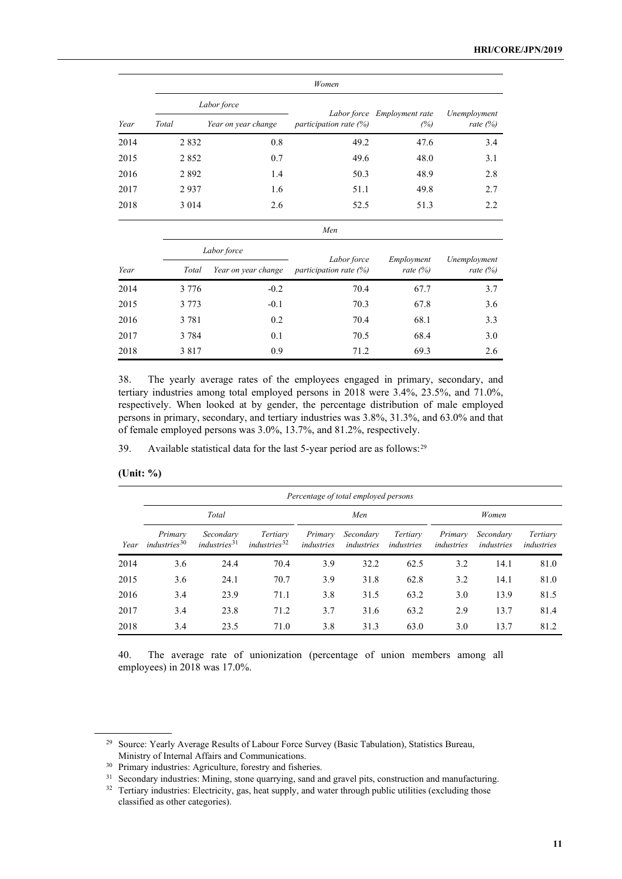|      |                                                                                  | Women                              |                                          |                          |                            |  |  |  |  |  |
|------|----------------------------------------------------------------------------------|------------------------------------|------------------------------------------|--------------------------|----------------------------|--|--|--|--|--|
|      |                                                                                  | Labor force                        |                                          |                          |                            |  |  |  |  |  |
| Year | Total<br>Year on year change<br>participation rate $(\%)$<br>0.8<br>49.2<br>2832 | Labor force Employment rate<br>(%) | Unemployment<br>rate $(\%)$              |                          |                            |  |  |  |  |  |
| 2014 |                                                                                  |                                    |                                          | 47.6                     | 3.4                        |  |  |  |  |  |
| 2015 | 2852                                                                             | 0.7                                | 49.6                                     | 48.0                     | 3.1                        |  |  |  |  |  |
| 2016 | 2892                                                                             | 1.4                                | 50.3                                     | 48.9                     | 2.8                        |  |  |  |  |  |
| 2017 | 2937                                                                             | 1.6                                | 51.1                                     | 49.8                     | 2.7                        |  |  |  |  |  |
| 2018 | 3 0 1 4                                                                          | 2.6                                | 52.5                                     | 51.3                     | 2.2                        |  |  |  |  |  |
|      |                                                                                  |                                    | Men                                      |                          |                            |  |  |  |  |  |
|      |                                                                                  | Labor force                        |                                          |                          |                            |  |  |  |  |  |
| Year | Total                                                                            | Year on year change                | Labor force<br>participation rate $(\%)$ | Employment<br>rate $(%)$ | Unemployment<br>rate $(%)$ |  |  |  |  |  |
| 2014 | 3 7 7 6                                                                          | $-0.2$                             | 70.4                                     | 67.7                     | 3.7                        |  |  |  |  |  |

| 2015 | 3 7 7 3 | $-0.1$ | 70.3 | 67.8 | 3.6 |
|------|---------|--------|------|------|-----|
| 2016 | 3 7 8 1 | 0.2    | 70.4 | 68.1 | 3.3 |
| 2017 | 3 7 8 4 | 0.1    | 70.5 | 68.4 | 3.0 |
| 2018 | 3817    | 0.9    | 71.2 | 69.3 | 2.6 |

38. The yearly average rates of the employees engaged in primary, secondary, and tertiary industries among total employed persons in 2018 were 3.4%, 23.5%, and 71.0%, respectively. When looked at by gender, the percentage distribution of male employed persons in primary, secondary, and tertiary industries was 3.8%, 31.3%, and 63.0% and that of female employed persons was 3.0%, 13.7%, and 81.2%, respectively.

39. Available statistical data for the last 5-year period are as follows:[29](#page-10-0)

| (Unit: %) |  |
|-----------|--|
|           |  |
|           |  |

|      |                                     |                                       |                                      |                       | Percentage of total employed persons |                        |                       |                         |                        |  |
|------|-------------------------------------|---------------------------------------|--------------------------------------|-----------------------|--------------------------------------|------------------------|-----------------------|-------------------------|------------------------|--|
|      | Total                               |                                       |                                      |                       | Men                                  |                        |                       | Women                   |                        |  |
| Year | Primary<br>industries <sup>30</sup> | Secondary<br>industries <sup>31</sup> | Tertiary<br>industries <sup>32</sup> | Primary<br>industries | Secondary<br>industries              | Tertiary<br>industries | Primary<br>industries | Secondary<br>industries | Tertiary<br>industries |  |
| 2014 | 3.6                                 | 24.4                                  | 70.4                                 | 3.9                   | 32.2                                 | 62.5                   | 3.2                   | 14.1                    | 81.0                   |  |
| 2015 | 3.6                                 | 24.1                                  | 70.7                                 | 3.9                   | 31.8                                 | 62.8                   | 3.2                   | 14.1                    | 81.0                   |  |
| 2016 | 3.4                                 | 23.9                                  | 71.1                                 | 3.8                   | 31.5                                 | 63.2                   | 3.0                   | 13.9                    | 81.5                   |  |
| 2017 | 3.4                                 | 23.8                                  | 71.2                                 | 3.7                   | 31.6                                 | 63.2                   | 2.9                   | 13.7                    | 81.4                   |  |
| 2018 | 3.4                                 | 23.5                                  | 71.0                                 | 3.8                   | 31.3                                 | 63.0                   | 3.0                   | 13.7                    | 81.2                   |  |

40. The average rate of unionization (percentage of union members among all employees) in 2018 was 17.0%.

<span id="page-10-0"></span><sup>29</sup> Source: Yearly Average Results of Labour Force Survey (Basic Tabulation), Statistics Bureau, Ministry of Internal Affairs and Communications.

<span id="page-10-1"></span><sup>30</sup> Primary industries: Agriculture, forestry and fisheries.

<span id="page-10-2"></span><sup>&</sup>lt;sup>31</sup> Secondary industries: Mining, stone quarrying, sand and gravel pits, construction and manufacturing.

<span id="page-10-3"></span><sup>&</sup>lt;sup>32</sup> Tertiary industries: Electricity, gas, heat supply, and water through public utilities (excluding those classified as other categories).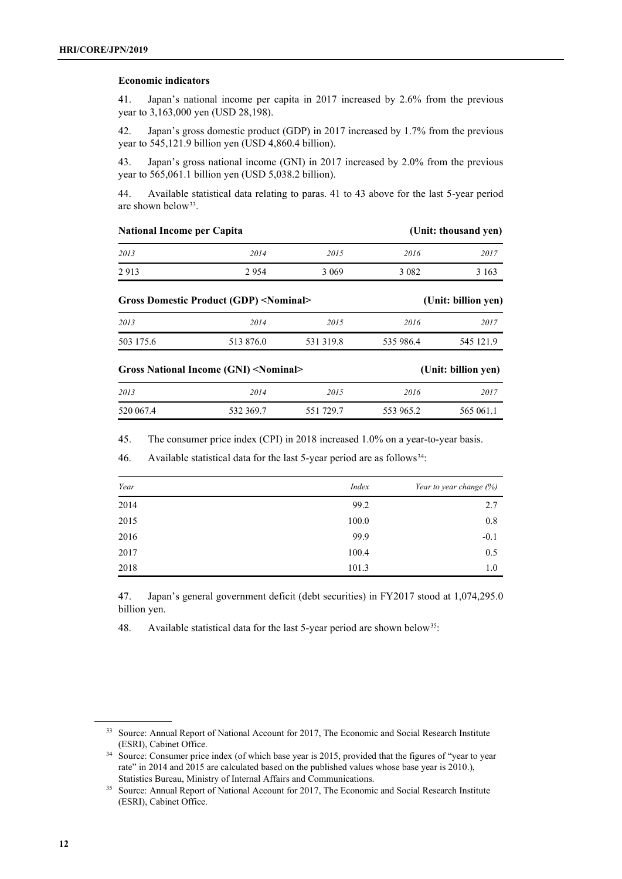## **Economic indicators**

41. Japan's national income per capita in 2017 increased by 2.6% from the previous year to 3,163,000 yen (USD 28,198).

42. Japan's gross domestic product (GDP) in 2017 increased by 1.7% from the previous year to 545,121.9 billion yen (USD 4,860.4 billion).

43. Japan's gross national income (GNI) in 2017 increased by 2.0% from the previous year to 565,061.1 billion yen (USD 5,038.2 billion).

44. Available statistical data relating to paras. 41 to 43 above for the last 5-year period are shown below<sup>33</sup>.

| National Income per Capita |                                                  |           | (Unit: thousand yen) |                     |
|----------------------------|--------------------------------------------------|-----------|----------------------|---------------------|
| 2013                       | 2014                                             | 2015      | 2016                 | 2017                |
| 2913                       | 2954                                             | 3 0 6 9   | 3 0 8 2              | 3 1 6 3             |
|                            | Gross Domestic Product (GDP) <nominal></nominal> |           |                      | (Unit: billion yen) |
| 2013                       | 2014                                             | 2015      | 2016                 | 2017                |
| 503 175.6                  | 513 876.0                                        | 531 319.8 | 535 986.4            | 545 121.9           |
|                            | Gross National Income (GNI) <nominal></nominal>  |           |                      | (Unit: billion yen) |
| 2013                       | 2014                                             | 2015      | 2016                 | 2017                |
| 520 067.4                  | 532 369.7                                        | 551 729.7 | 553 965.2            | 565 061.1           |

45. The consumer price index (CPI) in 2018 increased 1.0% on a year-to-year basis.

46. Available statistical data for the last 5-year period are as follows<sup>34</sup>:

| Year | <i>Index</i> | Year to year change (%) |
|------|--------------|-------------------------|
| 2014 | 99.2         | 2.7                     |
| 2015 | 100.0        | 0.8                     |
| 2016 | 99.9         | $-0.1$                  |
| 2017 | 100.4        | 0.5                     |
| 2018 | 101.3        | 1.0                     |

47. Japan's general government deficit (debt securities) in FY2017 stood at 1,074,295.0 billion yen.

48. Available statistical data for the last 5-year period are shown below<sup>[35](#page-11-2)</sup>:

<span id="page-11-0"></span><sup>&</sup>lt;sup>33</sup> Source: Annual Report of National Account for 2017, The Economic and Social Research Institute (ESRI), Cabinet Office.

<span id="page-11-1"></span><sup>&</sup>lt;sup>34</sup> Source: Consumer price index (of which base year is 2015, provided that the figures of "year to year rate" in 2014 and 2015 are calculated based on the published values whose base year is 2010.), Statistics Bureau, Ministry of Internal Affairs and Communications.

<span id="page-11-2"></span><sup>&</sup>lt;sup>35</sup> Source: Annual Report of National Account for 2017, The Economic and Social Research Institute (ESRI), Cabinet Office.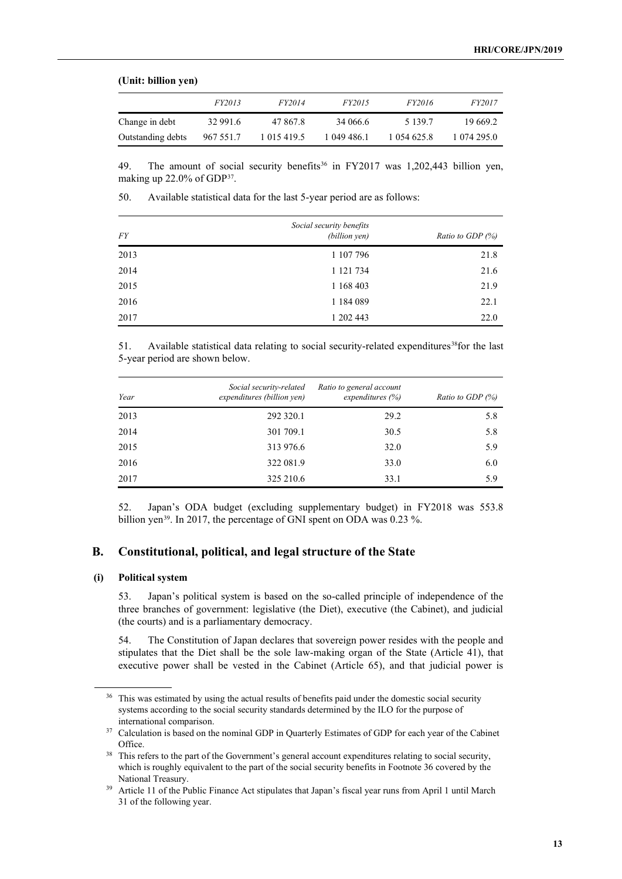#### **(Unit: billion yen)**

|                   | <i>FY2013</i> | <i>FY2014</i> | <i>FY2015</i> | <i>FY2016</i> | <i>FY2017</i> |
|-------------------|---------------|---------------|---------------|---------------|---------------|
| Change in debt    | 32 991.6      | 47 867.8      | 34 066.6      | 5 139.7       | 19 669.2      |
| Outstanding debts | 967 551.7     | 1 015 419.5   | 1 049 486.1   | 1 054 625.8   | 1 074 295.0   |

49. The amount of social security benefits<sup>[36](#page-12-0)</sup> in FY2017 was 1,202,443 billion yen, making up 22.0% of GDP[37.](#page-12-1)

50. Available statistical data for the last 5-year period are as follows:

| <b>FY</b> | Social security benefits<br>(billion yen) | <i>Ratio to GDP <math>(\%)</math></i> |
|-----------|-------------------------------------------|---------------------------------------|
| 2013      | 1 107 796                                 | 21.8                                  |
| 2014      | 1 121 734                                 | 21.6                                  |
| 2015      | 1 168 403                                 | 21.9                                  |
| 2016      | 1 184 089                                 | 22.1                                  |
| 2017      | 1 202 443                                 | 22.0                                  |

51. Available statistical data relating to social security-related expenditures<sup>[38](#page-12-2)</sup>for the last 5-year period are shown below.

| Year | Social security-related<br>expenditures (billion yen) | Ratio to general account<br>expenditures $(\% )$ | <i>Ratio to GDP <math>(\%)</math></i> |
|------|-------------------------------------------------------|--------------------------------------------------|---------------------------------------|
| 2013 | 292 320.1                                             | 29.2                                             | 5.8                                   |
| 2014 | 301 709.1                                             | 30.5                                             | 5.8                                   |
| 2015 | 313 976.6                                             | 32.0                                             | 5.9                                   |
| 2016 | 322 081.9                                             | 33.0                                             | 6.0                                   |
| 2017 | 325 210.6                                             | 33.1                                             | 5.9                                   |

52. Japan's ODA budget (excluding supplementary budget) in FY2018 was 553.8 billion yen<sup>39</sup>. In 2017, the percentage of GNI spent on ODA was 0.23 %.

## **B. Constitutional, political, and legal structure of the State**

## **(i) Political system**

53. Japan's political system is based on the so-called principle of independence of the three branches of government: legislative (the Diet), executive (the Cabinet), and judicial (the courts) and is a parliamentary democracy.

54. The Constitution of Japan declares that sovereign power resides with the people and stipulates that the Diet shall be the sole law-making organ of the State (Article 41), that executive power shall be vested in the Cabinet (Article 65), and that judicial power is

<span id="page-12-0"></span><sup>&</sup>lt;sup>36</sup> This was estimated by using the actual results of benefits paid under the domestic social security systems according to the social security standards determined by the ILO for the purpose of international comparison.

<span id="page-12-1"></span><sup>&</sup>lt;sup>37</sup> Calculation is based on the nominal GDP in Quarterly Estimates of GDP for each year of the Cabinet Office.

<span id="page-12-2"></span><sup>&</sup>lt;sup>38</sup> This refers to the part of the Government's general account expenditures relating to social security, which is roughly equivalent to the part of the social security benefits in Footnote 36 covered by the National Treasury.

<span id="page-12-3"></span><sup>&</sup>lt;sup>39</sup> Article 11 of the Public Finance Act stipulates that Japan's fiscal year runs from April 1 until March 31 of the following year.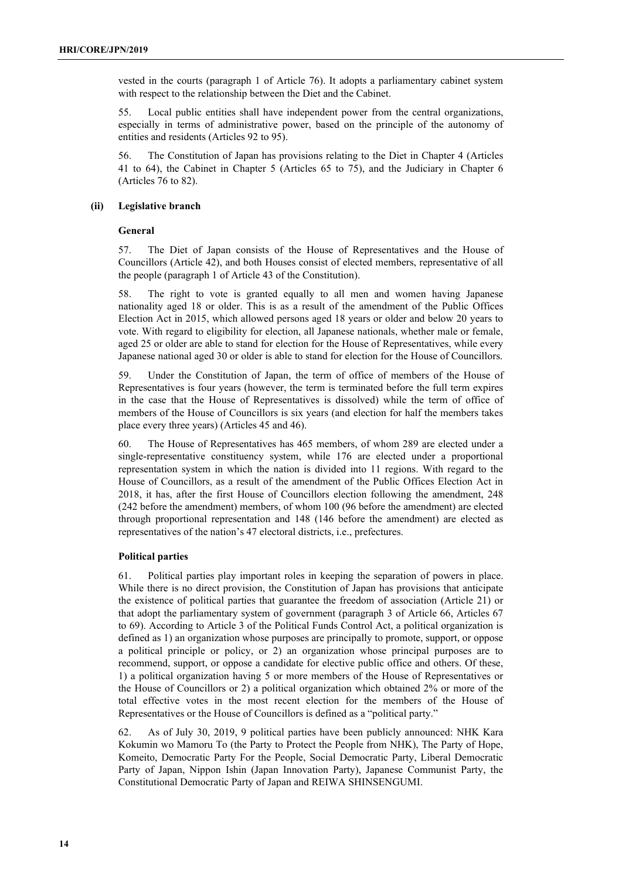vested in the courts (paragraph 1 of Article 76). It adopts a parliamentary cabinet system with respect to the relationship between the Diet and the Cabinet.

55. Local public entities shall have independent power from the central organizations, especially in terms of administrative power, based on the principle of the autonomy of entities and residents (Articles 92 to 95).

56. The Constitution of Japan has provisions relating to the Diet in Chapter 4 (Articles 41 to 64), the Cabinet in Chapter 5 (Articles 65 to 75), and the Judiciary in Chapter 6 (Articles 76 to 82).

## **(ii) Legislative branch**

## **General**

57. The Diet of Japan consists of the House of Representatives and the House of Councillors (Article 42), and both Houses consist of elected members, representative of all the people (paragraph 1 of Article 43 of the Constitution).

58. The right to vote is granted equally to all men and women having Japanese nationality aged 18 or older. This is as a result of the amendment of the Public Offices Election Act in 2015, which allowed persons aged 18 years or older and below 20 years to vote. With regard to eligibility for election, all Japanese nationals, whether male or female, aged 25 or older are able to stand for election for the House of Representatives, while every Japanese national aged 30 or older is able to stand for election for the House of Councillors.

59. Under the Constitution of Japan, the term of office of members of the House of Representatives is four years (however, the term is terminated before the full term expires in the case that the House of Representatives is dissolved) while the term of office of members of the House of Councillors is six years (and election for half the members takes place every three years) (Articles 45 and 46).

60. The House of Representatives has 465 members, of whom 289 are elected under a single-representative constituency system, while 176 are elected under a proportional representation system in which the nation is divided into 11 regions. With regard to the House of Councillors, as a result of the amendment of the Public Offices Election Act in 2018, it has, after the first House of Councillors election following the amendment, 248 (242 before the amendment) members, of whom 100 (96 before the amendment) are elected through proportional representation and 148 (146 before the amendment) are elected as representatives of the nation's 47 electoral districts, i.e., prefectures.

### **Political parties**

61. Political parties play important roles in keeping the separation of powers in place. While there is no direct provision, the Constitution of Japan has provisions that anticipate the existence of political parties that guarantee the freedom of association (Article 21) or that adopt the parliamentary system of government (paragraph 3 of Article 66, Articles 67 to 69). According to Article 3 of the Political Funds Control Act, a political organization is defined as 1) an organization whose purposes are principally to promote, support, or oppose a political principle or policy, or 2) an organization whose principal purposes are to recommend, support, or oppose a candidate for elective public office and others. Of these, 1) a political organization having 5 or more members of the House of Representatives or the House of Councillors or 2) a political organization which obtained 2% or more of the total effective votes in the most recent election for the members of the House of Representatives or the House of Councillors is defined as a "political party."

62. As of July 30, 2019, 9 political parties have been publicly announced: NHK Kara Kokumin wo Mamoru To (the Party to Protect the People from NHK), The Party of Hope, Komeito, Democratic Party For the People, Social Democratic Party, Liberal Democratic Party of Japan, Nippon Ishin (Japan Innovation Party), Japanese Communist Party, the Constitutional Democratic Party of Japan and REIWA SHINSENGUMI.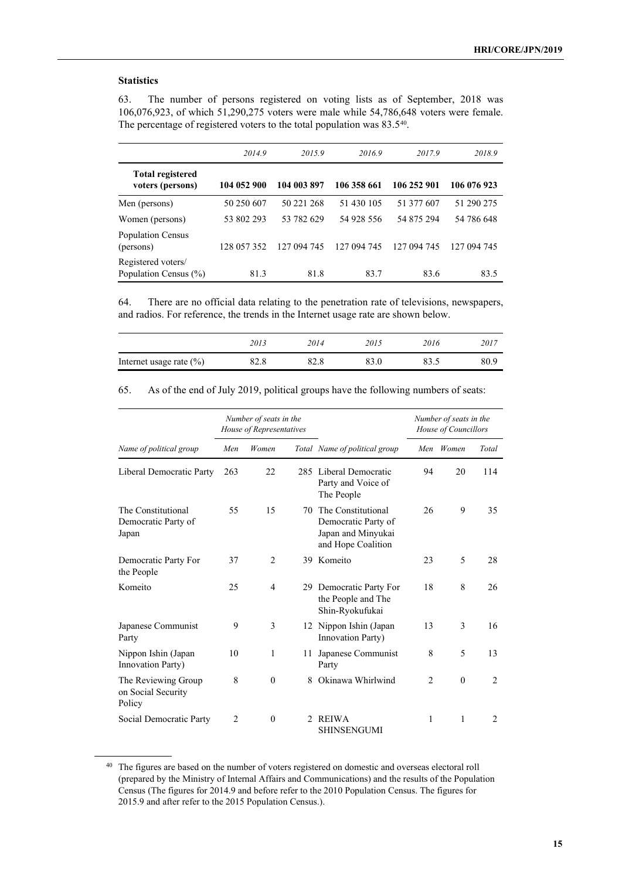## **Statistics**

63. The number of persons registered on voting lists as of September, 2018 was 106,076,923, of which 51,290,275 voters were male while 54,786,648 voters were female. The percentage of registered voters to the total population was 83.5<sup>[40](#page-14-0)</sup>.

|                                             | 2014.9      | 2015.9      | 2016.9      | 2017.9      | 2018.9      |
|---------------------------------------------|-------------|-------------|-------------|-------------|-------------|
| <b>Total registered</b><br>voters (persons) | 104 052 900 | 104 003 897 | 106 358 661 | 106 252 901 | 106 076 923 |
| Men (persons)                               | 50 250 607  | 50 221 268  | 51 430 105  | 51 377 607  | 51 290 275  |
| Women (persons)                             | 53 802 293  | 53 782 629  | 54 928 556  | 54 875 294  | 54 786 648  |
| <b>Population Census</b><br>(persons)       | 128 057 352 | 127 094 745 | 127 094 745 | 127 094 745 | 127 094 745 |
| Registered voters/<br>Population Census (%) | 81.3        | 81.8        | 83.7        | 83.6        | 83.5        |

64. There are no official data relating to the penetration rate of televisions, newspapers, and radios. For reference, the trends in the Internet usage rate are shown below.

|                             | 2013 | 2014 | 2015 | 2016 | 2017 |
|-----------------------------|------|------|------|------|------|
| Internet usage rate $(\% )$ | 82.8 |      |      |      | 80.9 |

65. As of the end of July 2019, political groups have the following numbers of seats:

|                                                     | Number of seats in the<br>House of Representatives |                |    |                                                                                          | Number of seats in the<br>House of Councillors |           |                |
|-----------------------------------------------------|----------------------------------------------------|----------------|----|------------------------------------------------------------------------------------------|------------------------------------------------|-----------|----------------|
| Name of political group                             | Men                                                | Women          |    | Total Name of political group                                                            |                                                | Men Women | Total          |
| Liberal Democratic Party                            | 263                                                | 22             |    | 285 Liberal Democratic<br>Party and Voice of<br>The People                               | 94                                             | 20        | 114            |
| The Constitutional<br>Democratic Party of<br>Japan  | 55                                                 | 15             |    | 70 The Constitutional<br>Democratic Party of<br>Japan and Minyukai<br>and Hope Coalition | 26                                             | 9         | 35             |
| Democratic Party For<br>the People                  | 37                                                 | 2              | 39 | Komeito                                                                                  | 23                                             | 5         | 28             |
| Komeito                                             | 25                                                 | $\overline{4}$ |    | 29 Democratic Party For<br>the People and The<br>Shin-Ryokufukai                         | 18                                             | 8         | 26             |
| Japanese Communist<br>Party                         | 9                                                  | 3              |    | 12 Nippon Ishin (Japan<br>Innovation Party)                                              | 13                                             | 3         | 16             |
| Nippon Ishin (Japan<br>Innovation Party)            | 10                                                 | 1              |    | 11 Japanese Communist<br>Party                                                           | 8                                              | 5         | 13             |
| The Reviewing Group<br>on Social Security<br>Policy | 8                                                  | $\mathbf{0}$   | 8  | Okinawa Whirlwind                                                                        | $\overline{2}$                                 | $\theta$  | $\overline{2}$ |
| Social Democratic Party                             | $\overline{2}$                                     | $\theta$       |    | 2 REIWA<br>SHINSENGUMI                                                                   | 1                                              | 1         | $\overline{2}$ |

<span id="page-14-0"></span><sup>&</sup>lt;sup>40</sup> The figures are based on the number of voters registered on domestic and overseas electoral roll (prepared by the Ministry of Internal Affairs and Communications) and the results of the Population Census (The figures for 2014.9 and before refer to the 2010 Population Census. The figures for 2015.9 and after refer to the 2015 Population Census.).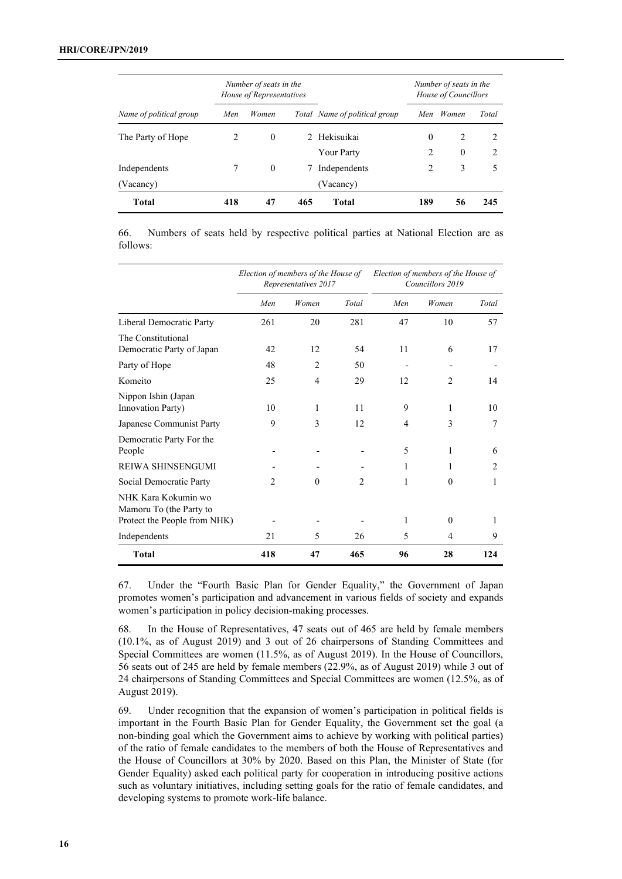|                         | Number of seats in the<br>House of Representatives |          |     | Number of seats in the<br>House of Councillors |          |              |                               |
|-------------------------|----------------------------------------------------|----------|-----|------------------------------------------------|----------|--------------|-------------------------------|
| Name of political group | Men                                                | Women    |     | Total Name of political group                  | Men      | Women        | Total                         |
| The Party of Hope       | $\mathfrak{D}$                                     | $\theta$ |     | 2 Hekisuikai                                   | $\theta$ | 2            |                               |
|                         |                                                    |          |     | <b>Your Party</b>                              | 2        | $\mathbf{0}$ | $\mathfrak{D}_{\mathfrak{p}}$ |
| Independents            |                                                    | $\theta$ | 7   | Independents                                   | 2        | 3            | 5                             |
| (Vacancy)               |                                                    |          |     | (Vacancy)                                      |          |              |                               |
| <b>Total</b>            | 418                                                | 47       | 465 | Total                                          | 189      | 56           | 245                           |

66. Numbers of seats held by respective political parties at National Election are as follows:

|                                                                                | Election of members of the House of<br>Representatives 2017 |                |                |     | Election of members of the House of<br>Councillors 2019 |                               |
|--------------------------------------------------------------------------------|-------------------------------------------------------------|----------------|----------------|-----|---------------------------------------------------------|-------------------------------|
|                                                                                | Men                                                         | Women          | Total          | Men | Women                                                   | Total                         |
| Liberal Democratic Party                                                       | 261                                                         | 20             | 281            | 47  | 10                                                      | 57                            |
| The Constitutional<br>Democratic Party of Japan                                | 42                                                          | 12             | 54             | 11  | 6                                                       | 17                            |
| Party of Hope                                                                  | 48                                                          | $\overline{c}$ | 50             |     |                                                         |                               |
| Komeito                                                                        | 25                                                          | 4              | 29             | 12  | 2                                                       | 14                            |
| Nippon Ishin (Japan<br>Innovation Party)                                       | 10                                                          | 1              | 11             | 9   | 1                                                       | 10                            |
| Japanese Communist Party                                                       | 9                                                           | 3              | 12             | 4   | 3                                                       | 7                             |
| Democratic Party For the<br>People                                             |                                                             |                |                | 5   | 1                                                       | 6                             |
| REIWA SHINSENGUMI                                                              |                                                             |                |                | 1   | 1                                                       | $\mathfrak{D}_{\mathfrak{p}}$ |
| Social Democratic Party                                                        | $\mathfrak{D}$                                              | $\theta$       | $\mathfrak{D}$ | 1   | $\theta$                                                | 1                             |
| NHK Kara Kokumin wo<br>Mamoru To (the Party to<br>Protect the People from NHK) |                                                             |                |                | 1   | $\theta$                                                | 1                             |
| Independents                                                                   | 21                                                          | 5              | 26             | 5   | 4                                                       | 9                             |
| <b>Total</b>                                                                   | 418                                                         | 47             | 465            | 96  | 28                                                      | 124                           |

67. Under the "Fourth Basic Plan for Gender Equality," the Government of Japan promotes women's participation and advancement in various fields of society and expands women's participation in policy decision-making processes.

68. In the House of Representatives, 47 seats out of 465 are held by female members (10.1%, as of August 2019) and 3 out of 26 chairpersons of Standing Committees and Special Committees are women (11.5%, as of August 2019). In the House of Councillors, 56 seats out of 245 are held by female members (22.9%, as of August 2019) while 3 out of 24 chairpersons of Standing Committees and Special Committees are women (12.5%, as of August 2019).

69. Under recognition that the expansion of women's participation in political fields is important in the Fourth Basic Plan for Gender Equality, the Government set the goal (a non-binding goal which the Government aims to achieve by working with political parties) of the ratio of female candidates to the members of both the House of Representatives and the House of Councillors at 30% by 2020. Based on this Plan, the Minister of State (for Gender Equality) asked each political party for cooperation in introducing positive actions such as voluntary initiatives, including setting goals for the ratio of female candidates, and developing systems to promote work-life balance.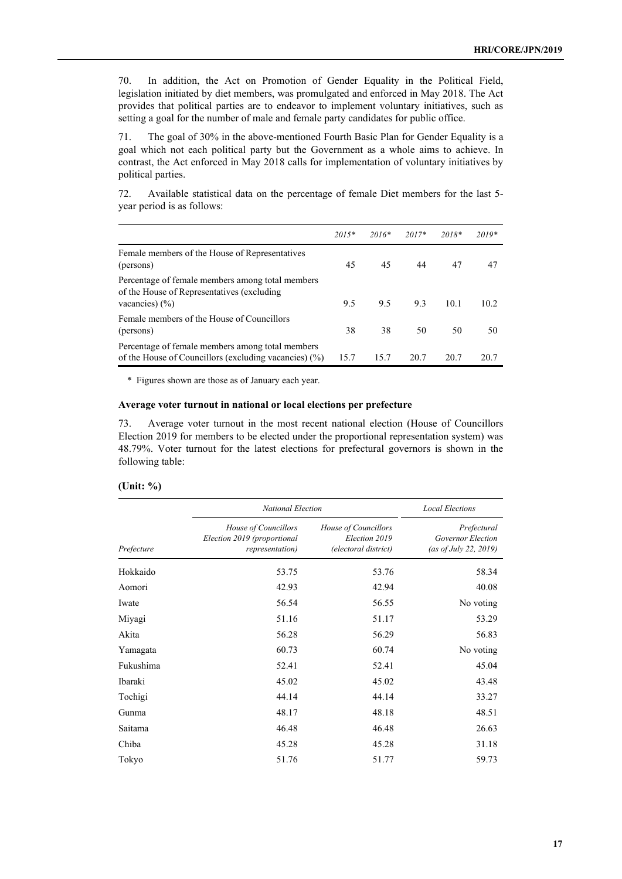70. In addition, the Act on Promotion of Gender Equality in the Political Field, legislation initiated by diet members, was promulgated and enforced in May 2018. The Act provides that political parties are to endeavor to implement voluntary initiatives, such as setting a goal for the number of male and female party candidates for public office.

71. The goal of 30% in the above-mentioned Fourth Basic Plan for Gender Equality is a goal which not each political party but the Government as a whole aims to achieve. In contrast, the Act enforced in May 2018 calls for implementation of voluntary initiatives by political parties.

72. Available statistical data on the percentage of female Diet members for the last 5 year period is as follows:

|                                                                                                                      | $2015*$ | $2016*$ | $2017*$ | $2018*$ | $2019*$ |
|----------------------------------------------------------------------------------------------------------------------|---------|---------|---------|---------|---------|
| Female members of the House of Representatives<br>(persons)                                                          | 45      | 45      | 44      | 47      | 47      |
| Percentage of female members among total members<br>of the House of Representatives (excluding<br>vacancies) $(\% )$ | 9.5     | 9.5     | 9.3     | 10.1    | 10.2    |
| Female members of the House of Councillors<br>(persons)                                                              | 38      | 38      | 50      | 50      | 50      |
| Percentage of female members among total members<br>of the House of Councillors (excluding vacancies) $(\%)$         | 15.7    | 15.7    | 20.7    | 20.7    | 20.7    |

\* Figures shown are those as of January each year.

## **Average voter turnout in national or local elections per prefecture**

73. Average voter turnout in the most recent national election (House of Councillors Election 2019 for members to be elected under the proportional representation system) was 48.79%. Voter turnout for the latest elections for prefectural governors is shown in the following table:

## **(Unit: %)**

|            | <b>National Election</b>                                               | <b>Local Elections</b>                                        |                                                           |
|------------|------------------------------------------------------------------------|---------------------------------------------------------------|-----------------------------------------------------------|
| Prefecture | House of Councillors<br>Election 2019 (proportional<br>representation) | House of Councillors<br>Election 2019<br>(electoral district) | Prefectural<br>Governor Election<br>(as of July 22, 2019) |
| Hokkaido   | 53.75                                                                  | 53.76                                                         | 58.34                                                     |
| Aomori     | 42.93                                                                  | 42.94                                                         | 40.08                                                     |
| Iwate      | 56.54                                                                  | 56.55                                                         | No voting                                                 |
| Miyagi     | 51.16                                                                  | 51.17                                                         | 53.29                                                     |
| Akita      | 56.28                                                                  | 56.29                                                         | 56.83                                                     |
| Yamagata   | 60.73                                                                  | 60.74                                                         | No voting                                                 |
| Fukushima  | 52.41                                                                  | 52.41                                                         | 45.04                                                     |
| Ibaraki    | 45.02                                                                  | 45.02                                                         | 43.48                                                     |
| Tochigi    | 44.14                                                                  | 44.14                                                         | 33.27                                                     |
| Gunma      | 48.17                                                                  | 48.18                                                         | 48.51                                                     |
| Saitama    | 46.48                                                                  | 46.48                                                         | 26.63                                                     |
| Chiba      | 45.28                                                                  | 45.28                                                         | 31.18                                                     |
| Tokyo      | 51.76                                                                  | 51.77                                                         | 59.73                                                     |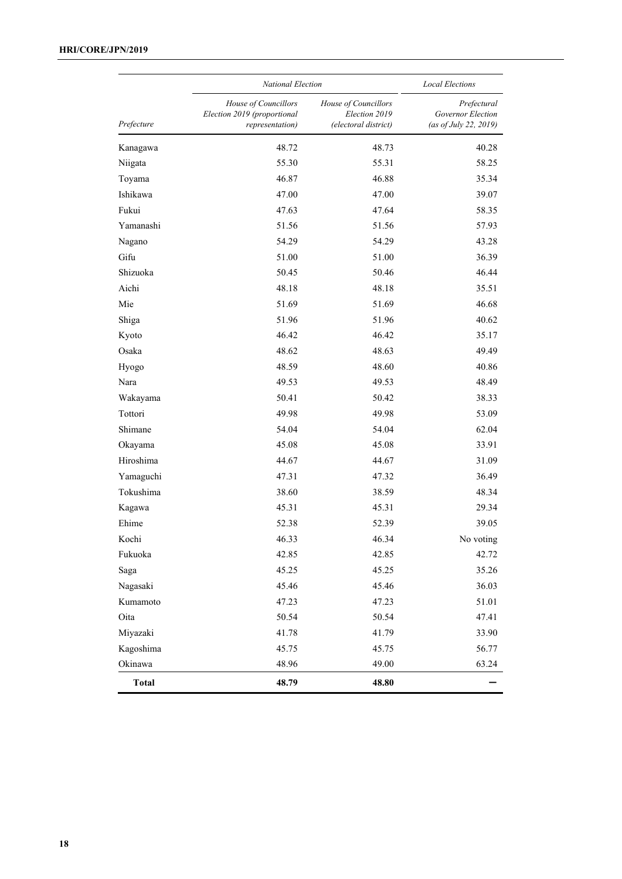|              |                                                                        | <b>National Election</b>                                      |                                                           |  |  |  |
|--------------|------------------------------------------------------------------------|---------------------------------------------------------------|-----------------------------------------------------------|--|--|--|
| Prefecture   | House of Councillors<br>Election 2019 (proportional<br>representation) | House of Councillors<br>Election 2019<br>(electoral district) | Prefectural<br>Governor Election<br>(as of July 22, 2019) |  |  |  |
| Kanagawa     | 48.72                                                                  | 48.73                                                         | 40.28                                                     |  |  |  |
| Niigata      | 55.30                                                                  | 55.31                                                         | 58.25                                                     |  |  |  |
| Toyama       | 46.87                                                                  | 46.88                                                         | 35.34                                                     |  |  |  |
| Ishikawa     | 47.00                                                                  | 47.00                                                         | 39.07                                                     |  |  |  |
| Fukui        | 47.63                                                                  | 47.64                                                         | 58.35                                                     |  |  |  |
| Yamanashi    | 51.56                                                                  | 51.56                                                         | 57.93                                                     |  |  |  |
| Nagano       | 54.29                                                                  | 54.29                                                         | 43.28                                                     |  |  |  |
| Gifu         | 51.00                                                                  | 51.00                                                         | 36.39                                                     |  |  |  |
| Shizuoka     | 50.45                                                                  | 50.46                                                         | 46.44                                                     |  |  |  |
| Aichi        | 48.18                                                                  | 48.18                                                         | 35.51                                                     |  |  |  |
| Mie          | 51.69                                                                  | 51.69                                                         | 46.68                                                     |  |  |  |
| Shiga        | 51.96                                                                  | 51.96                                                         | 40.62                                                     |  |  |  |
| Kyoto        | 46.42                                                                  | 46.42                                                         | 35.17                                                     |  |  |  |
| Osaka        | 48.62                                                                  | 48.63                                                         | 49.49                                                     |  |  |  |
| Hyogo        | 48.59                                                                  | 48.60                                                         | 40.86                                                     |  |  |  |
| Nara         | 49.53                                                                  | 49.53                                                         | 48.49                                                     |  |  |  |
| Wakayama     | 50.41                                                                  | 50.42                                                         | 38.33                                                     |  |  |  |
| Tottori      | 49.98                                                                  | 49.98                                                         | 53.09                                                     |  |  |  |
| Shimane      | 54.04                                                                  | 54.04                                                         | 62.04                                                     |  |  |  |
| Okayama      | 45.08                                                                  | 45.08                                                         | 33.91                                                     |  |  |  |
| Hiroshima    | 44.67                                                                  | 44.67                                                         | 31.09                                                     |  |  |  |
| Yamaguchi    | 47.31                                                                  | 47.32                                                         | 36.49                                                     |  |  |  |
| Tokushima    | 38.60                                                                  | 38.59                                                         | 48.34                                                     |  |  |  |
| Kagawa       | 45.31                                                                  | 45.31                                                         | 29.34                                                     |  |  |  |
| Ehime        | 52.38                                                                  | 52.39                                                         | 39.05                                                     |  |  |  |
| Kochi        | 46.33                                                                  | 46.34                                                         | No voting                                                 |  |  |  |
| Fukuoka      | 42.85                                                                  | 42.85                                                         | 42.72                                                     |  |  |  |
| Saga         | 45.25                                                                  | 45.25                                                         | 35.26                                                     |  |  |  |
| Nagasaki     | 45.46                                                                  | 45.46                                                         | 36.03                                                     |  |  |  |
| Kumamoto     | 47.23                                                                  | 47.23                                                         | 51.01                                                     |  |  |  |
| Oita         | 50.54                                                                  | 50.54                                                         | 47.41                                                     |  |  |  |
| Miyazaki     | 41.78                                                                  | 41.79                                                         | 33.90                                                     |  |  |  |
| Kagoshima    | 45.75                                                                  | 45.75                                                         | 56.77                                                     |  |  |  |
| Okinawa      | 48.96                                                                  | 49.00                                                         | 63.24                                                     |  |  |  |
| <b>Total</b> | 48.79                                                                  | 48.80                                                         |                                                           |  |  |  |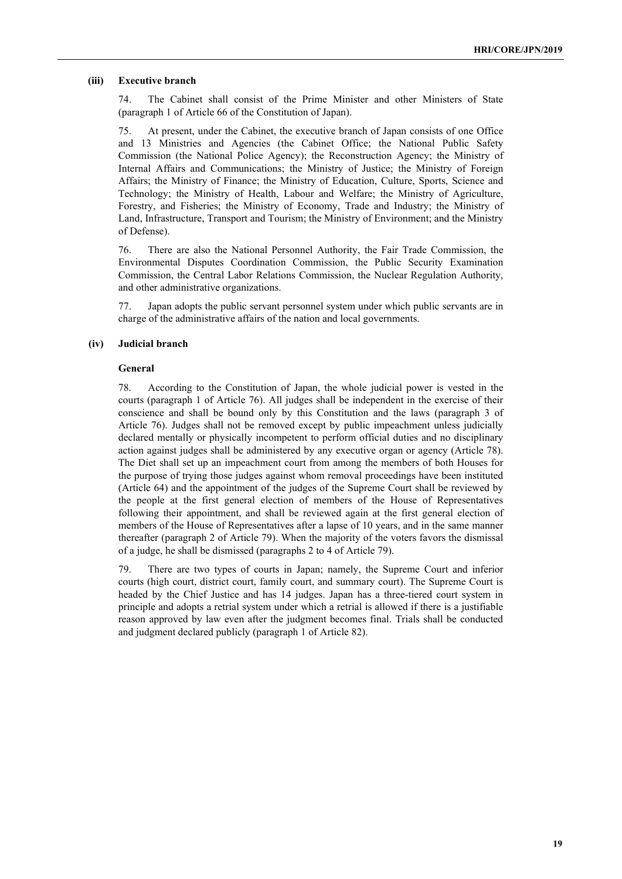#### **(iii) Executive branch**

74. The Cabinet shall consist of the Prime Minister and other Ministers of State (paragraph 1 of Article 66 of the Constitution of Japan).

75. At present, under the Cabinet, the executive branch of Japan consists of one Office and 13 Ministries and Agencies (the Cabinet Office; the National Public Safety Commission (the National Police Agency); the Reconstruction Agency; the Ministry of Internal Affairs and Communications; the Ministry of Justice; the Ministry of Foreign Affairs; the Ministry of Finance; the Ministry of Education, Culture, Sports, Science and Technology; the Ministry of Health, Labour and Welfare; the Ministry of Agriculture, Forestry, and Fisheries; the Ministry of Economy, Trade and Industry; the Ministry of Land, Infrastructure, Transport and Tourism; the Ministry of Environment; and the Ministry of Defense).

76. There are also the National Personnel Authority, the Fair Trade Commission, the Environmental Disputes Coordination Commission, the Public Security Examination Commission, the Central Labor Relations Commission, the Nuclear Regulation Authority, and other administrative organizations.

77. Japan adopts the public servant personnel system under which public servants are in charge of the administrative affairs of the nation and local governments.

#### **(iv) Judicial branch**

#### **General**

78. According to the Constitution of Japan, the whole judicial power is vested in the courts (paragraph 1 of Article 76). All judges shall be independent in the exercise of their conscience and shall be bound only by this Constitution and the laws (paragraph 3 of Article 76). Judges shall not be removed except by public impeachment unless judicially declared mentally or physically incompetent to perform official duties and no disciplinary action against judges shall be administered by any executive organ or agency (Article 78). The Diet shall set up an impeachment court from among the members of both Houses for the purpose of trying those judges against whom removal proceedings have been instituted (Article 64) and the appointment of the judges of the Supreme Court shall be reviewed by the people at the first general election of members of the House of Representatives following their appointment, and shall be reviewed again at the first general election of members of the House of Representatives after a lapse of 10 years, and in the same manner thereafter (paragraph 2 of Article 79). When the majority of the voters favors the dismissal of a judge, he shall be dismissed (paragraphs 2 to 4 of Article 79).

79. There are two types of courts in Japan; namely, the Supreme Court and inferior courts (high court, district court, family court, and summary court). The Supreme Court is headed by the Chief Justice and has 14 judges. Japan has a three-tiered court system in principle and adopts a retrial system under which a retrial is allowed if there is a justifiable reason approved by law even after the judgment becomes final. Trials shall be conducted and judgment declared publicly (paragraph 1 of Article 82).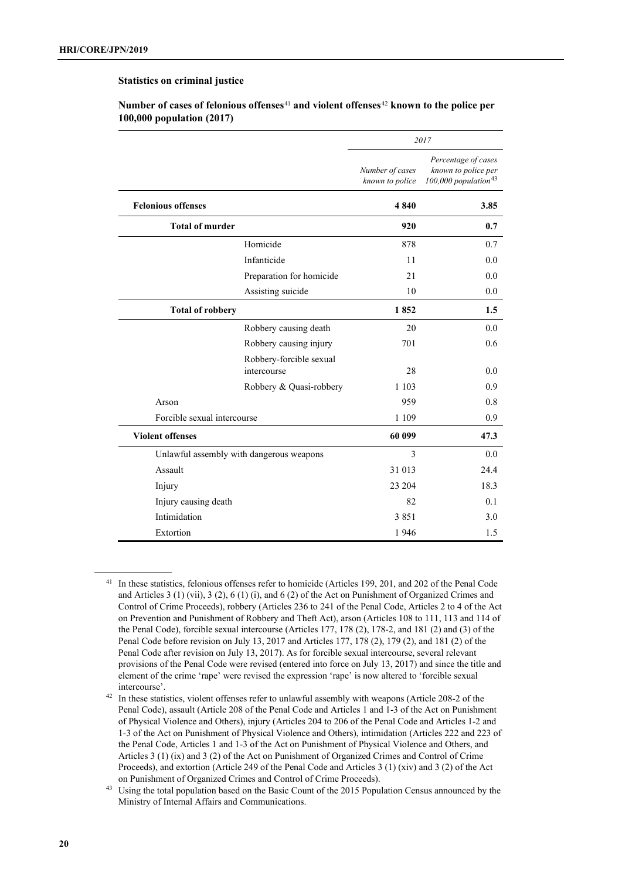#### **Statistics on criminal justice**

|                             |                                          | 2017                               |                                                                                |  |
|-----------------------------|------------------------------------------|------------------------------------|--------------------------------------------------------------------------------|--|
|                             |                                          | Number of cases<br>known to police | Percentage of cases<br>known to police per<br>100,000 population <sup>43</sup> |  |
| <b>Felonious offenses</b>   |                                          | 4840                               | 3.85                                                                           |  |
| <b>Total of murder</b>      |                                          | 920                                | 0.7                                                                            |  |
|                             | Homicide                                 | 878                                | 0.7                                                                            |  |
|                             | Infanticide                              | 11                                 | 0.0                                                                            |  |
|                             | Preparation for homicide                 | 21                                 | 0.0                                                                            |  |
|                             | Assisting suicide                        | 10                                 | 0.0                                                                            |  |
| <b>Total of robbery</b>     |                                          | 1852                               | 1.5                                                                            |  |
|                             | Robbery causing death                    | 20                                 | 0.0                                                                            |  |
|                             | Robbery causing injury                   | 701                                | 0.6                                                                            |  |
|                             | Robbery-forcible sexual<br>intercourse   | 28                                 | 0.0                                                                            |  |
|                             | Robbery & Quasi-robbery                  | 1 1 0 3                            | 0.9                                                                            |  |
| Arson                       |                                          | 959                                | 0.8                                                                            |  |
| Forcible sexual intercourse |                                          | 1 1 0 9                            | 0.9                                                                            |  |
| <b>Violent offenses</b>     |                                          | 60 099                             | 47.3                                                                           |  |
|                             | Unlawful assembly with dangerous weapons | $\mathcal{E}$                      | 0.0                                                                            |  |
| Assault                     |                                          | 31 013                             | 24.4                                                                           |  |
| Injury                      |                                          | 23 204                             | 18.3                                                                           |  |
| Injury causing death        |                                          | 82                                 | 0.1                                                                            |  |
| Intimidation                |                                          | 3851                               | 3.0                                                                            |  |
| Extortion                   |                                          | 1946                               | 1.5                                                                            |  |

**Number of cases of felonious offenses**[41](#page-19-0) **and violent offenses**[42](#page-19-1) **known to the police per 100,000 population (2017)**

<span id="page-19-0"></span><sup>41</sup> In these statistics, felonious offenses refer to homicide (Articles 199, 201, and 202 of the Penal Code and Articles 3 (1) (vii), 3 (2), 6 (1) (i), and 6 (2) of the Act on Punishment of Organized Crimes and Control of Crime Proceeds), robbery (Articles 236 to 241 of the Penal Code, Articles 2 to 4 of the Act on Prevention and Punishment of Robbery and Theft Act), arson (Articles 108 to 111, 113 and 114 of the Penal Code), forcible sexual intercourse (Articles 177, 178 (2), 178-2, and 181 (2) and (3) of the Penal Code before revision on July 13, 2017 and Articles 177, 178 (2), 179 (2), and 181 (2) of the Penal Code after revision on July 13, 2017). As for forcible sexual intercourse, several relevant provisions of the Penal Code were revised (entered into force on July 13, 2017) and since the title and element of the crime 'rape' were revised the expression 'rape' is now altered to 'forcible sexual intercourse'.

<span id="page-19-1"></span><sup>&</sup>lt;sup>42</sup> In these statistics, violent offenses refer to unlawful assembly with weapons (Article 208-2 of the Penal Code), assault (Article 208 of the Penal Code and Articles 1 and 1-3 of the Act on Punishment of Physical Violence and Others), injury (Articles 204 to 206 of the Penal Code and Articles 1-2 and 1-3 of the Act on Punishment of Physical Violence and Others), intimidation (Articles 222 and 223 of the Penal Code, Articles 1 and 1-3 of the Act on Punishment of Physical Violence and Others, and Articles 3 (1) (ix) and 3 (2) of the Act on Punishment of Organized Crimes and Control of Crime Proceeds), and extortion (Article 249 of the Penal Code and Articles 3 (1) (xiv) and 3 (2) of the Act on Punishment of Organized Crimes and Control of Crime Proceeds).

<span id="page-19-2"></span><sup>43</sup> Using the total population based on the Basic Count of the 2015 Population Census announced by the Ministry of Internal Affairs and Communications.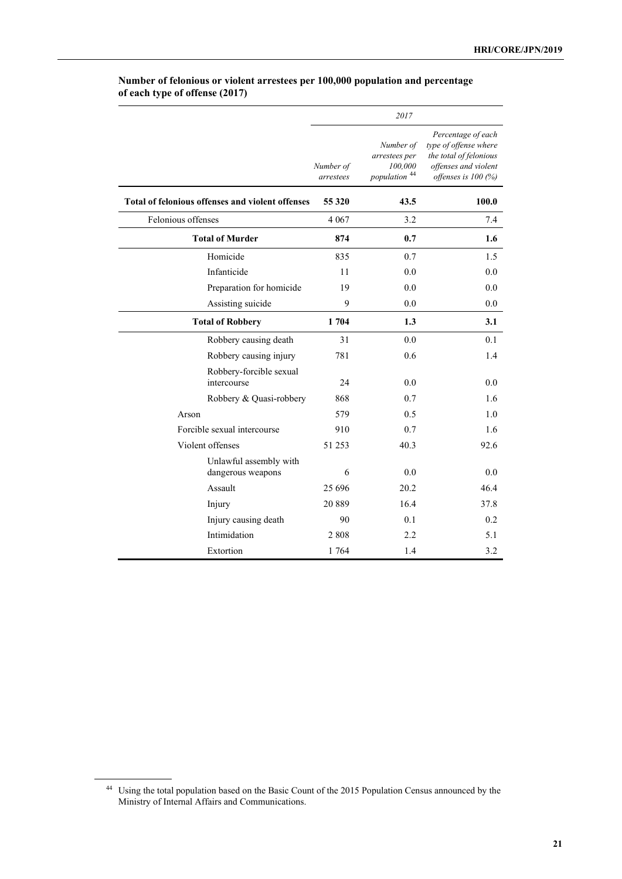|                                                  |                        | 2017                                                              |                                                                                                                         |
|--------------------------------------------------|------------------------|-------------------------------------------------------------------|-------------------------------------------------------------------------------------------------------------------------|
|                                                  | Number of<br>arrestees | Number of<br>arrestees per<br>100,000<br>population <sup>44</sup> | Percentage of each<br>type of offense where<br>the total of felonious<br>offenses and violent<br>offenses is $100\ (%)$ |
| Total of felonious offenses and violent offenses | 55 320                 | 43.5                                                              | 100.0                                                                                                                   |
| Felonious offenses                               | 4 0 6 7                | 3.2                                                               | 7.4                                                                                                                     |
| <b>Total of Murder</b>                           | 874                    | 0.7                                                               | 1.6                                                                                                                     |
| Homicide                                         | 835                    | 0.7                                                               | 1.5                                                                                                                     |
| Infanticide                                      | 11                     | 0.0                                                               | 0.0                                                                                                                     |
| Preparation for homicide                         | 19                     | 0.0                                                               | 0.0                                                                                                                     |
| Assisting suicide                                | 9                      | 0.0                                                               | 0.0                                                                                                                     |
| <b>Total of Robbery</b>                          | 1704                   | 1.3                                                               | 3.1                                                                                                                     |
| Robbery causing death                            | 31                     | 0.0                                                               | 0.1                                                                                                                     |
| Robbery causing injury                           | 781                    | 0.6                                                               | 1.4                                                                                                                     |
| Robbery-forcible sexual<br>intercourse           | 24                     | 0.0                                                               | 0.0                                                                                                                     |
| Robbery & Quasi-robbery                          | 868<br>579             | 0.7                                                               | 1.6                                                                                                                     |
| Arson<br>Forcible sexual intercourse             | 910                    | 0.5<br>0.7                                                        | 1.0<br>1.6                                                                                                              |
| Violent offenses                                 | 51 253                 | 40.3                                                              | 92.6                                                                                                                    |
|                                                  |                        |                                                                   |                                                                                                                         |
| Unlawful assembly with<br>dangerous weapons      | 6                      | 0.0                                                               | 0.0                                                                                                                     |
| Assault                                          | 25 6 9 6               | 20.2                                                              | 46.4                                                                                                                    |
| Injury                                           | 20889                  | 16.4                                                              | 37.8                                                                                                                    |
| Injury causing death                             | 90                     | 0.1                                                               | 0.2                                                                                                                     |
| Intimidation                                     | 2808                   | 2.2                                                               | 5.1                                                                                                                     |
| Extortion                                        | 1764                   | 1.4                                                               | 3.2                                                                                                                     |

# **Number of felonious or violent arrestees per 100,000 population and percentage of each type of offense (2017)**

<span id="page-20-0"></span><sup>44</sup> Using the total population based on the Basic Count of the 2015 Population Census announced by the Ministry of Internal Affairs and Communications.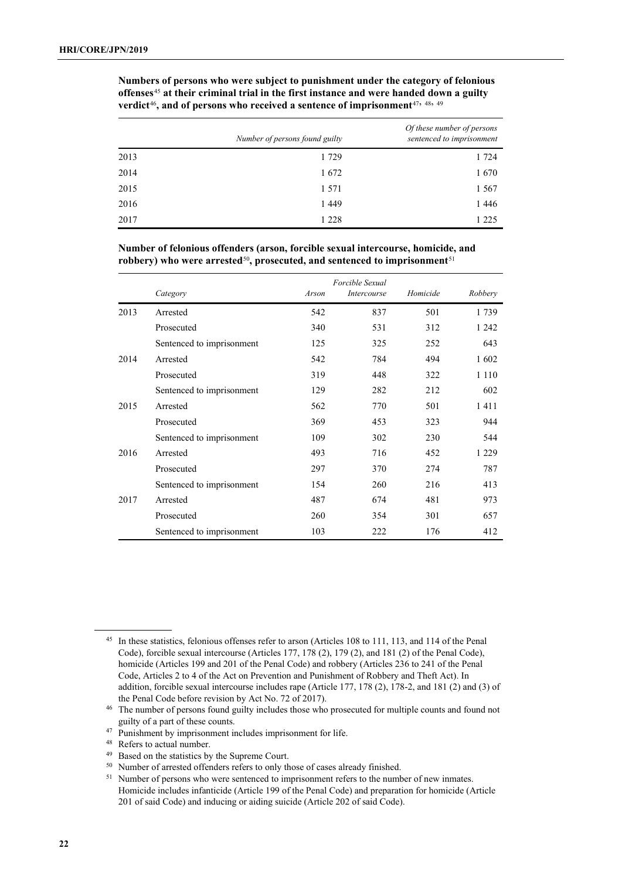|      | Number of persons found guilty | Of these number of persons<br>sentenced to imprisonment |
|------|--------------------------------|---------------------------------------------------------|
| 2013 | 1 7 2 9                        | 1 7 2 4                                                 |
| 2014 | 1672                           | 1670                                                    |
| 2015 | 1 5 7 1                        | 1 5 6 7                                                 |
| 2016 | 1449                           | 1446                                                    |
| 2017 | 1 2 2 8                        | 1 2 2 5                                                 |

**Numbers of persons who were subject to punishment under the category of felonious offenses**[45](#page-21-0) **at their criminal trial in the first instance and were handed down a guilty**  verdict<sup>[46](#page-21-1)</sup>, and of persons who received a sentence of imprisonment<sup>[47](#page-21-2), [48,](#page-21-3) [49](#page-21-4)</sub></sup>

**Number of felonious offenders (arson, forcible sexual intercourse, homicide, and**  robbery) who were arrested<sup>[50](#page-21-5)</sup>, prosecuted, and sentenced to imprisonment<sup>[51](#page-21-6)</sup>

|      | Category                  | Arson | Forcible Sexual<br><i>Intercourse</i> | Homicide | Robbery |
|------|---------------------------|-------|---------------------------------------|----------|---------|
| 2013 | Arrested                  | 542   | 837                                   | 501      | 1739    |
|      | Prosecuted                | 340   | 531                                   | 312      | 1 2 4 2 |
|      | Sentenced to imprisonment | 125   | 325                                   | 252      | 643     |
| 2014 | Arrested                  | 542   | 784                                   | 494      | 1602    |
|      | Prosecuted                | 319   | 448                                   | 322      | 1 1 1 0 |
|      | Sentenced to imprisonment | 129   | 282                                   | 212      | 602     |
| 2015 | Arrested                  | 562   | 770                                   | 501      | 1411    |
|      | Prosecuted                | 369   | 453                                   | 323      | 944     |
|      | Sentenced to imprisonment | 109   | 302                                   | 230      | 544     |
| 2016 | Arrested                  | 493   | 716                                   | 452      | 1 2 2 9 |
|      | Prosecuted                | 297   | 370                                   | 274      | 787     |
|      | Sentenced to imprisonment | 154   | 260                                   | 216      | 413     |
| 2017 | Arrested                  | 487   | 674                                   | 481      | 973     |
|      | Prosecuted                | 260   | 354                                   | 301      | 657     |
|      | Sentenced to imprisonment | 103   | 222                                   | 176      | 412     |

<span id="page-21-0"></span><sup>45</sup> In these statistics, felonious offenses refer to arson (Articles 108 to 111, 113, and 114 of the Penal Code), forcible sexual intercourse (Articles 177, 178 (2), 179 (2), and 181 (2) of the Penal Code), homicide (Articles 199 and 201 of the Penal Code) and robbery (Articles 236 to 241 of the Penal Code, Articles 2 to 4 of the Act on Prevention and Punishment of Robbery and Theft Act). In addition, forcible sexual intercourse includes rape (Article 177, 178 (2), 178-2, and 181 (2) and (3) of the Penal Code before revision by Act No. 72 of 2017).

<span id="page-21-1"></span><sup>46</sup> The number of persons found guilty includes those who prosecuted for multiple counts and found not guilty of a part of these counts.

<span id="page-21-2"></span><sup>&</sup>lt;sup>47</sup> Punishment by imprisonment includes imprisonment for life.

<span id="page-21-3"></span><sup>48</sup> Refers to actual number.

<span id="page-21-5"></span><span id="page-21-4"></span><sup>49</sup> Based on the statistics by the Supreme Court.

<sup>&</sup>lt;sup>50</sup> Number of arrested offenders refers to only those of cases already finished.

<span id="page-21-6"></span><sup>&</sup>lt;sup>51</sup> Number of persons who were sentenced to imprisonment refers to the number of new inmates. Homicide includes infanticide (Article 199 of the Penal Code) and preparation for homicide (Article 201 of said Code) and inducing or aiding suicide (Article 202 of said Code).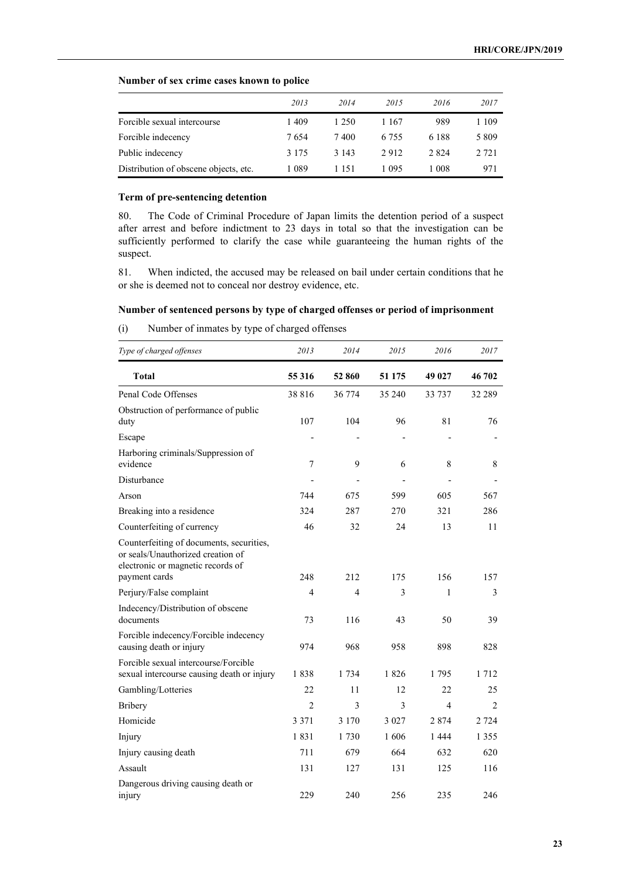## **Number of sex crime cases known to police**

|                                       | 2013    | 2014    | 2015    | 2016    | 2017    |
|---------------------------------------|---------|---------|---------|---------|---------|
| Forcible sexual intercourse           | 1409    | 1 250   | 1 1 6 7 | 989     | 1 109   |
| Forcible indecency                    | 7654    | 7400    | 6.755   | 6 188   | 5 8 0 9 |
| Public indecency                      | 3 1 7 5 | 3 1 4 3 | 2912    | 2 8 2 4 | 2 721   |
| Distribution of obscene objects, etc. | 1 089   | 1 151   | 1 095   | 1 008   | 971     |

## **Term of pre-sentencing detention**

80. The Code of Criminal Procedure of Japan limits the detention period of a suspect after arrest and before indictment to 23 days in total so that the investigation can be sufficiently performed to clarify the case while guaranteeing the human rights of the suspect.

81. When indicted, the accused may be released on bail under certain conditions that he or she is deemed not to conceal nor destroy evidence, etc.

## **Number of sentenced persons by type of charged offenses or period of imprisonment**

(i) Number of inmates by type of charged offenses

| Type of charged offenses                                                                                                            | 2013           | 2014                     | 2015    | 2016         | 2017    |
|-------------------------------------------------------------------------------------------------------------------------------------|----------------|--------------------------|---------|--------------|---------|
| <b>Total</b>                                                                                                                        | 55 316         | 52 860                   | 51 175  | 49 027       | 46 702  |
| Penal Code Offenses                                                                                                                 | 38816          | 36 774                   | 35 240  | 33 737       | 32 289  |
| Obstruction of performance of public<br>duty                                                                                        | 107            | 104                      | 96      | 81           | 76      |
| Escape                                                                                                                              |                |                          |         |              |         |
| Harboring criminals/Suppression of<br>evidence                                                                                      | 7              | 9                        | 6       | 8            | 8       |
| Disturbance                                                                                                                         |                | $\overline{\phantom{0}}$ | -       |              |         |
| Arson                                                                                                                               | 744            | 675                      | 599     | 605          | 567     |
| Breaking into a residence                                                                                                           | 324            | 287                      | 270     | 321          | 286     |
| Counterfeiting of currency                                                                                                          | 46             | 32                       | 24      | 13           | 11      |
| Counterfeiting of documents, securities,<br>or seals/Unauthorized creation of<br>electronic or magnetic records of<br>payment cards | 248            | 212                      | 175     | 156          | 157     |
| Perjury/False complaint                                                                                                             | 4              | 4                        | 3       | $\mathbf{1}$ | 3       |
| Indecency/Distribution of obscene<br>documents                                                                                      | 73             | 116                      | 43      | 50           | 39      |
| Forcible indecency/Forcible indecency<br>causing death or injury                                                                    | 974            | 968                      | 958     | 898          | 828     |
| Forcible sexual intercourse/Forcible<br>sexual intercourse causing death or injury                                                  | 1838           | 1 7 3 4                  | 1826    | 1795         | 1 7 1 2 |
| Gambling/Lotteries                                                                                                                  | 22             | 11                       | 12      | 22           | 25      |
| <b>Bribery</b>                                                                                                                      | $\overline{c}$ | 3                        | 3       | 4            | 2       |
| Homicide                                                                                                                            | 3 3 7 1        | 3 1 7 0                  | 3 0 2 7 | 2874         | 2 7 2 4 |
| Injury                                                                                                                              | 1831           | 1730                     | 1606    | 1444         | 1 3 5 5 |
| Injury causing death                                                                                                                | 711            | 679                      | 664     | 632          | 620     |
| Assault                                                                                                                             | 131            | 127                      | 131     | 125          | 116     |
| Dangerous driving causing death or<br>injury                                                                                        | 229            | 240                      | 256     | 235          | 246     |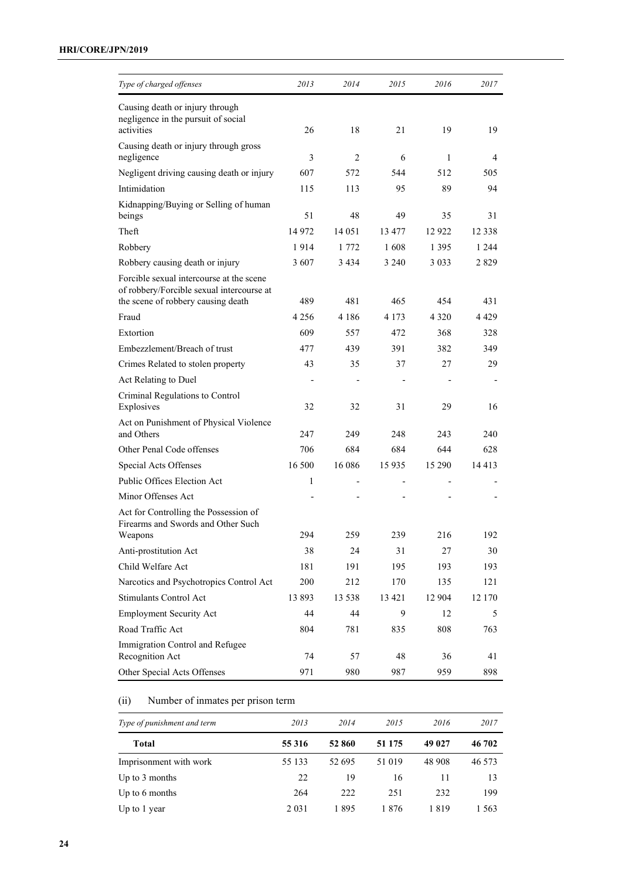| Type of charged offenses                                                                                                    | 2013    | 2014    | 2015    | 2016    | 2017    |
|-----------------------------------------------------------------------------------------------------------------------------|---------|---------|---------|---------|---------|
| Causing death or injury through<br>negligence in the pursuit of social                                                      |         |         |         |         |         |
| activities                                                                                                                  | 26      | 18      | 21      | 19      | 19      |
| Causing death or injury through gross<br>negligence                                                                         | 3       | 2       | 6       | 1       | 4       |
| Negligent driving causing death or injury                                                                                   | 607     | 572     | 544     | 512     | 505     |
| Intimidation                                                                                                                | 115     | 113     | 95      | 89      | 94      |
| Kidnapping/Buying or Selling of human<br>beings                                                                             | 51      | 48      | 49      | 35      | 31      |
| Theft                                                                                                                       | 14972   | 14 05 1 | 13 477  | 12 9 22 | 12 3 38 |
| Robbery                                                                                                                     | 1914    | 1 772   | 1608    | 1 3 9 5 | 1 2 4 4 |
| Robbery causing death or injury                                                                                             | 3 607   | 3 4 3 4 | 3 2 4 0 | 3 0 3 3 | 2829    |
| Forcible sexual intercourse at the scene<br>of robbery/Forcible sexual intercourse at<br>the scene of robbery causing death | 489     | 481     | 465     | 454     | 431     |
| Fraud                                                                                                                       | 4 2 5 6 | 4 1 8 6 | 4 1 7 3 | 4 3 2 0 | 4 4 2 9 |
| Extortion                                                                                                                   | 609     | 557     | 472     | 368     | 328     |
| Embezzlement/Breach of trust                                                                                                | 477     | 439     | 391     | 382     | 349     |
| Crimes Related to stolen property                                                                                           | 43      | 35      | 37      | 27      | 29      |
| Act Relating to Duel                                                                                                        |         |         |         |         |         |
| Criminal Regulations to Control<br>Explosives                                                                               | 32      | 32      | 31      | 29      | 16      |
| Act on Punishment of Physical Violence<br>and Others                                                                        | 247     | 249     | 248     | 243     | 240     |
| Other Penal Code offenses                                                                                                   | 706     | 684     | 684     | 644     | 628     |
| Special Acts Offenses                                                                                                       | 16 500  | 16 08 6 | 15935   | 15 290  | 14413   |
| Public Offices Election Act                                                                                                 | 1       |         |         |         |         |
| Minor Offenses Act                                                                                                          |         |         |         |         |         |
| Act for Controlling the Possession of<br>Firearms and Swords and Other Such                                                 |         |         |         |         |         |
| Weapons                                                                                                                     | 294     | 259     | 239     | 216     | 192     |
| Anti-prostitution Act                                                                                                       | 38      | 24      | 31      | 27      | 30      |
| Child Welfare Act                                                                                                           | 181     | 191     | 195     | 193     | 193     |
| Narcotics and Psychotropics Control Act                                                                                     | 200     | 212     | 170     | 135     | 121     |
| Stimulants Control Act                                                                                                      | 13893   | 13 5 38 | 13 4 21 | 12 904  | 12 170  |
| <b>Employment Security Act</b>                                                                                              | 44      | 44      | 9       | 12      | 5       |
| Road Traffic Act                                                                                                            | 804     | 781     | 835     | 808     | 763     |
| Immigration Control and Refugee<br>Recognition Act                                                                          | 74      | 57      | 48      | 36      | 41      |
| Other Special Acts Offenses                                                                                                 | 971     | 980     | 987     | 959     | 898     |

# (ii) Number of inmates per prison term

| Type of punishment and term | 2013    | 2014   | 2015     | 2016   | 2017    |
|-----------------------------|---------|--------|----------|--------|---------|
| <b>Total</b>                | 55 3 16 | 52 860 | 51 1 7 5 | 49 027 | 46 702  |
| Imprisonment with work      | 55 133  | 52 695 | 51 019   | 48 908 | 46 5 73 |
| Up to $3$ months            | 22      | 19     | 16       | 11     | 13      |
| Up to 6 months              | 264     | 222    | 251      | 232    | 199     |
| Up to 1 year                | 2 0 3 1 | 1895   | 1876     | 1819   | 1563    |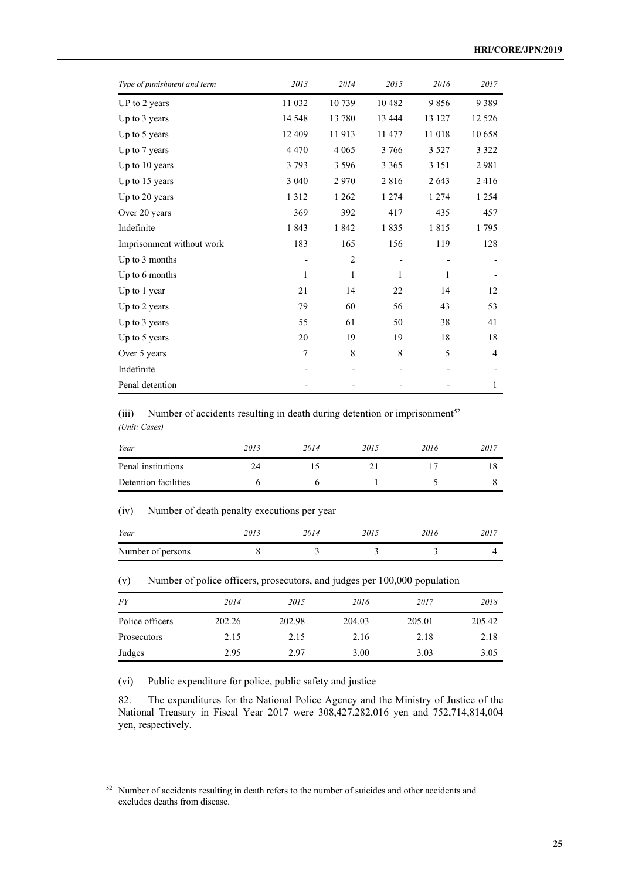| Type of punishment and term | 2013       | 2014           | 2015    | 2016    | 2017    |
|-----------------------------|------------|----------------|---------|---------|---------|
| UP to 2 years               | 11 032     | 10739          | 10 4 82 | 9856    | 9389    |
| Up to 3 years               | 14 5 48    | 13 780         | 13 4 44 | 13 127  | 12 5 26 |
| Up to 5 years               | 12 409     | 11913          | 11 477  | 11018   | 10658   |
| Up to 7 years               | 4 4 7 0    | 4 0 6 5        | 3766    | 3 5 2 7 | 3 3 2 2 |
| Up to 10 years              | 3 7 9 3    | 3 5 9 6        | 3 3 6 5 | 3 1 5 1 | 2981    |
| Up to 15 years              | 3 0 4 0    | 2970           | 2816    | 2 6 4 3 | 2416    |
| Up to 20 years              | 1 3 1 2    | 1 2 6 2        | 1 2 7 4 | 1 2 7 4 | 1 2 5 4 |
| Over 20 years               | 369        | 392            | 417     | 435     | 457     |
| Indefinite                  | 1843       | 1842           | 1835    | 1815    | 1795    |
| Imprisonment without work   | 183        | 165            | 156     | 119     | 128     |
| Up to 3 months              |            | $\overline{2}$ |         |         |         |
| Up to 6 months              | 1          | 1              | 1       | 1       |         |
| Up to 1 year                | 21         | 14             | 22      | 14      | 12      |
| Up to 2 years               | 79         | 60             | 56      | 43      | 53      |
| Up to 3 years               | 55         | 61             | 50      | 38      | 41      |
| Up to 5 years               | 20         | 19             | 19      | 18      | 18      |
| Over 5 years                | $\sqrt{ }$ | 8              | 8       | 5       | 4       |
| Indefinite                  |            |                |         |         |         |
| Penal detention             |            |                |         |         | 1       |

# (iii) Number of accidents resulting in death during detention or imprisonment<sup>[52](#page-24-0)</sup> *(Unit: Cases)*

| Year                 | 2013 | 2014 | 2015 | 2016 | 2017 |
|----------------------|------|------|------|------|------|
| Penal institutions   | 24   |      |      |      | 18   |
| Detention facilities |      |      |      |      |      |

## (iv) Number of death penalty executions per year

| Year              | 2013 | 2014 | 2015 | 2016 | 2017 |
|-------------------|------|------|------|------|------|
| Number of persons |      |      |      |      |      |

(v) Number of police officers, prosecutors, and judges per 100,000 population

| <i>FY</i>       | 2014   | 2015   | 2016   | 2017   | 2018   |
|-----------------|--------|--------|--------|--------|--------|
| Police officers | 202.26 | 202.98 | 204.03 | 205.01 | 205.42 |
| Prosecutors     | 2.15   | 2.15   | 2.16   | 2.18   | 2.18   |
| Judges          | 2.95   | 2.97   | 3.00   | 3.03   | 3.05   |

(vi) Public expenditure for police, public safety and justice

82. The expenditures for the National Police Agency and the Ministry of Justice of the National Treasury in Fiscal Year 2017 were 308,427,282,016 yen and 752,714,814,004 yen, respectively.

<span id="page-24-0"></span><sup>&</sup>lt;sup>52</sup> Number of accidents resulting in death refers to the number of suicides and other accidents and excludes deaths from disease.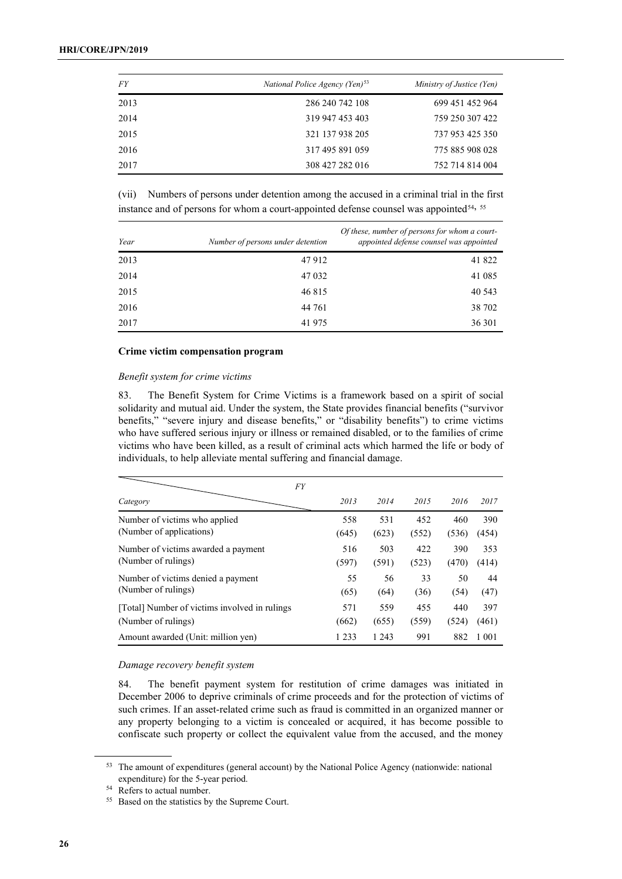| <i>FY</i> | National Police Agency (Yen) <sup>53</sup> | Ministry of Justice (Yen) |
|-----------|--------------------------------------------|---------------------------|
| 2013      | 286 240 742 108                            | 699 451 452 964           |
| 2014      | 319 947 453 403                            | 759 250 307 422           |
| 2015      | 321 137 938 205                            | 737 953 425 350           |
| 2016      | 317 495 891 059                            | 775 885 908 028           |
| 2017      | 308 427 282 016                            | 752 714 814 004           |

(vii) Numbers of persons under detention among the accused in a criminal trial in the first instance and of persons for whom a court-appointed defense counsel was appointed<sup>[54,](#page-25-1) [55](#page-25-2)</sup>

| Year | Number of persons under detention | Of these, number of persons for whom a court-<br>appointed defense counsel was appointed |  |  |
|------|-----------------------------------|------------------------------------------------------------------------------------------|--|--|
| 2013 | 47912                             | 41 822                                                                                   |  |  |
| 2014 | 47 0 32                           | 41 0 85                                                                                  |  |  |
| 2015 | 46815                             | 40 5 43                                                                                  |  |  |
| 2016 | 44 761                            | 38 702                                                                                   |  |  |
| 2017 | 41975                             | 36 301                                                                                   |  |  |

## **Crime victim compensation program**

## *Benefit system for crime victims*

83. The Benefit System for Crime Victims is a framework based on a spirit of social solidarity and mutual aid. Under the system, the State provides financial benefits ("survivor benefits," "severe injury and disease benefits," or "disability benefits") to crime victims who have suffered serious injury or illness or remained disabled, or to the families of crime victims who have been killed, as a result of criminal acts which harmed the life or body of individuals, to help alleviate mental suffering and financial damage.

| <b>FY</b>                                     |         |         |       |       |         |
|-----------------------------------------------|---------|---------|-------|-------|---------|
| Category                                      | 2013    | 2014    | 2015  | 2016  | 2017    |
| Number of victims who applied                 | 558     | 531     | 452   | 460   | 390     |
| (Number of applications)                      | (645)   | (623)   | (552) | (536) | (454)   |
| Number of victims awarded a payment           | 516     | 503     | 422   | 390   | 353     |
| (Number of rulings)                           | (597)   | (591)   | (523) | (470) | (414)   |
| Number of victims denied a payment            | 55      | 56      | 33    | 50    | 44      |
| (Number of rulings)                           | (65)    | (64)    | (36)  | (54)  | (47)    |
| [Total] Number of victims involved in rulings | 571     | 559     | 455   | 440   | 397     |
| (Number of rulings)                           | (662)   | (655)   | (559) | (524) | (461)   |
| Amount awarded (Unit: million yen)            | 1 2 3 3 | 1 2 4 3 | 991   | 882   | 1 0 0 1 |

#### *Damage recovery benefit system*

84. The benefit payment system for restitution of crime damages was initiated in December 2006 to deprive criminals of crime proceeds and for the protection of victims of such crimes. If an asset-related crime such as fraud is committed in an organized manner or any property belonging to a victim is concealed or acquired, it has become possible to confiscate such property or collect the equivalent value from the accused, and the money

<span id="page-25-0"></span><sup>&</sup>lt;sup>53</sup> The amount of expenditures (general account) by the National Police Agency (nationwide: national expenditure) for the 5-year period.

<span id="page-25-1"></span><sup>&</sup>lt;sup>54</sup> Refers to actual number.

<span id="page-25-2"></span><sup>55</sup> Based on the statistics by the Supreme Court.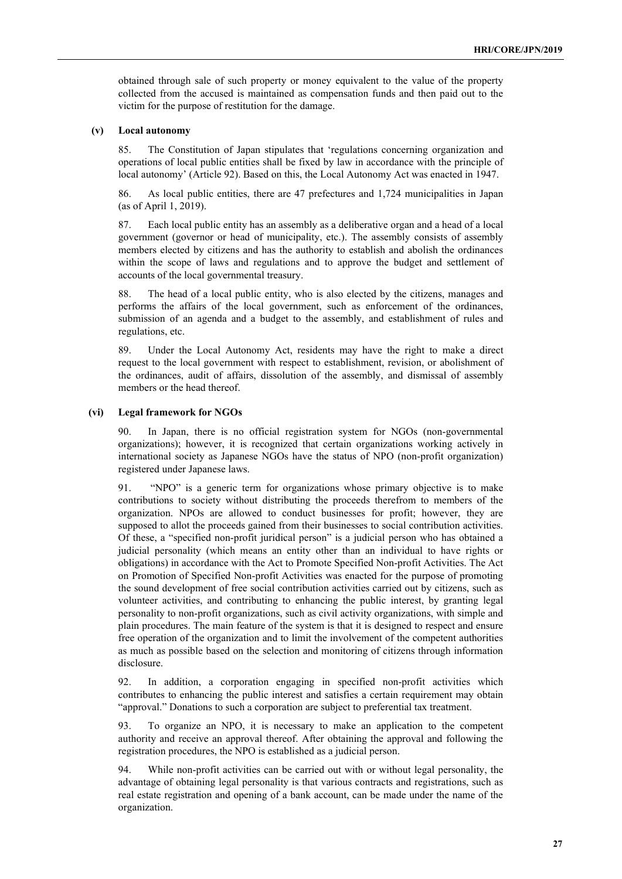obtained through sale of such property or money equivalent to the value of the property collected from the accused is maintained as compensation funds and then paid out to the victim for the purpose of restitution for the damage.

## **(v) Local autonomy**

85. The Constitution of Japan stipulates that 'regulations concerning organization and operations of local public entities shall be fixed by law in accordance with the principle of local autonomy' (Article 92). Based on this, the Local Autonomy Act was enacted in 1947.

86. As local public entities, there are 47 prefectures and 1,724 municipalities in Japan (as of April 1, 2019).

87. Each local public entity has an assembly as a deliberative organ and a head of a local government (governor or head of municipality, etc.). The assembly consists of assembly members elected by citizens and has the authority to establish and abolish the ordinances within the scope of laws and regulations and to approve the budget and settlement of accounts of the local governmental treasury.

88. The head of a local public entity, who is also elected by the citizens, manages and performs the affairs of the local government, such as enforcement of the ordinances, submission of an agenda and a budget to the assembly, and establishment of rules and regulations, etc.

89. Under the Local Autonomy Act, residents may have the right to make a direct request to the local government with respect to establishment, revision, or abolishment of the ordinances, audit of affairs, dissolution of the assembly, and dismissal of assembly members or the head thereof.

#### **(vi) Legal framework for NGOs**

90. In Japan, there is no official registration system for NGOs (non-governmental organizations); however, it is recognized that certain organizations working actively in international society as Japanese NGOs have the status of NPO (non-profit organization) registered under Japanese laws.

91. "NPO" is a generic term for organizations whose primary objective is to make contributions to society without distributing the proceeds therefrom to members of the organization. NPOs are allowed to conduct businesses for profit; however, they are supposed to allot the proceeds gained from their businesses to social contribution activities. Of these, a "specified non-profit juridical person" is a judicial person who has obtained a judicial personality (which means an entity other than an individual to have rights or obligations) in accordance with the Act to Promote Specified Non-profit Activities. The Act on Promotion of Specified Non-profit Activities was enacted for the purpose of promoting the sound development of free social contribution activities carried out by citizens, such as volunteer activities, and contributing to enhancing the public interest, by granting legal personality to non-profit organizations, such as civil activity organizations, with simple and plain procedures. The main feature of the system is that it is designed to respect and ensure free operation of the organization and to limit the involvement of the competent authorities as much as possible based on the selection and monitoring of citizens through information disclosure.

92. In addition, a corporation engaging in specified non-profit activities which contributes to enhancing the public interest and satisfies a certain requirement may obtain "approval." Donations to such a corporation are subject to preferential tax treatment.

93. To organize an NPO, it is necessary to make an application to the competent authority and receive an approval thereof. After obtaining the approval and following the registration procedures, the NPO is established as a judicial person.

94. While non-profit activities can be carried out with or without legal personality, the advantage of obtaining legal personality is that various contracts and registrations, such as real estate registration and opening of a bank account, can be made under the name of the organization.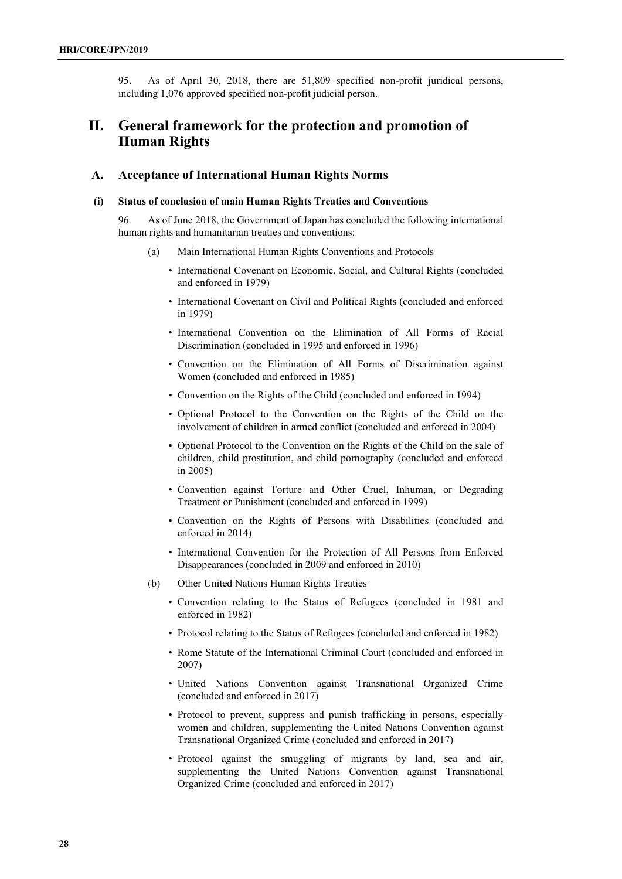95. As of April 30, 2018, there are 51,809 specified non-profit juridical persons, including 1,076 approved specified non-profit judicial person.

# **II. General framework for the protection and promotion of Human Rights**

## **A. Acceptance of International Human Rights Norms**

## **(i) Status of conclusion of main Human Rights Treaties and Conventions**

96. As of June 2018, the Government of Japan has concluded the following international human rights and humanitarian treaties and conventions:

- (a) Main International Human Rights Conventions and Protocols
	- International Covenant on Economic, Social, and Cultural Rights (concluded and enforced in 1979)
	- International Covenant on Civil and Political Rights (concluded and enforced in 1979)
	- International Convention on the Elimination of All Forms of Racial Discrimination (concluded in 1995 and enforced in 1996)
	- Convention on the Elimination of All Forms of Discrimination against Women (concluded and enforced in 1985)
	- Convention on the Rights of the Child (concluded and enforced in 1994)
	- Optional Protocol to the Convention on the Rights of the Child on the involvement of children in armed conflict (concluded and enforced in 2004)
	- Optional Protocol to the Convention on the Rights of the Child on the sale of children, child prostitution, and child pornography (concluded and enforced in 2005)
	- Convention against Torture and Other Cruel, Inhuman, or Degrading Treatment or Punishment (concluded and enforced in 1999)
	- Convention on the Rights of Persons with Disabilities (concluded and enforced in 2014)
	- International Convention for the Protection of All Persons from Enforced Disappearances (concluded in 2009 and enforced in 2010)
- (b) Other United Nations Human Rights Treaties
	- Convention relating to the Status of Refugees (concluded in 1981 and enforced in 1982)
	- Protocol relating to the Status of Refugees (concluded and enforced in 1982)
	- Rome Statute of the International Criminal Court (concluded and enforced in 2007)
	- United Nations Convention against Transnational Organized Crime (concluded and enforced in 2017)
	- Protocol to prevent, suppress and punish trafficking in persons, especially women and children, supplementing the United Nations Convention against Transnational Organized Crime (concluded and enforced in 2017)
	- Protocol against the smuggling of migrants by land, sea and air, supplementing the United Nations Convention against Transnational Organized Crime (concluded and enforced in 2017)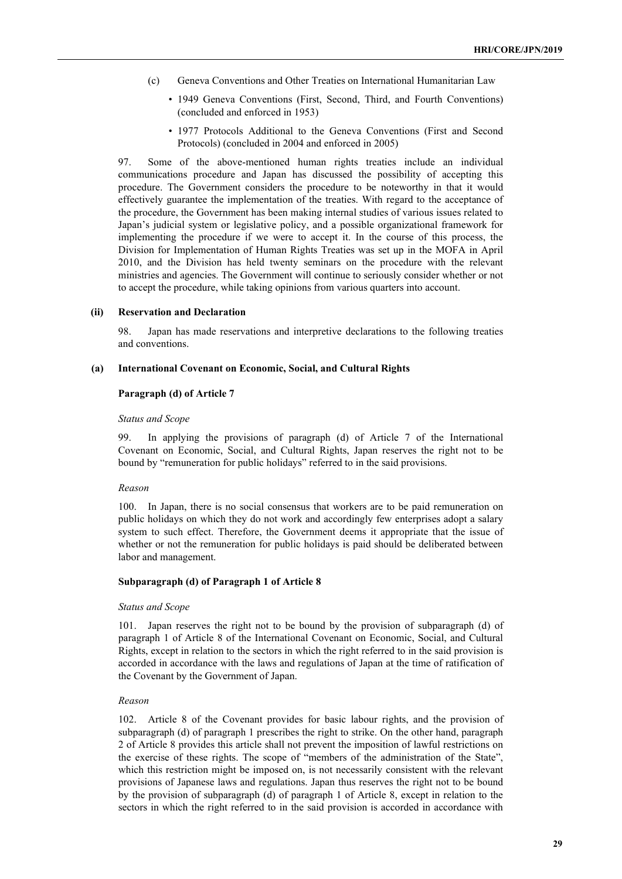- (c) Geneva Conventions and Other Treaties on International Humanitarian Law
	- 1949 Geneva Conventions (First, Second, Third, and Fourth Conventions) (concluded and enforced in 1953)
	- 1977 Protocols Additional to the Geneva Conventions (First and Second Protocols) (concluded in 2004 and enforced in 2005)

97. Some of the above-mentioned human rights treaties include an individual communications procedure and Japan has discussed the possibility of accepting this procedure. The Government considers the procedure to be noteworthy in that it would effectively guarantee the implementation of the treaties. With regard to the acceptance of the procedure, the Government has been making internal studies of various issues related to Japan's judicial system or legislative policy, and a possible organizational framework for implementing the procedure if we were to accept it. In the course of this process, the Division for Implementation of Human Rights Treaties was set up in the MOFA in April 2010, and the Division has held twenty seminars on the procedure with the relevant ministries and agencies. The Government will continue to seriously consider whether or not to accept the procedure, while taking opinions from various quarters into account.

#### **(ii) Reservation and Declaration**

98. Japan has made reservations and interpretive declarations to the following treaties and conventions.

#### **(a) International Covenant on Economic, Social, and Cultural Rights**

## **Paragraph (d) of Article 7**

#### *Status and Scope*

99. In applying the provisions of paragraph (d) of Article 7 of the International Covenant on Economic, Social, and Cultural Rights, Japan reserves the right not to be bound by "remuneration for public holidays" referred to in the said provisions.

#### *Reason*

100. In Japan, there is no social consensus that workers are to be paid remuneration on public holidays on which they do not work and accordingly few enterprises adopt a salary system to such effect. Therefore, the Government deems it appropriate that the issue of whether or not the remuneration for public holidays is paid should be deliberated between labor and management.

#### **Subparagraph (d) of Paragraph 1 of Article 8**

#### *Status and Scope*

101. Japan reserves the right not to be bound by the provision of subparagraph (d) of paragraph 1 of Article 8 of the International Covenant on Economic, Social, and Cultural Rights, except in relation to the sectors in which the right referred to in the said provision is accorded in accordance with the laws and regulations of Japan at the time of ratification of the Covenant by the Government of Japan.

#### *Reason*

102. Article 8 of the Covenant provides for basic labour rights, and the provision of subparagraph (d) of paragraph 1 prescribes the right to strike. On the other hand, paragraph 2 of Article 8 provides this article shall not prevent the imposition of lawful restrictions on the exercise of these rights. The scope of "members of the administration of the State", which this restriction might be imposed on, is not necessarily consistent with the relevant provisions of Japanese laws and regulations. Japan thus reserves the right not to be bound by the provision of subparagraph (d) of paragraph 1 of Article 8, except in relation to the sectors in which the right referred to in the said provision is accorded in accordance with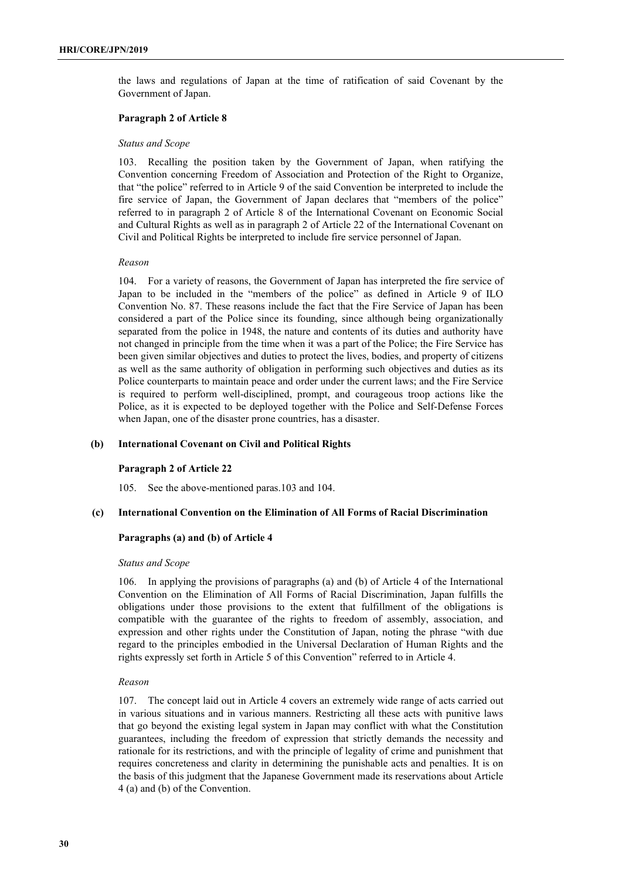the laws and regulations of Japan at the time of ratification of said Covenant by the Government of Japan.

### **Paragraph 2 of Article 8**

#### *Status and Scope*

103. Recalling the position taken by the Government of Japan, when ratifying the Convention concerning Freedom of Association and Protection of the Right to Organize, that "the police" referred to in Article 9 of the said Convention be interpreted to include the fire service of Japan, the Government of Japan declares that "members of the police" referred to in paragraph 2 of Article 8 of the International Covenant on Economic Social and Cultural Rights as well as in paragraph 2 of Article 22 of the International Covenant on Civil and Political Rights be interpreted to include fire service personnel of Japan.

### *Reason*

104. For a variety of reasons, the Government of Japan has interpreted the fire service of Japan to be included in the "members of the police" as defined in Article 9 of ILO Convention No. 87. These reasons include the fact that the Fire Service of Japan has been considered a part of the Police since its founding, since although being organizationally separated from the police in 1948, the nature and contents of its duties and authority have not changed in principle from the time when it was a part of the Police; the Fire Service has been given similar objectives and duties to protect the lives, bodies, and property of citizens as well as the same authority of obligation in performing such objectives and duties as its Police counterparts to maintain peace and order under the current laws; and the Fire Service is required to perform well-disciplined, prompt, and courageous troop actions like the Police, as it is expected to be deployed together with the Police and Self-Defense Forces when Japan, one of the disaster prone countries, has a disaster.

## **(b) International Covenant on Civil and Political Rights**

## **Paragraph 2 of Article 22**

105. See the above-mentioned paras.103 and 104.

### **(c) International Convention on the Elimination of All Forms of Racial Discrimination**

### **Paragraphs (a) and (b) of Article 4**

## *Status and Scope*

106. In applying the provisions of paragraphs (a) and (b) of Article 4 of the International Convention on the Elimination of All Forms of Racial Discrimination, Japan fulfills the obligations under those provisions to the extent that fulfillment of the obligations is compatible with the guarantee of the rights to freedom of assembly, association, and expression and other rights under the Constitution of Japan, noting the phrase "with due regard to the principles embodied in the Universal Declaration of Human Rights and the rights expressly set forth in Article 5 of this Convention" referred to in Article 4.

## *Reason*

107. The concept laid out in Article 4 covers an extremely wide range of acts carried out in various situations and in various manners. Restricting all these acts with punitive laws that go beyond the existing legal system in Japan may conflict with what the Constitution guarantees, including the freedom of expression that strictly demands the necessity and rationale for its restrictions, and with the principle of legality of crime and punishment that requires concreteness and clarity in determining the punishable acts and penalties. It is on the basis of this judgment that the Japanese Government made its reservations about Article 4 (a) and (b) of the Convention.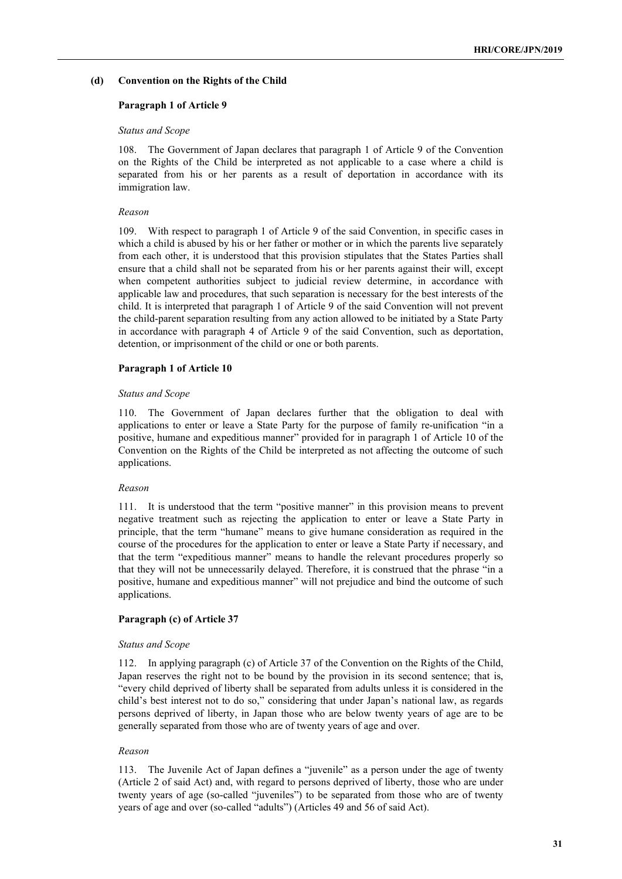### **(d) Convention on the Rights of the Child**

#### **Paragraph 1 of Article 9**

#### *Status and Scope*

108. The Government of Japan declares that paragraph 1 of Article 9 of the Convention on the Rights of the Child be interpreted as not applicable to a case where a child is separated from his or her parents as a result of deportation in accordance with its immigration law.

#### *Reason*

109. With respect to paragraph 1 of Article 9 of the said Convention, in specific cases in which a child is abused by his or her father or mother or in which the parents live separately from each other, it is understood that this provision stipulates that the States Parties shall ensure that a child shall not be separated from his or her parents against their will, except when competent authorities subject to judicial review determine, in accordance with applicable law and procedures, that such separation is necessary for the best interests of the child. It is interpreted that paragraph 1 of Article 9 of the said Convention will not prevent the child-parent separation resulting from any action allowed to be initiated by a State Party in accordance with paragraph 4 of Article 9 of the said Convention, such as deportation, detention, or imprisonment of the child or one or both parents.

#### **Paragraph 1 of Article 10**

#### *Status and Scope*

110. The Government of Japan declares further that the obligation to deal with applications to enter or leave a State Party for the purpose of family re-unification "in a positive, humane and expeditious manner" provided for in paragraph 1 of Article 10 of the Convention on the Rights of the Child be interpreted as not affecting the outcome of such applications.

#### *Reason*

111. It is understood that the term "positive manner" in this provision means to prevent negative treatment such as rejecting the application to enter or leave a State Party in principle, that the term "humane" means to give humane consideration as required in the course of the procedures for the application to enter or leave a State Party if necessary, and that the term "expeditious manner" means to handle the relevant procedures properly so that they will not be unnecessarily delayed. Therefore, it is construed that the phrase "in a positive, humane and expeditious manner" will not prejudice and bind the outcome of such applications.

## **Paragraph (c) of Article 37**

#### *Status and Scope*

112. In applying paragraph (c) of Article 37 of the Convention on the Rights of the Child, Japan reserves the right not to be bound by the provision in its second sentence; that is, "every child deprived of liberty shall be separated from adults unless it is considered in the child's best interest not to do so," considering that under Japan's national law, as regards persons deprived of liberty, in Japan those who are below twenty years of age are to be generally separated from those who are of twenty years of age and over.

#### *Reason*

113. The Juvenile Act of Japan defines a "juvenile" as a person under the age of twenty (Article 2 of said Act) and, with regard to persons deprived of liberty, those who are under twenty years of age (so-called "juveniles") to be separated from those who are of twenty years of age and over (so-called "adults") (Articles 49 and 56 of said Act).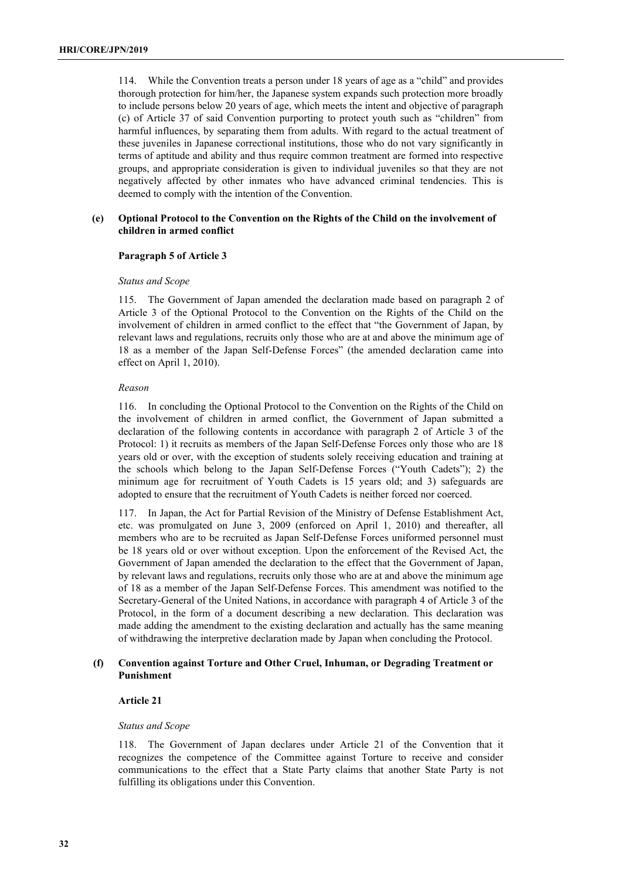114. While the Convention treats a person under 18 years of age as a "child" and provides thorough protection for him/her, the Japanese system expands such protection more broadly to include persons below 20 years of age, which meets the intent and objective of paragraph (c) of Article 37 of said Convention purporting to protect youth such as "children" from harmful influences, by separating them from adults. With regard to the actual treatment of these juveniles in Japanese correctional institutions, those who do not vary significantly in terms of aptitude and ability and thus require common treatment are formed into respective groups, and appropriate consideration is given to individual juveniles so that they are not negatively affected by other inmates who have advanced criminal tendencies. This is deemed to comply with the intention of the Convention.

## **(e) Optional Protocol to the Convention on the Rights of the Child on the involvement of children in armed conflict**

## **Paragraph 5 of Article 3**

### *Status and Scope*

115. The Government of Japan amended the declaration made based on paragraph 2 of Article 3 of the Optional Protocol to the Convention on the Rights of the Child on the involvement of children in armed conflict to the effect that "the Government of Japan, by relevant laws and regulations, recruits only those who are at and above the minimum age of 18 as a member of the Japan Self-Defense Forces" (the amended declaration came into effect on April 1, 2010).

### *Reason*

116. In concluding the Optional Protocol to the Convention on the Rights of the Child on the involvement of children in armed conflict, the Government of Japan submitted a declaration of the following contents in accordance with paragraph 2 of Article 3 of the Protocol: 1) it recruits as members of the Japan Self-Defense Forces only those who are 18 years old or over, with the exception of students solely receiving education and training at the schools which belong to the Japan Self-Defense Forces ("Youth Cadets"); 2) the minimum age for recruitment of Youth Cadets is 15 years old; and 3) safeguards are adopted to ensure that the recruitment of Youth Cadets is neither forced nor coerced.

117. In Japan, the Act for Partial Revision of the Ministry of Defense Establishment Act, etc. was promulgated on June 3, 2009 (enforced on April 1, 2010) and thereafter, all members who are to be recruited as Japan Self-Defense Forces uniformed personnel must be 18 years old or over without exception. Upon the enforcement of the Revised Act, the Government of Japan amended the declaration to the effect that the Government of Japan, by relevant laws and regulations, recruits only those who are at and above the minimum age of 18 as a member of the Japan Self-Defense Forces. This amendment was notified to the Secretary-General of the United Nations, in accordance with paragraph 4 of Article 3 of the Protocol, in the form of a document describing a new declaration. This declaration was made adding the amendment to the existing declaration and actually has the same meaning of withdrawing the interpretive declaration made by Japan when concluding the Protocol.

## **(f) Convention against Torture and Other Cruel, Inhuman, or Degrading Treatment or Punishment**

## **Article 21**

### *Status and Scope*

118. The Government of Japan declares under Article 21 of the Convention that it recognizes the competence of the Committee against Torture to receive and consider communications to the effect that a State Party claims that another State Party is not fulfilling its obligations under this Convention.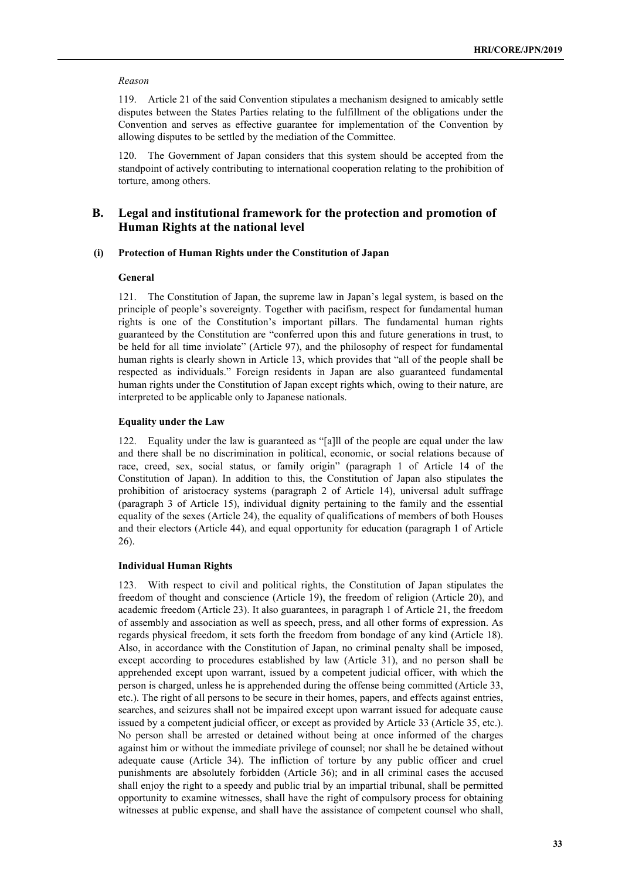#### *Reason*

119. Article 21 of the said Convention stipulates a mechanism designed to amicably settle disputes between the States Parties relating to the fulfillment of the obligations under the Convention and serves as effective guarantee for implementation of the Convention by allowing disputes to be settled by the mediation of the Committee.

120. The Government of Japan considers that this system should be accepted from the standpoint of actively contributing to international cooperation relating to the prohibition of torture, among others.

# **B. Legal and institutional framework for the protection and promotion of Human Rights at the national level**

### **(i) Protection of Human Rights under the Constitution of Japan**

#### **General**

121. The Constitution of Japan, the supreme law in Japan's legal system, is based on the principle of people's sovereignty. Together with pacifism, respect for fundamental human rights is one of the Constitution's important pillars. The fundamental human rights guaranteed by the Constitution are "conferred upon this and future generations in trust, to be held for all time inviolate" (Article 97), and the philosophy of respect for fundamental human rights is clearly shown in Article 13, which provides that "all of the people shall be respected as individuals." Foreign residents in Japan are also guaranteed fundamental human rights under the Constitution of Japan except rights which, owing to their nature, are interpreted to be applicable only to Japanese nationals.

#### **Equality under the Law**

122. Equality under the law is guaranteed as "[a]ll of the people are equal under the law and there shall be no discrimination in political, economic, or social relations because of race, creed, sex, social status, or family origin" (paragraph 1 of Article 14 of the Constitution of Japan). In addition to this, the Constitution of Japan also stipulates the prohibition of aristocracy systems (paragraph 2 of Article 14), universal adult suffrage (paragraph 3 of Article 15), individual dignity pertaining to the family and the essential equality of the sexes (Article 24), the equality of qualifications of members of both Houses and their electors (Article 44), and equal opportunity for education (paragraph 1 of Article 26).

## **Individual Human Rights**

123. With respect to civil and political rights, the Constitution of Japan stipulates the freedom of thought and conscience (Article 19), the freedom of religion (Article 20), and academic freedom (Article 23). It also guarantees, in paragraph 1 of Article 21, the freedom of assembly and association as well as speech, press, and all other forms of expression. As regards physical freedom, it sets forth the freedom from bondage of any kind (Article 18). Also, in accordance with the Constitution of Japan, no criminal penalty shall be imposed, except according to procedures established by law (Article 31), and no person shall be apprehended except upon warrant, issued by a competent judicial officer, with which the person is charged, unless he is apprehended during the offense being committed (Article 33, etc.). The right of all persons to be secure in their homes, papers, and effects against entries, searches, and seizures shall not be impaired except upon warrant issued for adequate cause issued by a competent judicial officer, or except as provided by Article 33 (Article 35, etc.). No person shall be arrested or detained without being at once informed of the charges against him or without the immediate privilege of counsel; nor shall he be detained without adequate cause (Article 34). The infliction of torture by any public officer and cruel punishments are absolutely forbidden (Article 36); and in all criminal cases the accused shall enjoy the right to a speedy and public trial by an impartial tribunal, shall be permitted opportunity to examine witnesses, shall have the right of compulsory process for obtaining witnesses at public expense, and shall have the assistance of competent counsel who shall,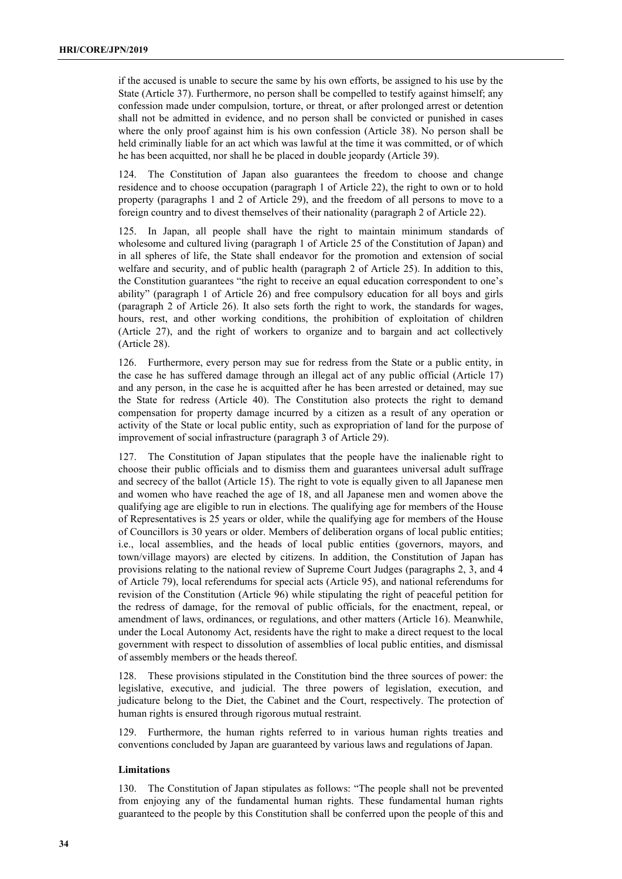if the accused is unable to secure the same by his own efforts, be assigned to his use by the State (Article 37). Furthermore, no person shall be compelled to testify against himself; any confession made under compulsion, torture, or threat, or after prolonged arrest or detention shall not be admitted in evidence, and no person shall be convicted or punished in cases where the only proof against him is his own confession (Article 38). No person shall be held criminally liable for an act which was lawful at the time it was committed, or of which he has been acquitted, nor shall he be placed in double jeopardy (Article 39).

124. The Constitution of Japan also guarantees the freedom to choose and change residence and to choose occupation (paragraph 1 of Article 22), the right to own or to hold property (paragraphs 1 and 2 of Article 29), and the freedom of all persons to move to a foreign country and to divest themselves of their nationality (paragraph 2 of Article 22).

125. In Japan, all people shall have the right to maintain minimum standards of wholesome and cultured living (paragraph 1 of Article 25 of the Constitution of Japan) and in all spheres of life, the State shall endeavor for the promotion and extension of social welfare and security, and of public health (paragraph 2 of Article 25). In addition to this, the Constitution guarantees "the right to receive an equal education correspondent to one's ability" (paragraph 1 of Article 26) and free compulsory education for all boys and girls (paragraph 2 of Article 26). It also sets forth the right to work, the standards for wages, hours, rest, and other working conditions, the prohibition of exploitation of children (Article 27), and the right of workers to organize and to bargain and act collectively (Article 28).

126. Furthermore, every person may sue for redress from the State or a public entity, in the case he has suffered damage through an illegal act of any public official (Article 17) and any person, in the case he is acquitted after he has been arrested or detained, may sue the State for redress (Article 40). The Constitution also protects the right to demand compensation for property damage incurred by a citizen as a result of any operation or activity of the State or local public entity, such as expropriation of land for the purpose of improvement of social infrastructure (paragraph 3 of Article 29).

127. The Constitution of Japan stipulates that the people have the inalienable right to choose their public officials and to dismiss them and guarantees universal adult suffrage and secrecy of the ballot (Article 15). The right to vote is equally given to all Japanese men and women who have reached the age of 18, and all Japanese men and women above the qualifying age are eligible to run in elections. The qualifying age for members of the House of Representatives is 25 years or older, while the qualifying age for members of the House of Councillors is 30 years or older. Members of deliberation organs of local public entities; i.e., local assemblies, and the heads of local public entities (governors, mayors, and town/village mayors) are elected by citizens. In addition, the Constitution of Japan has provisions relating to the national review of Supreme Court Judges (paragraphs 2, 3, and 4 of Article 79), local referendums for special acts (Article 95), and national referendums for revision of the Constitution (Article 96) while stipulating the right of peaceful petition for the redress of damage, for the removal of public officials, for the enactment, repeal, or amendment of laws, ordinances, or regulations, and other matters (Article 16). Meanwhile, under the Local Autonomy Act, residents have the right to make a direct request to the local government with respect to dissolution of assemblies of local public entities, and dismissal of assembly members or the heads thereof.

128. These provisions stipulated in the Constitution bind the three sources of power: the legislative, executive, and judicial. The three powers of legislation, execution, and judicature belong to the Diet, the Cabinet and the Court, respectively. The protection of human rights is ensured through rigorous mutual restraint.

129. Furthermore, the human rights referred to in various human rights treaties and conventions concluded by Japan are guaranteed by various laws and regulations of Japan.

### **Limitations**

130. The Constitution of Japan stipulates as follows: "The people shall not be prevented from enjoying any of the fundamental human rights. These fundamental human rights guaranteed to the people by this Constitution shall be conferred upon the people of this and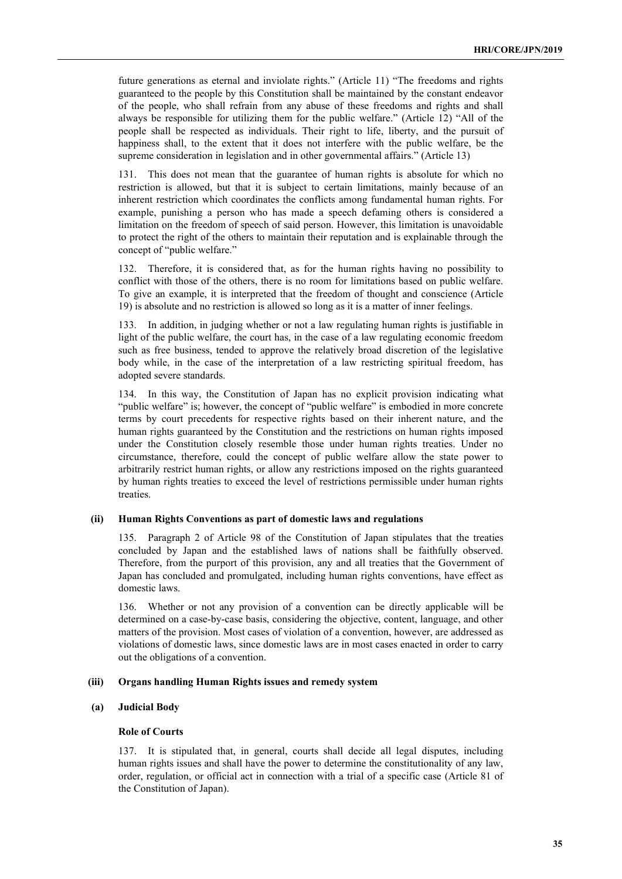future generations as eternal and inviolate rights." (Article 11) "The freedoms and rights guaranteed to the people by this Constitution shall be maintained by the constant endeavor of the people, who shall refrain from any abuse of these freedoms and rights and shall always be responsible for utilizing them for the public welfare." (Article 12) "All of the people shall be respected as individuals. Their right to life, liberty, and the pursuit of happiness shall, to the extent that it does not interfere with the public welfare, be the supreme consideration in legislation and in other governmental affairs." (Article 13)

131. This does not mean that the guarantee of human rights is absolute for which no restriction is allowed, but that it is subject to certain limitations, mainly because of an inherent restriction which coordinates the conflicts among fundamental human rights. For example, punishing a person who has made a speech defaming others is considered a limitation on the freedom of speech of said person. However, this limitation is unavoidable to protect the right of the others to maintain their reputation and is explainable through the concept of "public welfare."

132. Therefore, it is considered that, as for the human rights having no possibility to conflict with those of the others, there is no room for limitations based on public welfare. To give an example, it is interpreted that the freedom of thought and conscience (Article 19) is absolute and no restriction is allowed so long as it is a matter of inner feelings.

133. In addition, in judging whether or not a law regulating human rights is justifiable in light of the public welfare, the court has, in the case of a law regulating economic freedom such as free business, tended to approve the relatively broad discretion of the legislative body while, in the case of the interpretation of a law restricting spiritual freedom, has adopted severe standards.

134. In this way, the Constitution of Japan has no explicit provision indicating what "public welfare" is; however, the concept of "public welfare" is embodied in more concrete terms by court precedents for respective rights based on their inherent nature, and the human rights guaranteed by the Constitution and the restrictions on human rights imposed under the Constitution closely resemble those under human rights treaties. Under no circumstance, therefore, could the concept of public welfare allow the state power to arbitrarily restrict human rights, or allow any restrictions imposed on the rights guaranteed by human rights treaties to exceed the level of restrictions permissible under human rights treaties.

## **(ii) Human Rights Conventions as part of domestic laws and regulations**

135. Paragraph 2 of Article 98 of the Constitution of Japan stipulates that the treaties concluded by Japan and the established laws of nations shall be faithfully observed. Therefore, from the purport of this provision, any and all treaties that the Government of Japan has concluded and promulgated, including human rights conventions, have effect as domestic laws.

136. Whether or not any provision of a convention can be directly applicable will be determined on a case-by-case basis, considering the objective, content, language, and other matters of the provision. Most cases of violation of a convention, however, are addressed as violations of domestic laws, since domestic laws are in most cases enacted in order to carry out the obligations of a convention.

## **(iii) Organs handling Human Rights issues and remedy system**

## **(a) Judicial Body**

#### **Role of Courts**

137. It is stipulated that, in general, courts shall decide all legal disputes, including human rights issues and shall have the power to determine the constitutionality of any law, order, regulation, or official act in connection with a trial of a specific case (Article 81 of the Constitution of Japan).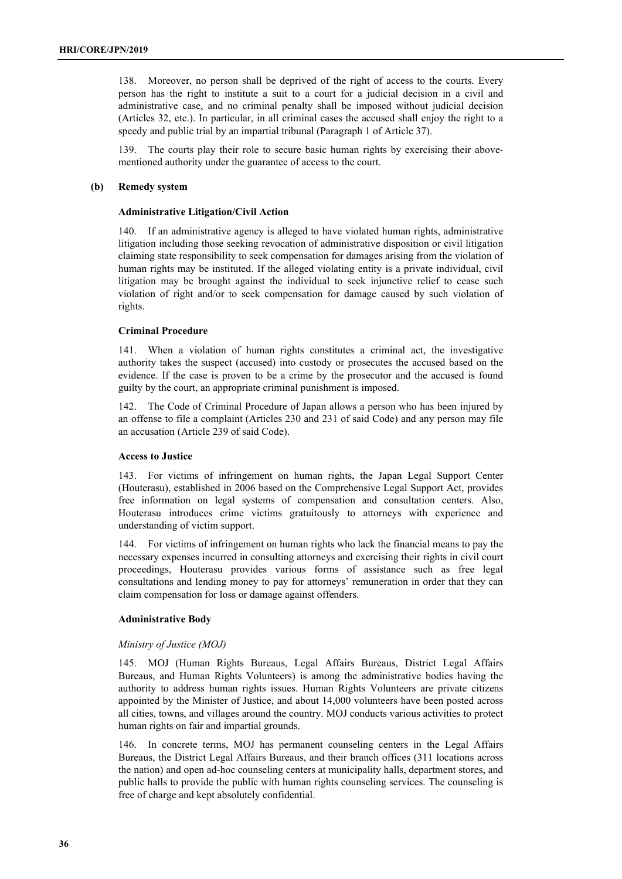138. Moreover, no person shall be deprived of the right of access to the courts. Every person has the right to institute a suit to a court for a judicial decision in a civil and administrative case, and no criminal penalty shall be imposed without judicial decision (Articles 32, etc.). In particular, in all criminal cases the accused shall enjoy the right to a speedy and public trial by an impartial tribunal (Paragraph 1 of Article 37).

139. The courts play their role to secure basic human rights by exercising their abovementioned authority under the guarantee of access to the court.

#### **(b) Remedy system**

## **Administrative Litigation/Civil Action**

140. If an administrative agency is alleged to have violated human rights, administrative litigation including those seeking revocation of administrative disposition or civil litigation claiming state responsibility to seek compensation for damages arising from the violation of human rights may be instituted. If the alleged violating entity is a private individual, civil litigation may be brought against the individual to seek injunctive relief to cease such violation of right and/or to seek compensation for damage caused by such violation of rights.

#### **Criminal Procedure**

141. When a violation of human rights constitutes a criminal act, the investigative authority takes the suspect (accused) into custody or prosecutes the accused based on the evidence. If the case is proven to be a crime by the prosecutor and the accused is found guilty by the court, an appropriate criminal punishment is imposed.

142. The Code of Criminal Procedure of Japan allows a person who has been injured by an offense to file a complaint (Articles 230 and 231 of said Code) and any person may file an accusation (Article 239 of said Code).

#### **Access to Justice**

143. For victims of infringement on human rights, the Japan Legal Support Center (Houterasu), established in 2006 based on the Comprehensive Legal Support Act, provides free information on legal systems of compensation and consultation centers. Also, Houterasu introduces crime victims gratuitously to attorneys with experience and understanding of victim support.

144. For victims of infringement on human rights who lack the financial means to pay the necessary expenses incurred in consulting attorneys and exercising their rights in civil court proceedings, Houterasu provides various forms of assistance such as free legal consultations and lending money to pay for attorneys' remuneration in order that they can claim compensation for loss or damage against offenders.

## **Administrative Body**

### *Ministry of Justice (MOJ)*

145. MOJ (Human Rights Bureaus, Legal Affairs Bureaus, District Legal Affairs Bureaus, and Human Rights Volunteers) is among the administrative bodies having the authority to address human rights issues. Human Rights Volunteers are private citizens appointed by the Minister of Justice, and about 14,000 volunteers have been posted across all cities, towns, and villages around the country. MOJ conducts various activities to protect human rights on fair and impartial grounds.

146. In concrete terms, MOJ has permanent counseling centers in the Legal Affairs Bureaus, the District Legal Affairs Bureaus, and their branch offices (311 locations across the nation) and open ad-hoc counseling centers at municipality halls, department stores, and public halls to provide the public with human rights counseling services. The counseling is free of charge and kept absolutely confidential.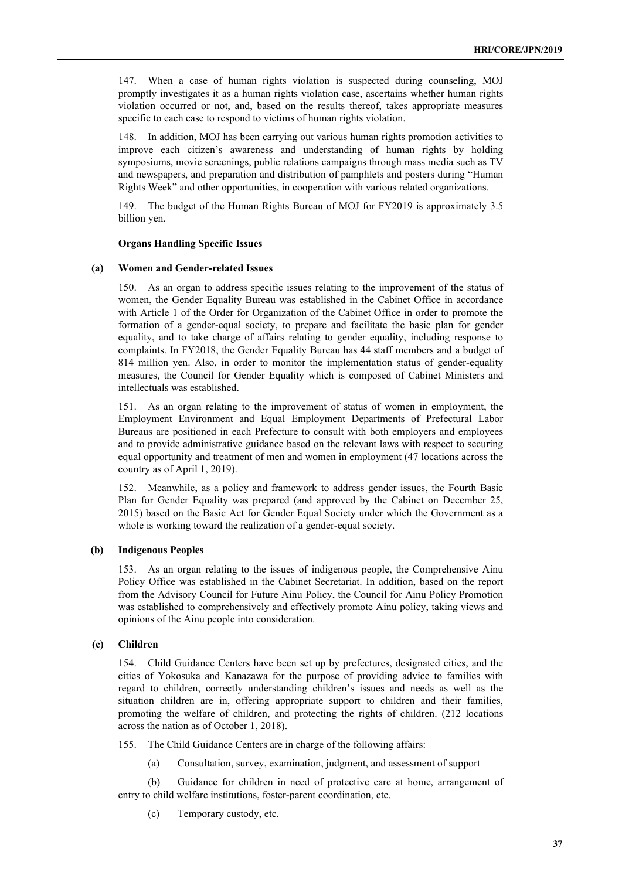147. When a case of human rights violation is suspected during counseling, MOJ promptly investigates it as a human rights violation case, ascertains whether human rights violation occurred or not, and, based on the results thereof, takes appropriate measures specific to each case to respond to victims of human rights violation.

148. In addition, MOJ has been carrying out various human rights promotion activities to improve each citizen's awareness and understanding of human rights by holding symposiums, movie screenings, public relations campaigns through mass media such as TV and newspapers, and preparation and distribution of pamphlets and posters during "Human Rights Week" and other opportunities, in cooperation with various related organizations.

149. The budget of the Human Rights Bureau of MOJ for FY2019 is approximately 3.5 billion yen.

### **Organs Handling Specific Issues**

### **(a) Women and Gender-related Issues**

150. As an organ to address specific issues relating to the improvement of the status of women, the Gender Equality Bureau was established in the Cabinet Office in accordance with Article 1 of the Order for Organization of the Cabinet Office in order to promote the formation of a gender-equal society, to prepare and facilitate the basic plan for gender equality, and to take charge of affairs relating to gender equality, including response to complaints. In FY2018, the Gender Equality Bureau has 44 staff members and a budget of 814 million yen. Also, in order to monitor the implementation status of gender-equality measures, the Council for Gender Equality which is composed of Cabinet Ministers and intellectuals was established.

151. As an organ relating to the improvement of status of women in employment, the Employment Environment and Equal Employment Departments of Prefectural Labor Bureaus are positioned in each Prefecture to consult with both employers and employees and to provide administrative guidance based on the relevant laws with respect to securing equal opportunity and treatment of men and women in employment (47 locations across the country as of April 1, 2019).

152. Meanwhile, as a policy and framework to address gender issues, the Fourth Basic Plan for Gender Equality was prepared (and approved by the Cabinet on December 25, 2015) based on the Basic Act for Gender Equal Society under which the Government as a whole is working toward the realization of a gender-equal society.

## **(b) Indigenous Peoples**

153. As an organ relating to the issues of indigenous people, the Comprehensive Ainu Policy Office was established in the Cabinet Secretariat. In addition, based on the report from the Advisory Council for Future Ainu Policy, the Council for Ainu Policy Promotion was established to comprehensively and effectively promote Ainu policy, taking views and opinions of the Ainu people into consideration.

# **(c) Children**

154. Child Guidance Centers have been set up by prefectures, designated cities, and the cities of Yokosuka and Kanazawa for the purpose of providing advice to families with regard to children, correctly understanding children's issues and needs as well as the situation children are in, offering appropriate support to children and their families, promoting the welfare of children, and protecting the rights of children. (212 locations across the nation as of October 1, 2018).

155. The Child Guidance Centers are in charge of the following affairs:

(a) Consultation, survey, examination, judgment, and assessment of support

(b) Guidance for children in need of protective care at home, arrangement of entry to child welfare institutions, foster-parent coordination, etc.

(c) Temporary custody, etc.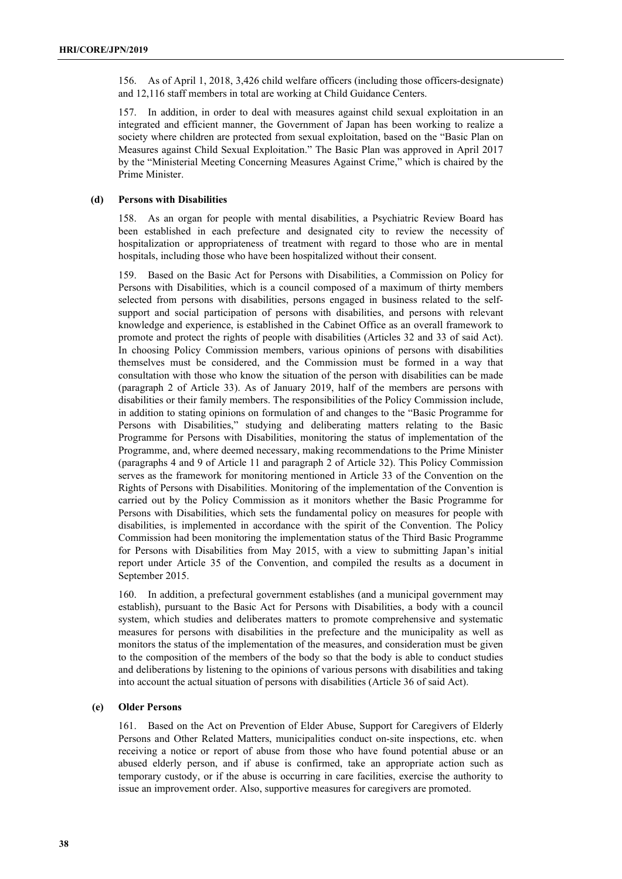156. As of April 1, 2018, 3,426 child welfare officers (including those officers-designate) and 12,116 staff members in total are working at Child Guidance Centers.

157. In addition, in order to deal with measures against child sexual exploitation in an integrated and efficient manner, the Government of Japan has been working to realize a society where children are protected from sexual exploitation, based on the "Basic Plan on Measures against Child Sexual Exploitation." The Basic Plan was approved in April 2017 by the "Ministerial Meeting Concerning Measures Against Crime," which is chaired by the Prime Minister.

### **(d) Persons with Disabilities**

158. As an organ for people with mental disabilities, a Psychiatric Review Board has been established in each prefecture and designated city to review the necessity of hospitalization or appropriateness of treatment with regard to those who are in mental hospitals, including those who have been hospitalized without their consent.

159. Based on the Basic Act for Persons with Disabilities, a Commission on Policy for Persons with Disabilities, which is a council composed of a maximum of thirty members selected from persons with disabilities, persons engaged in business related to the selfsupport and social participation of persons with disabilities, and persons with relevant knowledge and experience, is established in the Cabinet Office as an overall framework to promote and protect the rights of people with disabilities (Articles 32 and 33 of said Act). In choosing Policy Commission members, various opinions of persons with disabilities themselves must be considered, and the Commission must be formed in a way that consultation with those who know the situation of the person with disabilities can be made (paragraph 2 of Article 33). As of January 2019, half of the members are persons with disabilities or their family members. The responsibilities of the Policy Commission include, in addition to stating opinions on formulation of and changes to the "Basic Programme for Persons with Disabilities," studying and deliberating matters relating to the Basic Programme for Persons with Disabilities, monitoring the status of implementation of the Programme, and, where deemed necessary, making recommendations to the Prime Minister (paragraphs 4 and 9 of Article 11 and paragraph 2 of Article 32). This Policy Commission serves as the framework for monitoring mentioned in Article 33 of the Convention on the Rights of Persons with Disabilities. Monitoring of the implementation of the Convention is carried out by the Policy Commission as it monitors whether the Basic Programme for Persons with Disabilities, which sets the fundamental policy on measures for people with disabilities, is implemented in accordance with the spirit of the Convention. The Policy Commission had been monitoring the implementation status of the Third Basic Programme for Persons with Disabilities from May 2015, with a view to submitting Japan's initial report under Article 35 of the Convention, and compiled the results as a document in September 2015.

160. In addition, a prefectural government establishes (and a municipal government may establish), pursuant to the Basic Act for Persons with Disabilities, a body with a council system, which studies and deliberates matters to promote comprehensive and systematic measures for persons with disabilities in the prefecture and the municipality as well as monitors the status of the implementation of the measures, and consideration must be given to the composition of the members of the body so that the body is able to conduct studies and deliberations by listening to the opinions of various persons with disabilities and taking into account the actual situation of persons with disabilities (Article 36 of said Act).

## **(e) Older Persons**

161. Based on the Act on Prevention of Elder Abuse, Support for Caregivers of Elderly Persons and Other Related Matters, municipalities conduct on-site inspections, etc. when receiving a notice or report of abuse from those who have found potential abuse or an abused elderly person, and if abuse is confirmed, take an appropriate action such as temporary custody, or if the abuse is occurring in care facilities, exercise the authority to issue an improvement order. Also, supportive measures for caregivers are promoted.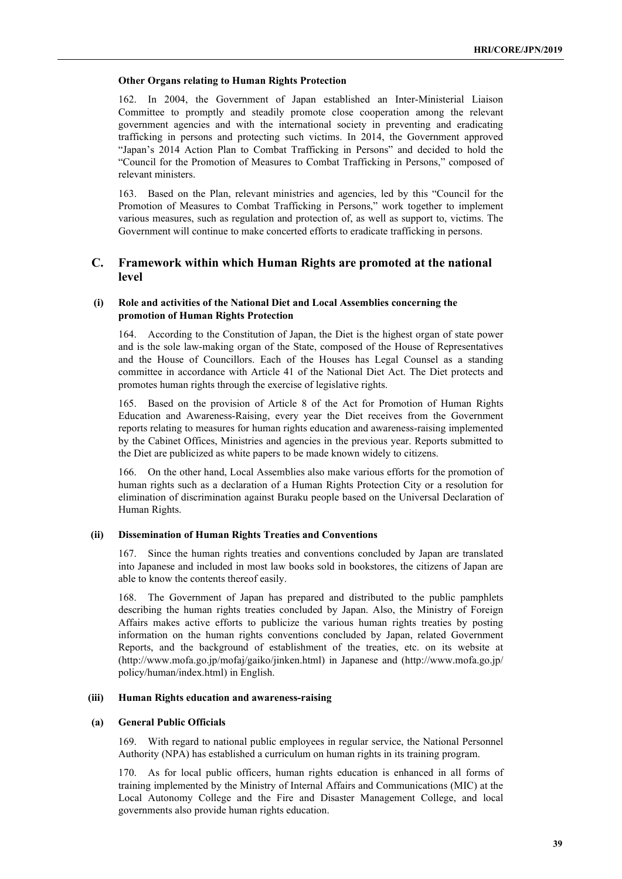#### **Other Organs relating to Human Rights Protection**

162. In 2004, the Government of Japan established an Inter-Ministerial Liaison Committee to promptly and steadily promote close cooperation among the relevant government agencies and with the international society in preventing and eradicating trafficking in persons and protecting such victims. In 2014, the Government approved "Japan's 2014 Action Plan to Combat Trafficking in Persons" and decided to hold the "Council for the Promotion of Measures to Combat Trafficking in Persons," composed of relevant ministers.

163. Based on the Plan, relevant ministries and agencies, led by this "Council for the Promotion of Measures to Combat Trafficking in Persons," work together to implement various measures, such as regulation and protection of, as well as support to, victims. The Government will continue to make concerted efforts to eradicate trafficking in persons.

# **C. Framework within which Human Rights are promoted at the national level**

## **(i) Role and activities of the National Diet and Local Assemblies concerning the promotion of Human Rights Protection**

164. According to the Constitution of Japan, the Diet is the highest organ of state power and is the sole law-making organ of the State, composed of the House of Representatives and the House of Councillors. Each of the Houses has Legal Counsel as a standing committee in accordance with Article 41 of the National Diet Act. The Diet protects and promotes human rights through the exercise of legislative rights.

165. Based on the provision of Article 8 of the Act for Promotion of Human Rights Education and Awareness-Raising, every year the Diet receives from the Government reports relating to measures for human rights education and awareness-raising implemented by the Cabinet Offices, Ministries and agencies in the previous year. Reports submitted to the Diet are publicized as white papers to be made known widely to citizens.

166. On the other hand, Local Assemblies also make various efforts for the promotion of human rights such as a declaration of a Human Rights Protection City or a resolution for elimination of discrimination against Buraku people based on the Universal Declaration of Human Rights.

## **(ii) Dissemination of Human Rights Treaties and Conventions**

167. Since the human rights treaties and conventions concluded by Japan are translated into Japanese and included in most law books sold in bookstores, the citizens of Japan are able to know the contents thereof easily.

168. The Government of Japan has prepared and distributed to the public pamphlets describing the human rights treaties concluded by Japan. Also, the Ministry of Foreign Affairs makes active efforts to publicize the various human rights treaties by posting information on the human rights conventions concluded by Japan, related Government Reports, and the background of establishment of the treaties, etc. on its website at (http://www.mofa.go.jp/mofaj/gaiko/jinken.html) in Japanese and (http://www.mofa.go.jp/ policy/human/index.html) in English.

#### **(iii) Human Rights education and awareness-raising**

### **(a) General Public Officials**

169. With regard to national public employees in regular service, the National Personnel Authority (NPA) has established a curriculum on human rights in its training program.

170. As for local public officers, human rights education is enhanced in all forms of training implemented by the Ministry of Internal Affairs and Communications (MIC) at the Local Autonomy College and the Fire and Disaster Management College, and local governments also provide human rights education.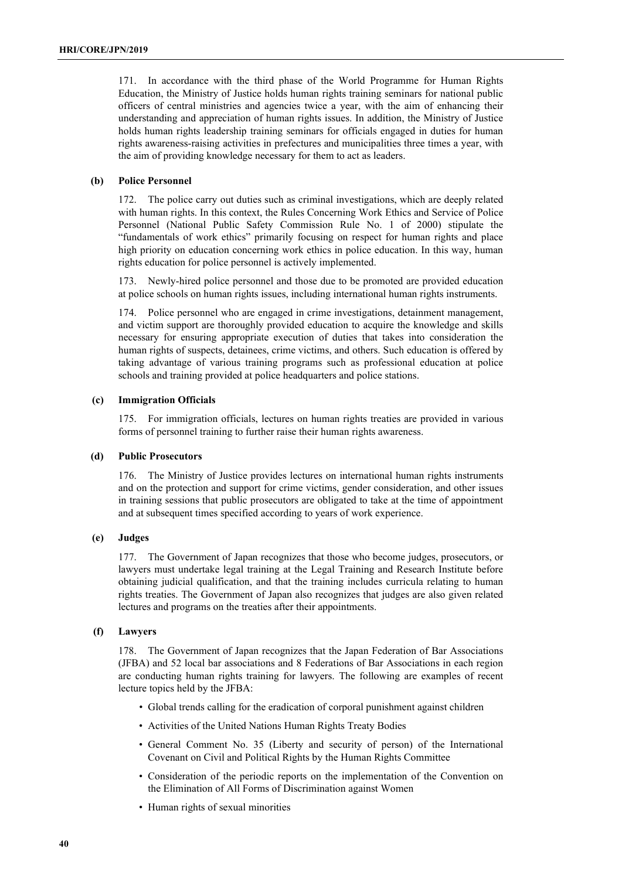171. In accordance with the third phase of the World Programme for Human Rights Education, the Ministry of Justice holds human rights training seminars for national public officers of central ministries and agencies twice a year, with the aim of enhancing their understanding and appreciation of human rights issues. In addition, the Ministry of Justice holds human rights leadership training seminars for officials engaged in duties for human rights awareness-raising activities in prefectures and municipalities three times a year, with the aim of providing knowledge necessary for them to act as leaders.

## **(b) Police Personnel**

172. The police carry out duties such as criminal investigations, which are deeply related with human rights. In this context, the Rules Concerning Work Ethics and Service of Police Personnel (National Public Safety Commission Rule No. 1 of 2000) stipulate the "fundamentals of work ethics" primarily focusing on respect for human rights and place high priority on education concerning work ethics in police education. In this way, human rights education for police personnel is actively implemented.

173. Newly-hired police personnel and those due to be promoted are provided education at police schools on human rights issues, including international human rights instruments.

174. Police personnel who are engaged in crime investigations, detainment management, and victim support are thoroughly provided education to acquire the knowledge and skills necessary for ensuring appropriate execution of duties that takes into consideration the human rights of suspects, detainees, crime victims, and others. Such education is offered by taking advantage of various training programs such as professional education at police schools and training provided at police headquarters and police stations.

### **(c) Immigration Officials**

175. For immigration officials, lectures on human rights treaties are provided in various forms of personnel training to further raise their human rights awareness.

### **(d) Public Prosecutors**

176. The Ministry of Justice provides lectures on international human rights instruments and on the protection and support for crime victims, gender consideration, and other issues in training sessions that public prosecutors are obligated to take at the time of appointment and at subsequent times specified according to years of work experience.

### **(e) Judges**

177. The Government of Japan recognizes that those who become judges, prosecutors, or lawyers must undertake legal training at the Legal Training and Research Institute before obtaining judicial qualification, and that the training includes curricula relating to human rights treaties. The Government of Japan also recognizes that judges are also given related lectures and programs on the treaties after their appointments.

### **(f) Lawyers**

178. The Government of Japan recognizes that the Japan Federation of Bar Associations (JFBA) and 52 local bar associations and 8 Federations of Bar Associations in each region are conducting human rights training for lawyers. The following are examples of recent lecture topics held by the JFBA:

- Global trends calling for the eradication of corporal punishment against children
- Activities of the United Nations Human Rights Treaty Bodies
- General Comment No. 35 (Liberty and security of person) of the International Covenant on Civil and Political Rights by the Human Rights Committee
- Consideration of the periodic reports on the implementation of the Convention on the Elimination of All Forms of Discrimination against Women
- Human rights of sexual minorities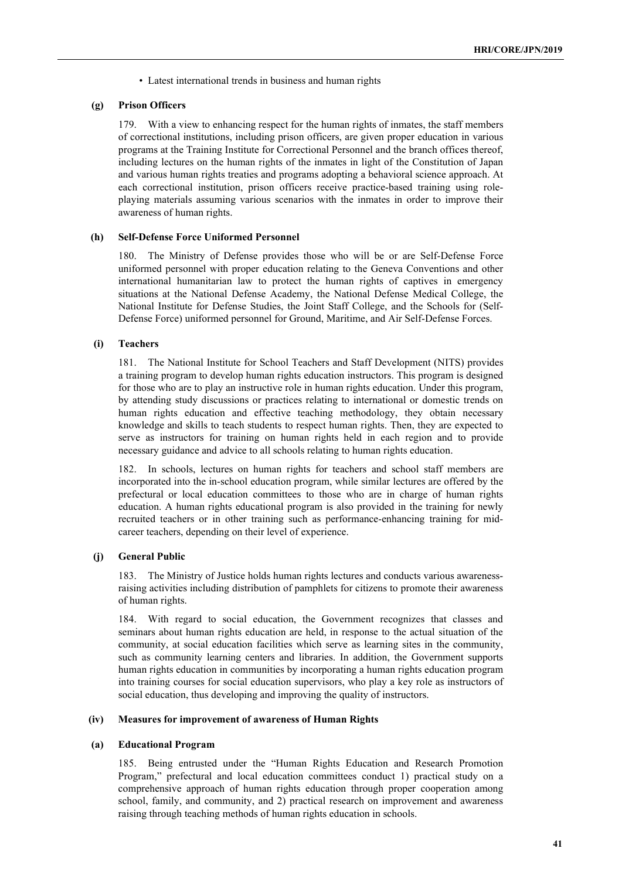• Latest international trends in business and human rights

#### **(g) Prison Officers**

179. With a view to enhancing respect for the human rights of inmates, the staff members of correctional institutions, including prison officers, are given proper education in various programs at the Training Institute for Correctional Personnel and the branch offices thereof, including lectures on the human rights of the inmates in light of the Constitution of Japan and various human rights treaties and programs adopting a behavioral science approach. At each correctional institution, prison officers receive practice-based training using roleplaying materials assuming various scenarios with the inmates in order to improve their awareness of human rights.

#### **(h) Self-Defense Force Uniformed Personnel**

180. The Ministry of Defense provides those who will be or are Self-Defense Force uniformed personnel with proper education relating to the Geneva Conventions and other international humanitarian law to protect the human rights of captives in emergency situations at the National Defense Academy, the National Defense Medical College, the National Institute for Defense Studies, the Joint Staff College, and the Schools for (Self-Defense Force) uniformed personnel for Ground, Maritime, and Air Self-Defense Forces.

## **(i) Teachers**

181. The National Institute for School Teachers and Staff Development (NITS) provides a training program to develop human rights education instructors. This program is designed for those who are to play an instructive role in human rights education. Under this program, by attending study discussions or practices relating to international or domestic trends on human rights education and effective teaching methodology, they obtain necessary knowledge and skills to teach students to respect human rights. Then, they are expected to serve as instructors for training on human rights held in each region and to provide necessary guidance and advice to all schools relating to human rights education.

182. In schools, lectures on human rights for teachers and school staff members are incorporated into the in-school education program, while similar lectures are offered by the prefectural or local education committees to those who are in charge of human rights education. A human rights educational program is also provided in the training for newly recruited teachers or in other training such as performance-enhancing training for midcareer teachers, depending on their level of experience.

## **(j) General Public**

183. The Ministry of Justice holds human rights lectures and conducts various awarenessraising activities including distribution of pamphlets for citizens to promote their awareness of human rights.

184. With regard to social education, the Government recognizes that classes and seminars about human rights education are held, in response to the actual situation of the community, at social education facilities which serve as learning sites in the community, such as community learning centers and libraries. In addition, the Government supports human rights education in communities by incorporating a human rights education program into training courses for social education supervisors, who play a key role as instructors of social education, thus developing and improving the quality of instructors.

#### **(iv) Measures for improvement of awareness of Human Rights**

#### **(a) Educational Program**

185. Being entrusted under the "Human Rights Education and Research Promotion Program," prefectural and local education committees conduct 1) practical study on a comprehensive approach of human rights education through proper cooperation among school, family, and community, and 2) practical research on improvement and awareness raising through teaching methods of human rights education in schools.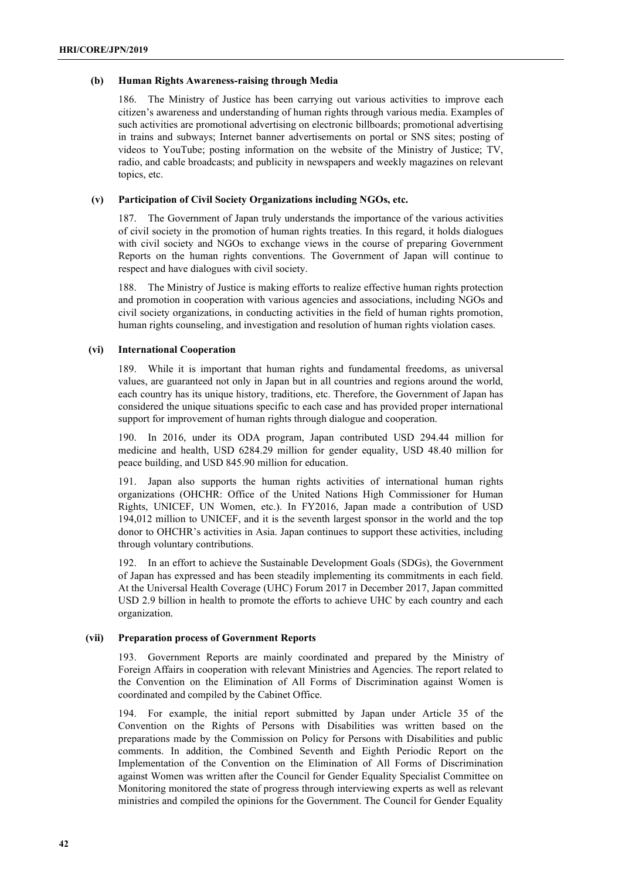#### **(b) Human Rights Awareness-raising through Media**

186. The Ministry of Justice has been carrying out various activities to improve each citizen's awareness and understanding of human rights through various media. Examples of such activities are promotional advertising on electronic billboards; promotional advertising in trains and subways; Internet banner advertisements on portal or SNS sites; posting of videos to YouTube; posting information on the website of the Ministry of Justice; TV, radio, and cable broadcasts; and publicity in newspapers and weekly magazines on relevant topics, etc.

## **(v) Participation of Civil Society Organizations including NGOs, etc.**

187. The Government of Japan truly understands the importance of the various activities of civil society in the promotion of human rights treaties. In this regard, it holds dialogues with civil society and NGOs to exchange views in the course of preparing Government Reports on the human rights conventions. The Government of Japan will continue to respect and have dialogues with civil society.

188. The Ministry of Justice is making efforts to realize effective human rights protection and promotion in cooperation with various agencies and associations, including NGOs and civil society organizations, in conducting activities in the field of human rights promotion, human rights counseling, and investigation and resolution of human rights violation cases.

## **(vi) International Cooperation**

189. While it is important that human rights and fundamental freedoms, as universal values, are guaranteed not only in Japan but in all countries and regions around the world, each country has its unique history, traditions, etc. Therefore, the Government of Japan has considered the unique situations specific to each case and has provided proper international support for improvement of human rights through dialogue and cooperation.

190. In 2016, under its ODA program, Japan contributed USD 294.44 million for medicine and health, USD 6284.29 million for gender equality, USD 48.40 million for peace building, and USD 845.90 million for education.

191. Japan also supports the human rights activities of international human rights organizations (OHCHR: Office of the United Nations High Commissioner for Human Rights, UNICEF, UN Women, etc.). In FY2016, Japan made a contribution of USD 194,012 million to UNICEF, and it is the seventh largest sponsor in the world and the top donor to OHCHR's activities in Asia. Japan continues to support these activities, including through voluntary contributions.

192. In an effort to achieve the Sustainable Development Goals (SDGs), the Government of Japan has expressed and has been steadily implementing its commitments in each field. At the Universal Health Coverage (UHC) Forum 2017 in December 2017, Japan committed USD 2.9 billion in health to promote the efforts to achieve UHC by each country and each organization.

#### **(vii) Preparation process of Government Reports**

193. Government Reports are mainly coordinated and prepared by the Ministry of Foreign Affairs in cooperation with relevant Ministries and Agencies. The report related to the Convention on the Elimination of All Forms of Discrimination against Women is coordinated and compiled by the Cabinet Office.

194. For example, the initial report submitted by Japan under Article 35 of the Convention on the Rights of Persons with Disabilities was written based on the preparations made by the Commission on Policy for Persons with Disabilities and public comments. In addition, the Combined Seventh and Eighth Periodic Report on the Implementation of the Convention on the Elimination of All Forms of Discrimination against Women was written after the Council for Gender Equality Specialist Committee on Monitoring monitored the state of progress through interviewing experts as well as relevant ministries and compiled the opinions for the Government. The Council for Gender Equality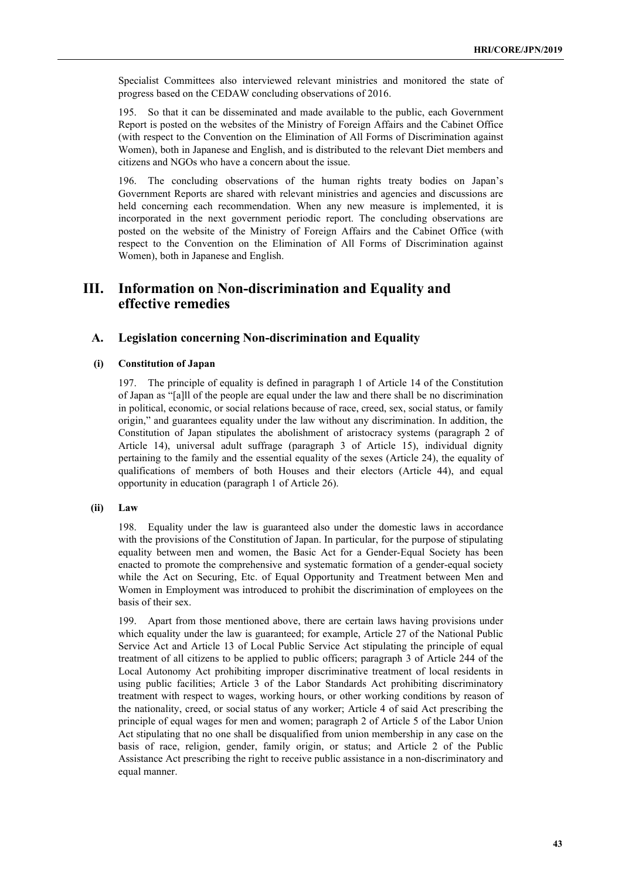Specialist Committees also interviewed relevant ministries and monitored the state of progress based on the CEDAW concluding observations of 2016.

195. So that it can be disseminated and made available to the public, each Government Report is posted on the websites of the Ministry of Foreign Affairs and the Cabinet Office (with respect to the Convention on the Elimination of All Forms of Discrimination against Women), both in Japanese and English, and is distributed to the relevant Diet members and citizens and NGOs who have a concern about the issue.

196. The concluding observations of the human rights treaty bodies on Japan's Government Reports are shared with relevant ministries and agencies and discussions are held concerning each recommendation. When any new measure is implemented, it is incorporated in the next government periodic report. The concluding observations are posted on the website of the Ministry of Foreign Affairs and the Cabinet Office (with respect to the Convention on the Elimination of All Forms of Discrimination against Women), both in Japanese and English.

# **III. Information on Non-discrimination and Equality and effective remedies**

# **A. Legislation concerning Non-discrimination and Equality**

## **(i) Constitution of Japan**

197. The principle of equality is defined in paragraph 1 of Article 14 of the Constitution of Japan as "[a]ll of the people are equal under the law and there shall be no discrimination in political, economic, or social relations because of race, creed, sex, social status, or family origin," and guarantees equality under the law without any discrimination. In addition, the Constitution of Japan stipulates the abolishment of aristocracy systems (paragraph 2 of Article 14), universal adult suffrage (paragraph 3 of Article 15), individual dignity pertaining to the family and the essential equality of the sexes (Article 24), the equality of qualifications of members of both Houses and their electors (Article 44), and equal opportunity in education (paragraph 1 of Article 26).

## **(ii) Law**

198. Equality under the law is guaranteed also under the domestic laws in accordance with the provisions of the Constitution of Japan. In particular, for the purpose of stipulating equality between men and women, the Basic Act for a Gender-Equal Society has been enacted to promote the comprehensive and systematic formation of a gender-equal society while the Act on Securing, Etc. of Equal Opportunity and Treatment between Men and Women in Employment was introduced to prohibit the discrimination of employees on the basis of their sex.

199. Apart from those mentioned above, there are certain laws having provisions under which equality under the law is guaranteed; for example, Article 27 of the National Public Service Act and Article 13 of Local Public Service Act stipulating the principle of equal treatment of all citizens to be applied to public officers; paragraph 3 of Article 244 of the Local Autonomy Act prohibiting improper discriminative treatment of local residents in using public facilities; Article 3 of the Labor Standards Act prohibiting discriminatory treatment with respect to wages, working hours, or other working conditions by reason of the nationality, creed, or social status of any worker; Article 4 of said Act prescribing the principle of equal wages for men and women; paragraph 2 of Article 5 of the Labor Union Act stipulating that no one shall be disqualified from union membership in any case on the basis of race, religion, gender, family origin, or status; and Article 2 of the Public Assistance Act prescribing the right to receive public assistance in a non-discriminatory and equal manner.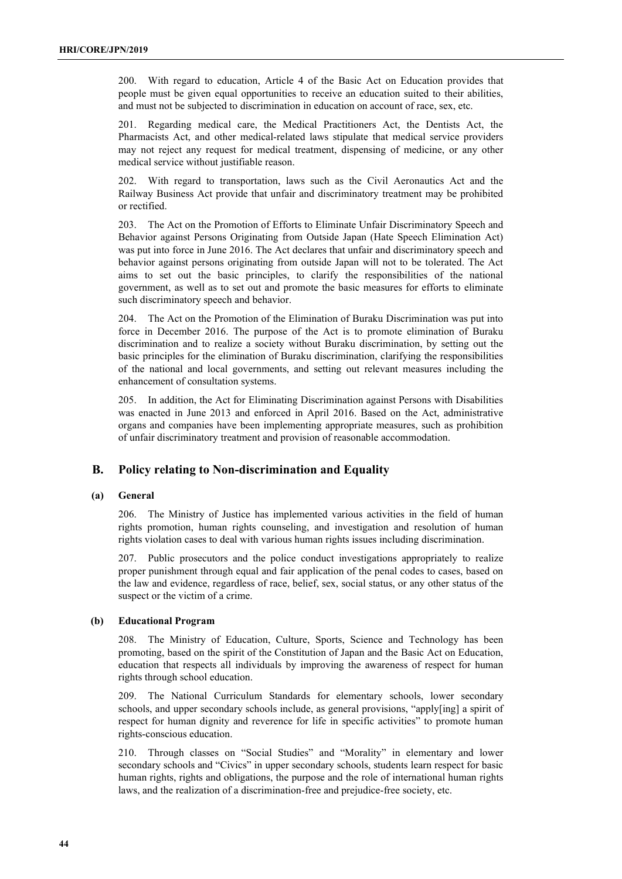200. With regard to education, Article 4 of the Basic Act on Education provides that people must be given equal opportunities to receive an education suited to their abilities, and must not be subjected to discrimination in education on account of race, sex, etc.

201. Regarding medical care, the Medical Practitioners Act, the Dentists Act, the Pharmacists Act, and other medical-related laws stipulate that medical service providers may not reject any request for medical treatment, dispensing of medicine, or any other medical service without justifiable reason.

202. With regard to transportation, laws such as the Civil Aeronautics Act and the Railway Business Act provide that unfair and discriminatory treatment may be prohibited or rectified.

203. The Act on the Promotion of Efforts to Eliminate Unfair Discriminatory Speech and Behavior against Persons Originating from Outside Japan (Hate Speech Elimination Act) was put into force in June 2016. The Act declares that unfair and discriminatory speech and behavior against persons originating from outside Japan will not to be tolerated. The Act aims to set out the basic principles, to clarify the responsibilities of the national government, as well as to set out and promote the basic measures for efforts to eliminate such discriminatory speech and behavior.

204. The Act on the Promotion of the Elimination of Buraku Discrimination was put into force in December 2016. The purpose of the Act is to promote elimination of Buraku discrimination and to realize a society without Buraku discrimination, by setting out the basic principles for the elimination of Buraku discrimination, clarifying the responsibilities of the national and local governments, and setting out relevant measures including the enhancement of consultation systems.

205. In addition, the Act for Eliminating Discrimination against Persons with Disabilities was enacted in June 2013 and enforced in April 2016. Based on the Act, administrative organs and companies have been implementing appropriate measures, such as prohibition of unfair discriminatory treatment and provision of reasonable accommodation.

# **B. Policy relating to Non-discrimination and Equality**

## **(a) General**

206. The Ministry of Justice has implemented various activities in the field of human rights promotion, human rights counseling, and investigation and resolution of human rights violation cases to deal with various human rights issues including discrimination.

207. Public prosecutors and the police conduct investigations appropriately to realize proper punishment through equal and fair application of the penal codes to cases, based on the law and evidence, regardless of race, belief, sex, social status, or any other status of the suspect or the victim of a crime.

### **(b) Educational Program**

208. The Ministry of Education, Culture, Sports, Science and Technology has been promoting, based on the spirit of the Constitution of Japan and the Basic Act on Education, education that respects all individuals by improving the awareness of respect for human rights through school education.

209. The National Curriculum Standards for elementary schools, lower secondary schools, and upper secondary schools include, as general provisions, "apply[ing] a spirit of respect for human dignity and reverence for life in specific activities" to promote human rights-conscious education.

210. Through classes on "Social Studies" and "Morality" in elementary and lower secondary schools and "Civics" in upper secondary schools, students learn respect for basic human rights, rights and obligations, the purpose and the role of international human rights laws, and the realization of a discrimination-free and prejudice-free society, etc.